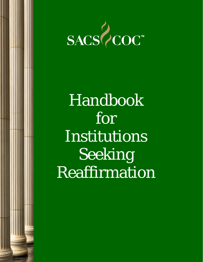

Handbook for Institutions Seeking Reaffirmation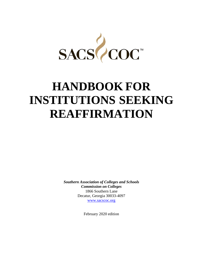

# **HANDBOOK FOR INSTITUTIONS SEEKING REAFFIRMATION**

*Southern Association of Colleges and Schools Commission on Colleges* 1866 Southern Lane Decatur, Georgia 30033-4097 [www.sacscoc.org](http://www.sacscoc.org/)

February 2020 edition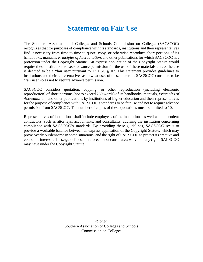### **Statement on Fair Use**

<span id="page-2-0"></span>The Southern Association of Colleges and Schools Commission on Colleges (SACSCOC) recognizes that for purposes of compliance with its standards, institutions and their representatives find it necessary from time to time to quote, copy, or otherwise reproduce short portions of its handbooks, manuals, *Principles of Accreditation*, and other publications for which SACSCOC has protection under the Copyright Statute. An express application of the Copyright Statute would require these institutions to seek advance permission for the use of these materials unless the use is deemed to be a "fair use" pursuant to 17 USC §107. This statement provides guidelines to institutions and their representatives as to what uses of these materials SACSCOC considers to be "fair use" so as not to require advance permission.

SACSCOC considers quotation, copying, or other reproduction (including electronic reproduction) of short portions (not to exceed 250 words) of its handbooks, manuals, *Principles of Accreditation*, and other publications by institutions of higher education and their representatives for the purpose of compliance with SACSCOC's standards to be fair use and not to require advance permission from SACSCOC. The number of copies of these quotations must be limited to 10.

Representatives of institutions shall include employees of the institutions as well as independent contractors, such as attorneys, accountants, and consultants, advising the institution concerning compliance with SACSCOC's standards. By providing these guidelines, SACSCOC seeks to provide a workable balance between an express application of the Copyright Statute, which may prove overly burdensome in some situations, and the right of SACSCOC to protect its creative and economic interests. These guidelines, therefore, do not constitute a waiver of any rights SACSCOC may have under the Copyright Statute.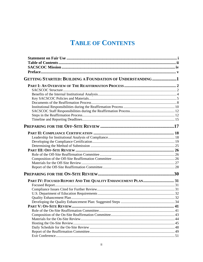## **TABLE OF CONTENTS**

<span id="page-3-0"></span>

| GETTING STARTED: BUILDING A FOUNDATION OF UNDERSTANDING 1  |  |
|------------------------------------------------------------|--|
|                                                            |  |
|                                                            |  |
|                                                            |  |
|                                                            |  |
|                                                            |  |
|                                                            |  |
|                                                            |  |
|                                                            |  |
|                                                            |  |
|                                                            |  |
|                                                            |  |
|                                                            |  |
|                                                            |  |
|                                                            |  |
|                                                            |  |
|                                                            |  |
|                                                            |  |
|                                                            |  |
|                                                            |  |
|                                                            |  |
|                                                            |  |
| PART IV: FOCUSED REPORT AND THE QUALITY ENHANCEMENT PLAN31 |  |
|                                                            |  |
|                                                            |  |
|                                                            |  |
|                                                            |  |
|                                                            |  |
|                                                            |  |
|                                                            |  |
|                                                            |  |
|                                                            |  |
|                                                            |  |
|                                                            |  |
|                                                            |  |
|                                                            |  |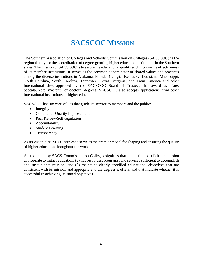# **SACSCOC MISSION**

<span id="page-5-0"></span>The Southern Association of Colleges and Schools Commission on Colleges (SACSCOC) is the regional body for the accreditation of degree-granting higher education institutions in the Southern states. The mission of SACSCOC is to assure the educational quality and improve the effectiveness of its member institutions. It serves as the common denominator of shared values and practices among the diverse institutions in Alabama, Florida, Georgia, Kentucky, Louisiana, Mississippi, North Carolina, South Carolina, Tennessee, Texas, Virginia, and Latin America and other international sites approved by the SACSCOC Board of Trustees that award associate, baccalaureate, master's, or doctoral degrees. SACSCOC also accepts applications from other international institutions of higher education.

SACSCOC has six core values that guide its service to members and the public:

- Integrity
- Continuous Quality Improvement
- Peer Review/Self-regulation
- Accountability
- Student Learning
- Transparency

As its vision, SACSCOC strives to serve as the premier model for shaping and ensuring the quality of higher education throughout the world.

Accreditation by SACS Commission on Colleges signifies that the institution (1) has a mission appropriate to higher education, (2) has resources, programs, and services sufficient to accomplish and sustain that mission, and (3) maintains clearly specified educational objectives that are consistent with its mission and appropriate to the degrees it offers, and that indicate whether it is successful in achieving its stated objectives.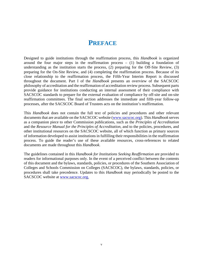### **PREFACE**

<span id="page-6-0"></span>Designed to guide institutions through the reaffirmation process, this *Handbook* is organized around the four major steps in the reaffirmation process  $-$  (1) building a foundation of understanding as the institution starts the process, (2) preparing for the Off-Site Review, (3) preparing for the On-Site Review, and (4) completing the reaffirmation process. Because of its close relationship to the reaffirmation process, the Fifth-Year Interim Report is discussed throughout the document. Part I of the *Handbook* presents an overview of the SACSCOC philosophy of accreditation and the reaffirmation of accreditation review process. Subsequent parts provide guidance for institutions conducting an internal assessment of their compliance with SACSCOC standards to prepare for the external evaluation of compliance by off-site and on-site reaffirmation committees. The final section addresses the immediate and fifth-year follow-up processes, after the SACSCOC Board of Trustees acts on the institution's reaffirmation.

This *Handbook* does not contain the full text of policies and procedures and other relevant documents that are available on the SACSCOC website [\(www.sacscoc.org\)](http://www.sacscoc.org/). This *Handbook* serves as a companion piece to other Commission publications, such as the *Principles of Accreditation* and the *Resource Manual for the Principles of Accreditation*, and to the policies, procedures, and other institutional resources on the SACSCOC website, all of which function as primary sources of information developed to assist institutions in fulfilling their responsibilities in the reaffirmation process. To guide the reader's use of these available resources, cross-references to related documents are made throughout this *Handbook*.

The guidelines contained in this *Handbook for Institutions Seeking Reaffirmation* are provided to readers for informational purposes only. In the event of a perceived conflict between the contents of this document and the bylaws, standards, policies, or procedures of the Southern Association of Colleges and Schools Commission on Colleges (SACSCOC), the bylaws, standards, policies, or procedures shall take precedence. Updates to this *Handbook* may periodically be posted to the SACSCOC website at www.sacscoc.org.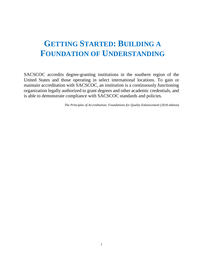# <span id="page-7-0"></span>**GETTING STARTED: BUILDING A FOUNDATION OF UNDERSTANDING**

SACSCOC accredits degree-granting institutions in the southern region of the United States and those operating in select international locations. To gain or maintain accreditation with SACSCOC, an institution is a continuously functioning organization legally authorized to grant degrees and other academic credentials, and is able to demonstrate compliance with SACSCOC standards and policies.

*The Principles of Accreditation: Foundations for Quality Enhancement* (2018 edition)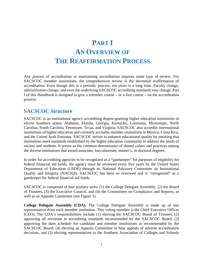# <span id="page-8-0"></span>**PART I AN OVERVIEW OF THE REAFFIRMATION PROCESS**

<span id="page-8-2"></span><span id="page-8-1"></span>Any process of accreditation or maintaining accreditation requires some type of review. For SACSCOC member institutions, the comprehensive review is the decennial reaffirmation of accreditation. Even though this is a periodic process, ten years is a long time. Faculty change, administrators change, and even the underlying SACSCOC accrediting standards may change. Part I of this *Handbook* is designed to give a refresher course – or a first course – on the accreditation process.

#### <span id="page-8-3"></span>**SACSCOC Structure**

SACSCOC is an institutional agency accrediting degree-granting higher education institutions in eleven Southern states: Alabama, Florida, Georgia, Kentucky, Louisiana, Mississippi, North Carolina, South Carolina, Tennessee, Texas, and Virginia. SACSCOC also accredits international institutions of higher education and currently accredits member institutions in Mexico, Costa Rica, and the United Arab Emirates. SACSCOC strives to enhance educational quality by ensuring that institutions meet standards established by the higher education community to address the needs of society and students. It serves as the common denominator of shared values and practices among the diverse institutions that award associate, baccalaureate, master's, or doctoral degrees.

In order for accrediting agencies to be recognized as a "gatekeeper" for purposes of eligibility for federal financial aid funds, the agency must be reviewed every five years by the United States Department of Education (USDE) through its National Advisory Committee on Institutional Quality and Integrity (NACIQI). SACSCOC has been so reviewed and is "recognized" as a gatekeeper for federal financial aid funds.

SACSCOC is composed of four primary units: (1) the College Delegate Assembly, (2) the Board of Trustees, (3) the Executive Council, and (4) the Committees on Compliance and Reports, as well as an Appeals Committee (see Figure 1).

**College Delegate Assembly (CDA).** The College Delegate Assembly is made up of one representative from each member institution. This voting member is the Chief Executive Officer (CEO). The CDA's responsibilities include (1) electing the SACSCOC Board of Trustees, (2) approving all revisions in accrediting standards recommended by the SACSCOC Board, (3) approving the dues schedule for candidate and member institutions as recommended by the SACSCOC Board, (4) electing an Appeals Committee to hear appeals of adverse accreditation decisions, and (5) electing representatives to the Southern Association of Colleges and Schools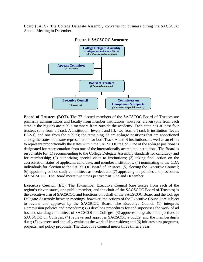Board (SACS). The College Delegate Assembly convenes for business during the SACSCOC Annual Meeting in December.



**Figure 1: SACSCOC Structure**

**Board of Trustees (BOT).** The 77 elected members of the SACSCOC Board of Trustees are primarily administrators and faculty from member institutions; however, eleven (one from each state in the region) are public members from outside the academy. Each state has at least four trustees (one from a Track A institution [levels I and II], two from a Track B institution [levels III–VI], and one from the public); the remaining 33 are at-large positions that are apportioned among the states to ensure representation for both Track A and B institutions, as well as an effort to represent proportionally the states within the SACSCOC region. One of the at-large positions is designated for representation from one of the internationally accredited institutions. The Board is responsible for (1) recommending to the College Delegate Assembly standards for candidacy and for membership; (2) authorizing special visits to institutions; (3) taking final action on the accreditation status of applicant, candidate, and member institutions; (4) nominating to the CDA individuals for election to the SACSCOC Board of Trustees; (5) electing the Executive Council; (6) appointing ad hoc study committees as needed; and (7) approving the policies and procedures of SACSCOC. The Board meets two times per year: in June and December.

**Executive Council (EC).** The 13-member Executive Council (one trustee from each of the region's eleven states, one public member, and the chair of the SACSCOC Board of Trustees) is the executive arm of SACSCOC and functions on behalf of the SACSCOC Board and the College Delegate Assembly between meetings; however, the actions of the Executive Council are subject to review and approval by the SACSCOC Board. The Executive Council (1) interprets Commission policies and procedures; (2) develops procedures for and supervises the work of ad hoc and standing committees of SACSCOC on Colleges; (3) approves the goals and objectives of SACSCOC on Colleges; (4) reviews and approves SACSCOC's budget and the membership's dues; (5) oversees and annually evaluates the work of its president; and (6) initiates new programs, projects, and policy proposals. The Executive Council meets three times a year.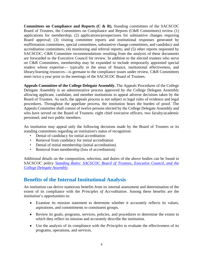**Committees on Compliance and Reports (C & R).** Standing committees of the SACSCOC Board of Trustees, the Committees on Compliance and Reports (C&R Committees) review (1) applications for membership; (2) applications/prospectuses for substantive changes requiring Board approval; (3) visiting committee reports and institutional responses generated by reaffirmation committees, special committees, substantive change committees, and candidacy and accreditation committees; (4) monitoring and referral reports; and (5) other reports requested by SACSCOC. C&R Committee recommendations resulting from the analysis of these documents are forwarded to the Executive Council for review. In addition to the elected trustees who serve on C&R Committees, membership may be expanded to include temporarily appointed special readers whose expertise— typically in the areas of finance, institutional effectiveness, and library/learning resources—is germane to the compliance issues under review. C&R Committees meet twice a year prior to the meetings of the SACSCOC Board of Trustees.

**Appeals Committee of the College Delegate Assembly.** The Appeals Procedures of the College Delegate Assembly is an administrative process approved by the College Delegate Assembly allowing applicant, candidate, and member institutions to appeal adverse decisions taken by the Board of Trustees. As such, the appeals process is not subject to legal rules of evidence and legal procedures. Throughout the appellate process, the institution bears the burden of proof. The Appeals Committee shall consist of twelve persons elected by the College Delegate Assembly and who have served on the Board of Trustees: eight chief executive officers, two faculty/academic personnel, and two public members.

An institution may appeal only the following decisions made by the Board of Trustees or its standing committees regarding an institution's status of recognition:

- Denial of candidacy for initial accreditation
- Removal from candidacy for initial accreditation
- Denial of initial membership (initial accreditation)
- Removal from membership (loss of accreditation)

Additional details on the composition, selection, and duties of the above bodies can be found in SACSCOC policy *[Standing Rules: SACSCOC Board of Trustees, Executive Council, and the](http://sacscoc.org/app/uploads/2019/07/standingrules.pdf)  [College Delegate Assembly](http://sacscoc.org/app/uploads/2019/07/standingrules.pdf)*.

### <span id="page-10-0"></span>**Benefits of the Internal Institutional Analysis**

An institution can derive numerous benefits from its internal assessment and determination of the extent of its compliance with the *Principles of Accreditation*. Among these benefits are the institution's opportunities to:

- Examine its mission statement to determine whether it accurately reflects its values, aspirations, and commitments to constituent groups.
- Review its goals, programs, services, policies, and procedures to determine the extent to which they reflect its mission and accurately describe the institution.
- Use the analysis of its compliance with the *Principles* to evaluate the effectiveness of its programs, operations, and services.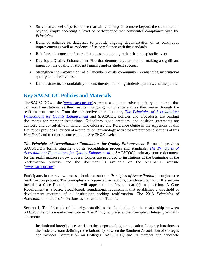- Strive for a level of performance that will challenge it to move beyond the status quo or beyond simply accepting a level of performance that constitutes compliance with the *Principles*.
- Build or enhance its databases to provide ongoing documentation of its continuous improvement as well as evidence of its compliance with the standards.
- Reinforce the concept of accreditation as an ongoing, rather than an episodic event.
- Develop a Quality Enhancement Plan that demonstrates promise of making a significant impact on the quality of student learning and/or student success.
- Strengthen the involvement of all members of its community in enhancing institutional quality and effectiveness.
- Demonstrate its accountability to constituents, including students, parents, and the public.

### <span id="page-11-0"></span>**Key SACSCOC Policies and Materials**

The SACSCOC website [\(www.sacscoc.org\)](http://www.sacscoc.org/) serves as a comprehensive repository of materials that can assist institutions as they maintain ongoing compliance and as they move through the reaffirmation process. From the perspective of compliance, *[The Principles of Accreditation:](http://sacscoc.org/app/uploads/2019/08/2018PrinciplesOfAcreditation.pdf)  [Foundations for Quality Enhancement](http://sacscoc.org/app/uploads/2019/08/2018PrinciplesOfAcreditation.pdf)* and SACSCOC policies and procedures are binding documents for member institutions. Guidelines, good practices, and position statements are advisory and consultative in nature. The Glossary and Reference Guide in the Appendix of this *Handbook* provides a lexicon of accreditation terminology with cross-references to sections of this *Handbook* and to other resources on the SACSCOC website.

*The Principles of Accreditation: Foundations for Quality Enhancement***.** Because it provides SACSCOC's formal statement of its accreditation process and standards, *[The Principles of](http://sacscoc.org/app/uploads/2019/08/2018PrinciplesOfAcreditation.pdf)  [Accreditation: Foundations for Quality Enhancement](http://sacscoc.org/app/uploads/2019/08/2018PrinciplesOfAcreditation.pdf)* is SACSCOC's primary source document for the reaffirmation review process. Copies are provided to institutions at the beginning of the reaffirmation process, and the document is available on the SACSCOC website [\(www.sacscoc.org\)](http://www.sacscoc.org/).

Participants in the review process should consult the *Principles of Accreditation* throughout the reaffirmation process. The principles are organized in sections, structured topically. If a section includes a Core Requirement, it will appear as the first standard(s) in a section. A Core Requirement is a basic, broad-based, foundational requirement that establishes a threshold of development required of all institutions seeking reaffirmation. The 2018 *Principles of Accreditation* includes 14 sections as shown in the Table 1:

Section 1, The Principle of Integrity, establishes the foundation for the relationship between SACSCOC and its member institutions. The *Principles* prefaces the Principle of Integrity with this statement:

Institutional integrity is essential to the purpose of higher education. Integrity functions as the basic covenant defining the relationship between the Southern Association of Colleges and Schools Commission on Colleges (SACSCOC) and its member and candidate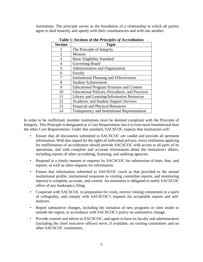institutions. The principle serves as the foundation of a relationship in which all parties agree to deal honestly and openly with their constituencies and with one another.

| <b>Section</b> | <b>Topic</b>                                           |
|----------------|--------------------------------------------------------|
|                | The Principle of Integrity                             |
| 2              | Mission                                                |
| 3              | <b>Basic Eligibility Standard</b>                      |
| 4              | Governing Board                                        |
| 5              | Administration and Organization                        |
| 6              | Faculty                                                |
| 7              | <b>Institutional Planning and Effectiveness</b>        |
| 8              | <b>Student Achievement</b>                             |
| 9              | <b>Educational Program Structure and Content</b>       |
| 10             | <b>Educational Policies, Procedures, and Practices</b> |
| 11             | Library and Learning/Information Resources             |
| 12             | <b>Academic and Student Support Services</b>           |
| 13             | <b>Financial and Physical Resources</b>                |
| 14             | Transparency and Institutional Representation          |

**Table 1: Sections of the** *Principles of Accreditation*

In order to be reaffirmed, member institutions must be deemed compliant with the Principle of Integrity. This Principle is designated as a Core Requirement, but it is even more foundational than the other Core Requirements. Under this standard, SACSCOC expects that institutions will:

- Ensure that all documents submitted to SACSCOC are candid and provide all pertinent information. With due regard for the rights of individual privacy, every institution applying for reaffirmation of accreditation should provide SACSCOC with access to all parts of its operations, and with complete and accurate information about the institution's affairs, including reports of other accrediting, licensing, and auditing agencies.
- Respond in a timely manner to requests by SACSCOC for submission of dues, fees, and reports, as well as other requests for information.
- Ensure that information submitted to SACSCOC (such as that provided in the annual institutional profile, institutional responses to visiting committee reports, and monitoring reports) is complete, accurate, and current. An institution is obligated to notify SACSCOC office of any bankruptcy filing.
- Cooperate with SACSCOC in preparation for visits, receive visiting committees in a spirit of collegiality, and comply with SACSCOC's requests for acceptable reports and selfanalyses.
- Report substantive changes, including the initiation of new programs or sites inside or outside the region, in accordance with SACSCOC's policy on substantive change.
- Provide counsel and advice to SACSCOC, and agree to have its faculty and administrators (including the chief executive officer) serve, if available, on visiting committees and on other SACSCOC committees.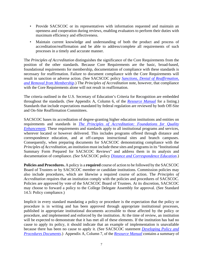- Provide SACSCOC or its representatives with information requested and maintain an openness and cooperation during reviews, enabling evaluators to perform their duties with maximum efficiency and effectiveness.
- Maintain current knowledge and understanding of both the product and process of accreditation/reaffirmation and be able to address/complete all requirements of such processes in a timely and accurate manner.

The *Principles of Accreditation* distinguishes the significance of the Core Requirements from the position of the other standards. Because Core Requirements are the basic, broad-based, foundational requirements for membership, documentation of compliance with these standards is necessary for reaffirmation. Failure to document compliance with the Core Requirements will result in sanction or adverse action. (See SACSCOC policy *[Sanctions, Denial of Reaffirmation,](http://sacscoc.org/app/uploads/2019/07/sanctionpolicy.pdf)  [and Removal from Membership](http://sacscoc.org/app/uploads/2019/07/sanctionpolicy.pdf)*.) The *Principles of Accreditation* note, however, that compliance with the Core Requirements alone will not result in reaffirmation.

The criteria outlined in the U.S. Secretary of Education's Criteria for Recognition are embedded throughout the standards. (See Appendix A, Column 6, of the *[Resource Manual](http://sacscoc.org/app/uploads/2019/08/2018-POA-Resource-Manual.pdf)* for a listing.) Standards that include expectations mandated by federal regulation are reviewed by both Off-Site and On-Site Reaffirmation Committees.

SACSCOC bases its accreditation of degree-granting higher education institutions and entities on requirements and standards in *[The Principles of Accreditation: Foundations for Quality](http://sacscoc.org/app/uploads/2019/08/2018PrinciplesOfAcreditation.pdf)  Enhancement*. These requirements and standards apply to all institutional programs and services, wherever located or however delivered. This includes programs offered through distance and correspondence education, and at off-campus instructional sites and branch campuses. Consequently, when preparing documents for SACSCOC demonstrating compliance with the *Principles of Accreditation*, an institution must include these sites and programs in its "Institutional Summary Form Prepared for SACSCOC Reviews" and address them in its analysis and documentation of compliance. *(See* SACSCOC policy *[Distance and Correspondence Education](http://sacscoc.org/app/uploads/2019/07/DistanceCorrespondenceEducation.pdf)*.)

**Policies and Procedures.** A policy is a **required** course of action to be followed by the SACSCOC Board of Trustees or by SACSCOC member or candidate institutions. Commission policies may also include procedures, which are likewise a required course of action. The *Principles of Accreditation* requires that an institution comply with the policies and procedures of SACSCOC. Policies are approved by vote of the SACSCOC Board of Trustees. At its discretion, SACSCOC may choose to forward a policy to the College Delegate Assembly for approval. (See Standard 14.5: Policy compliance.)

Implicit in every standard mandating a policy or procedure is the expectation that the policy or procedure is in writing and has been approved through appropriate institutional processes, published in appropriate institutional documents accessible to those affected by the policy or procedure, and implemented and enforced by the institution. At the time of review, an institution will be expected to demonstrate that it has met all of these elements. If the institution has had no cause to apply its policy, it should indicate that an example of implementation is unavailable because there has been no cause to apply it. (See SACSCOC statement *[Developing Policy and](http://sacscoc.org/app/uploads/2019/08/best-practices-for-policy-development-final.pdf)  [Procedures Documents](http://sacscoc.org/app/uploads/2019/08/best-practices-for-policy-development-final.pdf)*.) Appendix A, Column 7, of the *[Resource Manual](http://sacscoc.org/app/uploads/2019/08/2018-POA-Resource-Manual.pdf)* contains a summary of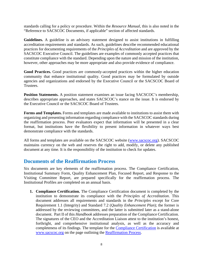standards calling for a policy or procedure. Within the *Resource Manual*, this is also noted in the "Reference to SACSCOC Documents, if applicable" section of affected standards.

**Guidelines.** A guideline is an advisory statement designed to assist institutions in fulfilling accreditation requirements and standards. As such, guidelines describe recommended educational practices for documenting requirements of the *Principles of Accreditation* and are approved by the SACSCOC Executive Council. The guidelines are examples of commonly accepted practices that constitute compliance with the standard. Depending upon the nature and mission of the institution, however, other approaches may be more appropriate and also provide evidence of compliance.

**Good Practices.** Good practices are commonly-accepted practices within the higher education community that enhance institutional quality. Good practices may be formulated by outside agencies and organizations and endorsed by the Executive Council or the SACSCOC Board of Trustees.

**Position Statements.** A position statement examines an issue facing SACSCOC's membership, describes appropriate approaches, and states SACSCOC's stance on the issue. It is endorsed by the Executive Council or the SACSCOC Board of Trustees.

**Forms and Templates.** Forms and templates are made available to institutions to assist them with organizing and presenting information regarding compliance with the SACSCOC standards during the reaffirmation process. Peer evaluators expect that information will be presented in a clear format, but institutions have the flexibility to present information in whatever ways best demonstrate compliance with the standards.

All forms and templates are available on the SACSCOC website [\(www.sacscoc.org\)](http://www.sacscoc.org/). SACSCOC maintains currency on the web and reserves the right to add, modify, or delete any published document at any time. It is the responsibility of the institution to check for updates.

#### <span id="page-14-0"></span>**Documents of the Reaffirmation Process**

Six documents are key elements of the reaffirmation process. The Compliance Certification, Institutional Summary Form, Quality Enhancement Plan, Focused Report, and Response to the Visiting Committee Report, are prepared specifically for the reaffirmation process. The Institutional Profiles are completed on an annual basis.

**1. Compliance Certification.** The Compliance Certification document is completed by the institution to demonstrate its compliance with the *Principles of Accreditation*. This document addresses all requirements and standards in the *Principles* except for Core Requirement 1.1 (Integrity) and Standard 7.2 (*Quality Enhancement Plan*); the former is addressed by the reviewing committees, and the latter is submitted later as a stand-alone document. Part II of this *Handbook* addresses preparation of the Compliance Certification. The signatures of the CEO and the Accreditation Liaison attest to the institution's honest, forthright, and comprehensive institutional analysis, as well as the accuracy and completeness of its findings. The template for the [Compliance Certification](http://sacscoc.org/app/uploads/2019/07/Compliance-Certifcation-2018.docx) is available at [www.sacscoc.org](http://www.sacscoc.org/) on the page outlining the [Reaffirmation Process.](http://sacscoc.org/accrediting-standards/reaffirmation-process/)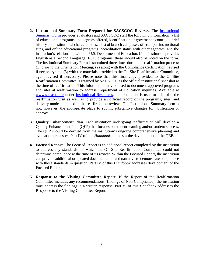- **2. Institutional Summary Form Prepared for SACSCOC Reviews.** The [Institutional](http://sacscoc.org/app/uploads/2020/03/Summary-Form-for-SACSCOC-Review.docx)  [Summary Form](http://sacscoc.org/app/uploads/2020/03/Summary-Form-for-SACSCOC-Review.docx) provides evaluators and SACSCOC staff the following information: a list of educational programs and degrees offered, identification of governance control, a brief history and institutional characteristics, a list of branch campuses, off-campus instructional sites, and online educational programs, accreditation status with other agencies, and the institution's relationship with the U.S. Department of Education. If the institution provides English as a Second Language (ESL) programs, these should also be noted on the form. The Institutional Summary Form is submitted three times during the reaffirmation process: (1) prior to the Orientation Meeting; (2) along with the Compliance Certification, revised if necessary; and (3) with the materials provided to the On-Site Reaffirmation Committee, again revised if necessary. Please note that this final copy provided to the On-Site Reaffirmation Committee is retained by SACSCOC as the official institutional snapshot at the time of reaffirmation. This information may be used to document approved programs and sites at reaffirmation to address Department of Education inquiries. Available at [www.sacscoc.org](http://www.sacscoc.org/) under [Institutional Resources,](http://sacscoc.org/accrediting-standards/institution-resources/) this document is used to help plan the reaffirmation visit as well as to provide an official record of the programs, sites, and delivery modes included in the reaffirmation review. The Institutional Summary form is not, however, the appropriate place to submit substantive changes for notification or approval.
- **3. Quality Enhancement Plan.** Each institution undergoing reaffirmation will develop a Quality Enhancement Plan (QEP) that focuses on student learning and/or student success. The QEP should be derived from the institution's ongoing comprehensive planning and evaluation processes. Part IV of this *Handbook* addresses the development of the QEP.
- **4. Focused Report.** The Focused Report is an additional report completed by the institution to address any standards for which the Off-Site Reaffirmation Committee could not determine compliance at the time of its review. Within the Focused Report, the institution can provide additional or updated documentation and narrative to demonstrate compliance with those standards in question. Part IV of this *Handbook* addresses development of the Focused Report.
- **5. Response to the Visiting Committee Report.** If the Report of the Reaffirmation Committee includes any recommendations (findings of Non-Compliance), the institution must address the findings in a written response. Part VI of this *Handbook* addresses the Response to the Visiting Committee Report.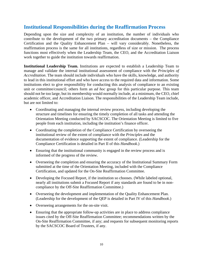### <span id="page-16-0"></span>**Institutional Responsibilities during the Reaffirmation Process**

Depending upon the size and complexity of an institution, the number of individuals who contribute to the development of the two primary accreditation documents – the Compliance Certification and the Quality Enhancement Plan – will vary considerably. Nonetheless, the reaffirmation process is the same for all institutions, regardless of size or mission. The process functions most effectively when the Leadership Team, the CEO, and the Accreditation Liaison work together to guide the institution towards reaffirmation.

**Institutional Leadership Team.** Institutions are expected to establish a Leadership Team to manage and validate the internal institutional assessment of compliance with the *Principles of Accreditation*. The team should include individuals who have the skills, knowledge, and authority to lead in this institutional effort and who have access to the required data and information. Some institutions elect to give responsibility for conducting this analysis of compliance to an existing unit or committee/council; others form an *ad hoc* group for this particular purpose. This team should not be too large, but its membership would normally include, at a minimum, the CEO, chief academic officer, and Accreditation Liaison. The responsibilities of the Leadership Team include, but are not limited to:

- Coordinating and managing the internal review process, including developing the structure and timelines for ensuring the timely completion of all tasks and attending the Orientation Meeting conducted by SACSCOC. The Orientation Meeting is limited to five people from each institution, including the institution's finance officer.
- Coordinating the completion of the Compliance Certification by overseeing the institutional review of the extent of compliance with the *Principles* and the documentation of evidence supporting the extent of compliance. (Leadership for the Compliance Certification is detailed in Part II of this *Handbook*.)
- Ensuring that the institutional community is engaged in the review process and is informed of the progress of the review.
- Overseeing the completion and ensuring the accuracy of the Institutional Summary Form submitted at the time of the Orientation Meeting, included with the Compliance Certification, and updated for the On-Site Reaffirmation Committee.
- Developing the Focused Report, if the institution so chooses. (While labeled optional, nearly all institutions submit a Focused Report if any standards are found to be in noncompliance by the Off-Site Reaffirmation Committee.)
- Overseeing the development and implementation of the Quality Enhancement Plan. (Leadership for the development of the QEP is detailed in Part IV of this *Handbook*.)
- Overseeing arrangements for the on-site visit.
- Ensuring that the appropriate follow-up activities are in place to address compliance issues cited by the Off-Site Reaffirmation Committee; recommendations written by the On-Site Reaffirmation Committee, if any; and requests for subsequent monitoring reports by the SACSCOC Board of Trustees, if any.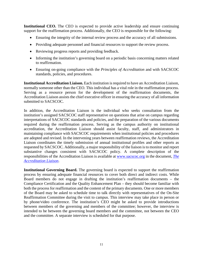**Institutional CEO.** The CEO is expected to provide active leadership and ensure continuing support for the reaffirmation process. Additionally, the CEO is responsible for the following:

- Ensuring the integrity of the internal review process and the accuracy of all submissions.
- Providing adequate personnel and financial resources to support the review process.
- Reviewing progress reports and providing feedback.
- Informing the institution's governing board on a periodic basis concerning matters related to reaffirmation.
- Ensuring on-going compliance with the *Principles of Accreditation* and with SACSCOC standards, policies, and procedures.

**Institutional Accreditation Liaison.** Each institution is required to have an Accreditation Liaison, normally someone other than the CEO. This individual has a vital role in the reaffirmation process. Serving as a resource person for the development of the reaffirmation documents, the Accreditation Liaison assists the chief executive officer in ensuring the accuracy of all information submitted to SACSCOC.

In addition, the Accreditation Liaison is the individual who seeks consultation from the institution's assigned SACSCOC staff representative on questions that arise on campus regarding interpretations of SACSCOC standards and policies, and the preparation of the various documents required during the reaffirmation process. Serving as the campus authority on institutional accreditation, the Accreditation Liaison should assist faculty, staff, and administrators in maintaining compliance with SACSCOC requirements when institutional policies and procedures are adopted and revised. In the intervening years between reaffirmation reviews, the Accreditation Liaison coordinates the timely submission of annual institutional profiles and other reports as requested by SACSCOC. Additionally, a major responsibility of the liaison is to monitor and report substantive changes consistent with SACSCOC policy. A complete description of the responsibilities of the Accreditation Liaison is available at [www.sacscoc.org](http://www.sacscoc.org/) in the document, *[The](http://sacscoc.org/app/uploads/2019/08/accreditation-liaison.pdf)  [Accreditation Liaison](http://sacscoc.org/app/uploads/2019/08/accreditation-liaison.pdf)*.

<span id="page-17-0"></span>**Institutional Governing Board.** The governing board is expected to support the reaffirmation process by ensuring adequate financial resources to cover both direct and indirect costs. While Board members do not engage in drafting the institution's reaffirmation documents – the Compliance Certification and the Quality Enhancement Plan – they should become familiar with both the process for reaffirmation and the content of the primary documents. One or more members of the Board may be asked to schedule time to talk directly with representatives of the On-Site Reaffirmation Committee during the visit to campus. This interview may take place in person or by phone/video conference. The institution's CEO might be asked to provide introductions between members of the governing and members of the committee; however, the interview is intended to be between the governing board members and the committee, not between the CEO and the committee. A separate interview is scheduled for that purpose.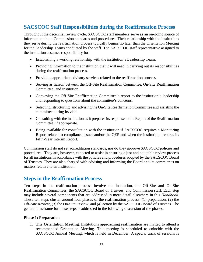### **SACSCOC Staff Responsibilities during the Reaffirmation Process**

Throughout the decennial review cycle, SACSCOC staff members serve as an on-going source of information about Commission standards and procedures. Their relationship with the institutions they serve during the reaffirmation process typically begins no later than the Orientation Meeting for the Leadership Teams conducted by the staff. The SACSCOC staff representative assigned to the institution assumes responsibility for:

- Establishing a working relationship with the institution's Leadership Team.
- Providing information to the institution that it will need in carrying out its responsibilities during the reaffirmation process.
- Providing appropriate advisory services related to the reaffirmation process.
- Serving as liaison between the Off-Site Reaffirmation Committee, On-Site Reaffirmation Committee, and institution.
- Conveying the Off-Site Reaffirmation Committee's report to the institution's leadership and responding to questions about the committee's concerns.
- Selecting, structuring, and advising the On-Site Reaffirmation Committee and assisting the committee during its visit.
- Consulting with the institution as it prepares its response to the Report of the Reaffirmation Committee, if appropriate.
- Being available for consultation with the institution if SACSCOC requires a Monitoring Report related to compliance issues and/or the QEP and when the institution prepares its Fifth-Year Interim Report.

Commission staff do not set accreditation standards, nor do they approve SACSCOC policies and procedures. They are, however, expected to assist in ensuring a just and equitable review process for all institutions in accordance with the policies and procedures adopted by the SACSCOC Board of Trustees. They are also charged with advising and informing the Board and its committees on matters relative to an institution.

### <span id="page-18-0"></span>**Steps in the Reaffirmation Process**

Ten steps in the reaffirmation process involve the institution, the Off-Site and On-Site Reaffirmation Committees, the SACSCOC Board of Trustees, and Commission staff. Each step may include several components that are addressed in more detail elsewhere in this *Handbook*. These ten steps cluster around four phases of the reaffirmation process: (1) preparation, (2) the Off-Site Review, (3) the On-Site Review, and (4) action by the SACSCOC Board of Trustees. The general timeframe for these steps is addressed in the following discussion of the phases.

#### **Phase 1: Preparation**

1. **The Orientation Meeting.** Institutions approaching reaffirmation are invited to attend a recommended Orientation Meeting. This meeting is scheduled to coincide with the SACSCOC Annual Meeting, which is held in December. A special track of sessions is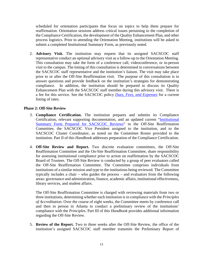scheduled for orientation participants that focus on topics to help them prepare for reaffirmation. Orientation sessions address critical issues pertaining to the completion of the Compliance Certification, the development of the Quality Enhancement Plan, and other process logistics. Prior to attending the Orientation Meeting, institutions will be asked to submit a completed Institutional Summary Form, as previously noted.

2. **Advisory Visit.** The institution may request that its assigned SACSCOC staff representative conduct an optional advisory visit as a follow-up to the Orientation Meeting. This consultation may take the form of a conference call, videoconference, or in-person visit to the campus. The timing of this consultation is determined in conversations between the SACSCOC staff representative and the institution's liaison. The visit may take place prior to or after the Off-Site Reaffirmation visit. The purpose of this consultation is to answer questions and provide feedback on the institution's strategies for demonstrating compliance. In addition, the institution should be prepared to discuss its Quality Enhancement Plan with the SACSCOC staff member during this advisory visit. There is a fee for this service. See the SACSCOC policy *[Dues, Fees, and Expenses](http://sacscoc.org/app/uploads/2019/08/Dues.pdf)* for a current listing of rates.

#### **Phase 2: Off-Site Review**

- 3. **Compliance Certification.** The institution prepares and submits its Compliance Certification, relevant supporting documentation, and an updated current ["Institutional](http://sacscoc.org/app/uploads/2020/03/Summary-Form-for-SACSCOC-Review.docx)  [Summary Form Prepared for SACSCOC](http://sacscoc.org/app/uploads/2020/03/Summary-Form-for-SACSCOC-Review.docx) Reviews" to the Off-Site Reaffirmation Committee, the SACSCOC Vice President assigned to the institution, and to the SACSCOC Cluster Coordinator, as noted on the Committee Roster provided to the institution. Part II of this *Handbook* addresses preparation of the Compliance Certification.
- 4. **Off-Site Review and Report.** Two discrete evaluation committees, the Off-Site Reaffirmation Committee and the On-Site Reaffirmation Committee, share responsibility for assessing institutional compliance prior to action on reaffirmation by the SACSCOC Board of Trustees. The Off-Site Review is conducted by a group of peer evaluators called the Off-Site Reaffirmation Committee. The Committee comprises individuals from institutions of a similar mission and type to the institutions being reviewed. The Committee typically includes a chair – who guides the process – and evaluators from the following areas: governance and administration, finance, academic affairs, institutional effectiveness, library services, and student affairs.

The Off-Site Reaffirmation Committee is charged with reviewing materials from two or three institutions, determining whether each institution is in compliance with the *Principles of Accreditation*. Over the course of eight weeks, the Committee meets by conference call and then in person in Atlanta to conduct a preliminary review of the institutions' compliance with the *Principles*. Part III of this *Handbook* provides additional information regarding the Off-Site Review.

5. **Review of the Report.** Two to three weeks after the Off-Site Review, the office of the institution's assigned SACSCOC staff member transmits the Preliminary Report of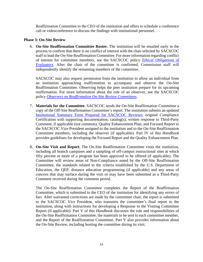Reaffirmation Committee to the CEO of the institution and offers to schedule a conference call or videoconference to discuss the findings with institutional personnel.

#### **Phase 3: On-Site Review**

6. **On-Site Reaffirmation Committee Roster.** The institution will be emailed early in the process to confirm that there is no conflict of interest with the chair selected by SACSCOC staff to lead the On-Site Reaffirmation Committee. For more information regarding conflict of interest for committee members, see the SACSCOC policy *[Ethical Obligations of](http://sacscoc.org/app/uploads/2020/01/Ethical-Obligations-Evaluators-1.pdf)  [Evaluators](http://sacscoc.org/app/uploads/2020/01/Ethical-Obligations-Evaluators-1.pdf)*. After the chair of the committee is confirmed, Commission staff will independently identify the remaining members of the committee.

SACSCOC may also request permission from the institution to allow an individual from an institution approaching reaffirmation to accompany and observe the On-Site Reaffirmation Committee. Observing helps the peer institution prepare for its upcoming reaffirmation. For more information about the role of an observer, see the SACSCOC policy *[Observers on Reaffirmation On-Site Review Committees](http://sacscoc.org/app/uploads/2019/08/observers.pdf)*.

- 7. **Materials for the Committee.** SACSCOC sends the On-Site Reaffirmation Committee a copy of the Off-Site Reaffirmation Committee's report. The institution submits an updated [Institutional Summary Form Prepared for SACSCOC](http://sacscoc.org/app/uploads/2020/03/Summary-Form-for-SACSCOC-Review.docx) Reviews; original Compliance Certification with supporting documentation; catalog(s); written response to Third-Party Comment, if applicable (not common); Quality Enhancement Plan; and Focused Report to the SACSCOC Vice President assigned to the institution and to the On-Site Reaffirmation Committee members, including the observer (if applicable). Part IV of this *Handbook* provides guidelines for developing the Focused Report and the Quality Enhancement Plan.
- 8. **On-Site Visit and Report.** The On-Site Reaffirmation Committee visits the institution, including all branch campuses and a sampling of off-campus instructional sites at which fifty percent or more of a program has been approved to be offered (if applicable). The Committee will review areas of Non-Compliance noted by the Off-Site Reaffirmation Committee, the standards related to the criteria established by the U.S. Department of Education, the QEP, distance education programming (if applicable) and any areas of concern that may surface during the visit or may have been submitted as a Third-Party Comment received during the comment period.

The On-Site Reaffirmation Committee completes the Report of the Reaffirmation Committee, which is submitted to the CEO of the institution for identifying any errors of fact. After warranted corrections are made by the committee chair, the report is submitted to the SACSCOC Vice President, who transmits the committee's final report to the institution, along with instructions for developing a Response to the Visiting Committee Report (if applicable). Part V of this *Handbook* discusses the role and responsibilities of the On-Site Reaffirmation Committee, the materials to be sent to each committee member, and the Report of the Reaffirmation Committee. Part V also provides information about the On-Site Review, including hosting the committee during its visit.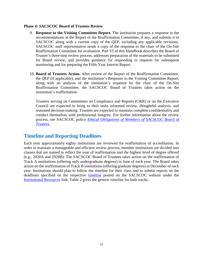#### **Phase 4: SACSCOC Board of Trustees Review**

- 9. **Response to the Visiting Committee Report.** The institution prepares a response to the recommendations in the Report of the Reaffirmation Committee, if any, and submits it to SACSCOC along with a current copy of the QEP, including any applicable revisions. SACSCOC staff representative sends a copy of the response to the chair of the On-Site Reaffirmation Committee for evaluation. Part VI of this *Handbook* describes the Board of Trustee's three-step review process, addresses preparation of the materials to be submitted for Board review, and provides guidance for responding to requests for subsequent monitoring and for preparing the Fifth-Year Interim Report.
- 10. **Board of Trustees Action.** After review of the Report of the Reaffirmation Committee, the QEP (if applicable), and the institution's Response to the Visiting Committee Report, along with an analysis of the institution's response by the chair of the On-Site Reaffirmation Committee, the SACSCOC Board of Trustees takes action on the institution's reaffirmation.

Trustees serving on Committees on Compliance and Reports (C&R) or on the Executive Council are expected to bring to their tasks informed review, thoughtful analysis, and reasoned decision-making. Trustees are expected to maintain complete confidentiality and conduct themselves with professional integrity. For further information about the review process, see SACSCOC policy *[Ethical Obligations of Members of SACSCOC Board of](http://sacscoc.org/app/uploads/2020/01/Ethical-Obligations.BoT_-1.pdf)  [Trustees](http://sacscoc.org/app/uploads/2020/01/Ethical-Obligations.BoT_-1.pdf)*.

#### <span id="page-21-0"></span>**Timeline and Reporting Deadlines**

Each year approximately eighty institutions are reviewed for reaffirmation of accreditation. In order to maintain a manageable and efficient review process, member institutions are divided into classes that are named to reflect the year of reaffirmation and the highest level of degree offered (e.g., 2020A and 2020B). The SACSCOC Board of Trustees takes action on the reaffirmation of Track A institutions (offering only undergraduate degrees) in June of each year. The Board takes action on the reaffirmation of Track B institutions (offering graduate degrees) in December of each year. Institutions should plan to follow the timeline for their class and to submit reports on the deadlines specified on the respective [timeline](http://sacscoc.org/app/uploads/2019/08/Time-Lines-for-Reaffirmation-Tracks.pdf) posted on the SACSCOC website under the [Institutional Resources](http://sacscoc.org/accrediting-standards/institution-resources/) link. Table 2 gives the generic timeline for both tracks.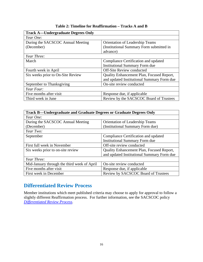| <b>Track A—Undergraduate Degrees Only</b> |                                            |  |
|-------------------------------------------|--------------------------------------------|--|
| Year One:                                 |                                            |  |
| During the SACSCOC Annual Meeting         | <b>Orientation of Leadership Teams</b>     |  |
| (December)                                | (Institutional Summary Form submitted in   |  |
|                                           | advance)                                   |  |
| Year Three:                               |                                            |  |
| March                                     | Compliance Certification and updated       |  |
|                                           | <b>Institutional Summary Form due</b>      |  |
| Fourth week in April                      | <b>Off-Site Review conducted</b>           |  |
| Six weeks prior to On-Site Review         | Quality Enhancement Plan, Focused Report,  |  |
|                                           | and updated Institutional Summary Form due |  |
| September to Thanksgiving                 | On-site review conducted                   |  |
| Year Four:                                |                                            |  |
| Five months after visit                   | Response due, if applicable                |  |
| Third week in June                        | Review by the SACSCOC Board of Trustees    |  |

**Table 2: Timeline for Reaffirmation – Tracks A and B**

| Track B-Undergraduate and Graduate Degrees or Graduate Degrees Only |                                            |  |
|---------------------------------------------------------------------|--------------------------------------------|--|
| Year One:                                                           |                                            |  |
| During the SACSCOC Annual Meeting                                   | <b>Orientation of Leadership Teams</b>     |  |
| (December)                                                          | (Institutional Summary Form due)           |  |
| Year Two:                                                           |                                            |  |
| September                                                           | Compliance Certification and updated       |  |
|                                                                     | <b>Institutional Summary Form due</b>      |  |
| First full week in November                                         | Off-site review conducted                  |  |
| Six weeks prior to on-site review                                   | Quality Enhancement Plan, Focused Report,  |  |
|                                                                     | and updated Institutional Summary Form due |  |
| Year Three:                                                         |                                            |  |
| Mid-January through the third week of April                         | On-site review conducted                   |  |
| Five months after visit                                             | Response due, if applicable                |  |
| First week in December                                              | Review by SACSCOC Board of Trustees        |  |

### **Differentiated Review Process**

Member institutions which meet published criteria may choose to apply for approval to follow a slightly different Reaffirmation process. For further information, see the SACSCOC policy *[Differentiated Review Process](http://sacscoc.org/app/uploads/2020/01/Differentiated-Review.pdf)*.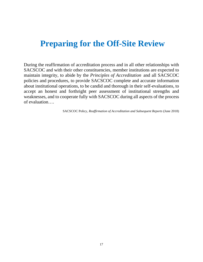# <span id="page-23-0"></span>**Preparing for the Off-Site Review**

During the reaffirmation of accreditation process and in all other relationships with SACSCOC and with their other constituencies, member institutions are expected to maintain integrity, to abide by the *Principles of Accreditation* and all SACSCOC policies and procedures, to provide SACSCOC complete and accurate information about institutional operations, to be candid and thorough in their self-evaluations, to accept an honest and forthright peer assessment of institutional strengths and weaknesses, and to cooperate fully with SACSCOC during all aspects of the process of evaluation….

SACSCOC Policy, *Reaffirmation of Accreditation and Subsequent Reports* (June 2018)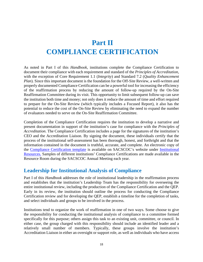# <span id="page-24-0"></span>**Part II COMPLIANCE CERTIFICATION**

<span id="page-24-1"></span>As noted in Part I of this *Handbook*, institutions complete the Compliance Certification to document their compliance with each requirement and standard of the *Principles of Accreditation*, with the exception of Core Requirement 1.1 (*Integrity*) and Standard 7.2 (*Quality Enhancement Plan*). Since this important document is the foundation for the Off-Site Review, a well-written and properly documented Compliance Certification can be a powerful tool for increasing the efficiency of the reaffirmation process by reducing the amount of follow-up required by the On-Site Reaffirmation Committee during its visit. This opportunity to limit subsequent follow-up can save the institution both time and money; not only does it reduce the amount of time and effort required to prepare for the On-Site Review (which typically includes a Focused Report), it also has the potential to reduce the cost of the On-Site Review by eliminating the need to expand the number of evaluators needed to serve on the On-Site Reaffirmation Committee.

Completion of the Compliance Certification requires the institution to develop a narrative and present documentation in support of the institution's case for compliance with the *Principles of Accreditation*. The Compliance Certification includes a page for the signatures of the institution's CEO and the Accreditation Liaison. By signing the document, these individuals certify that the process of the institutional self-assessment has been thorough, honest, and forthright and that the information contained in the document is truthful, accurate, and complete. An electronic copy of the [Compliance Certification template](http://sacscoc.org/app/uploads/2019/07/Compliance-Certifcation-2018.docx) is available on SACSCOC's website under [Institutional](http://sacscoc.org/accrediting-standards/institution-resources/)  [Resources.](http://sacscoc.org/accrediting-standards/institution-resources/) Samples of different institutions' Compliance Certifications are made available in the Resource Room during the SACSCOC Annual Meeting each year.

#### <span id="page-24-2"></span>**Leadership for Institutional Analysis of Compliance**

Part I of this *Handbook* addresses the role of institutional leadership in the reaffirmation process and establishes that the institution's Leadership Team has the responsibility for overseeing the entire institutional review, including the production of the Compliance Certification and the QEP. Early in its review, the institution should outline the process for conducting the Compliance Certification review and for developing the QEP, establish a timeline for the completion of tasks, and select individuals and groups to be involved in the process.

Institutions tend to organize the work of reaffirmation in one of two ways. Some choose to give the responsibility for conducting the institutional analysis of compliance to a committee formed specifically for this purpose; others assign this task to an existing unit, committee, or council. In either case, the group charged with this responsibility should include an identified leader and a relatively small number of members. Typically, these groups involve the institution's Accreditation Liaison in either an oversight or support role, as well as individuals who have access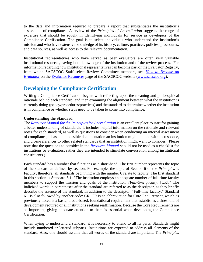to the data and information required to prepare a report that substantiates the institution's assessment of compliance. A review of the *Principles of Accreditation* suggests the range of expertise that should be sought in identifying individuals for service as developers of the Compliance Certification. The goal is to select individuals who understand the institution's mission and who have extensive knowledge of its history, culture, practices, policies, procedures, and data sources, as well as access to the relevant documentation.

Institutional representatives who have served as peer evaluators are often very valuable institutional resources, having both knowledge of the institution and of the review process. For information regarding how institutional representatives can become part of the Evaluator Registry, from which SACSCOC Staff select Review Committee members, see *[How to Become an](http://sacscoc.org/app/uploads/2020/01/How-to-Become-an-Evaluator.pdf)  [Evaluator](http://sacscoc.org/app/uploads/2020/01/How-to-Become-an-Evaluator.pdf)* on the [Evaluator](http://sacscoc.org/accrediting-standards/evaluator-resources/) Resources page of the SACSCOC website [\(www.sacscoc.org\)](http://www.sacscoc.org/).

#### <span id="page-25-0"></span>**Developing the Compliance Certification**

Writing a Compliance Certification begins with reflecting upon the meaning and philosophical rationale behind each standard; and then examining the alignment between what the institution is currently doing (policy/procedures/practices) and the standard to determine whether the institution is in compliance or whether steps need to be taken to come into compliance.

#### **Understanding the Standard**

The *Resource Manual [for the Principles for Accreditation](http://sacscoc.org/app/uploads/2019/08/2018-POA-Resource-Manual.pdf)* is an excellent place to start for gaining a better understanding of standards. It includes helpful information on the rationale and relevant notes for each standard, as well as questions to consider when conducting an internal assessment of compliance, ideas about possible documentation an institution might include with its response, and cross-references to other related standards that an institution might want to consider. (Please note that the questions to consider in the *[Resource Manual](http://sacscoc.org/app/uploads/2019/08/2018-POA-Resource-Manual.pdf)* should not be used as a checklist for institutions or evaluators; rather they are intended to stimulate conversation among institutional constituents.)

Each standard has a number that functions as a short-hand. The first number represents the topic of the standard as defined by section. For example, the topic of Section 6 of the *Principles* is Faculty; therefore, all standards beginning with the number 6 relate to faculty. The first standard in this section is Standard 6.1: "The institution employs an adequate number of full-time faculty members to support the mission and goals of the institution. *(Full-time faculty)* [CR]." The italicized words in parentheses after the standard are referred to as the descriptor, as they briefly describe the essence of the standard. In addition to the descriptor, "Full-time faculty," Standard 6.1 is also followed by another code: CR. CR is an abbreviation for Core Requirement, which as previously noted is a basic, broad-based, foundational requirement that establishes a threshold of development required of all institutions seeking reaffirmation. Because the Core Requirements are so important, giving adequate attention to them is essential when developing the Compliance Certification.

When trying to understand a standard, it is necessary to attend to all its parts. Standards might include numbered or lettered subparts. Institutions are expected to address all elements of the standard. Also, one should assume that all words of the standard are important. The *Principles*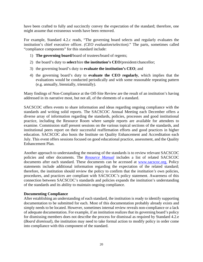have been crafted to fully and succinctly convey the expectation of the standard; therefore, one might assume that extraneous words have been removed.

For example, Standard 4.2.c reads, "The governing board selects and regularly evaluates the institution's chief executive officer. *(CEO evaluation/selection)*." The parts, sometimes called "compliance components" for this standard include:

- 1) **The governing board**/board of trustees/board of regents;
- 2) the board's duty to **select**/hire **the institution's CEO**/president/chancellor;
- 3) the governing board's duty to **evaluate the institution's CEO**; and
- 4) the governing board's duty to **evaluate the CEO regularly**, which implies that the evaluations would be conducted periodically and with some reasonable repeating pattern (e.g. annually, biennially, triennially).

Many findings of Non-Compliance at the Off-Site Review are the result of an institution's having addressed in its narrative most, but not all, of the elements of a standard.

SACSCOC offers events to share information and ideas regarding ongoing compliance with the standards and writing solid reports. The SACSCOC Annual Meeting each December offers a diverse array of information regarding the standards, policies, processes and good institutional practice, including the Resource Room where sample reports are available for attendees to examine. Commission staff present sessions on the various topical sections of the standards, and institutional peers report on their successful reaffirmation efforts and good practices in higher education. SACSCOC also hosts the Institute on Quality Enhancement and Accreditation each July. This event offers sessions focused on good educational practice, assessment, and the Quality Enhancement Plan.

Another approach to understanding the meaning of the standards is to review relevant SACSCOC policies and other documents. The *[Resource Manual](http://sacscoc.org/app/uploads/2019/08/2018-POA-Resource-Manual.pdf)* includes a list of related SACSCOC documents after each standard. These documents can be accessed at [www.sacscoc.org.](http://www.sacscoc.org/) Policy statements include additional information regarding the expectation of the related standard; therefore, the institution should review the policy to confirm that the *institution's* own policies, procedures, and practices are compliant with SACSCOC*'s* policy statement. Awareness of this connection between SACSCOC's standards and policies expands the institution's understanding of the standards and its ability to maintain ongoing compliance.

#### **Documenting Compliance**

After establishing an understanding of each standard, the institution is ready to identify supporting documentation to be submitted for each. Most of this documentation probably already exists and simply needs to be located. However, sometimes internal review reveals non-compliance or a lack of adequate documentation. For example, if an institution realizes that its governing board's policy for dismissing members does not describe the process for dismissal as required by Standard 4.2.e (*Board dismissal*), the institution may need to take formal action to modify policy in order come into compliance with this component of the standard.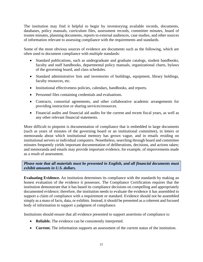The institution may find it helpful to begin by inventorying available records, documents, databases, policy manuals, curriculum files, assessment records, committee minutes, board of trustee minutes, planning documents, reports to external audiences, case studies, and other sources of information relevant to assessing compliance with the requirements and standards.

Some of the more obvious sources of evidence are documents such as the following, which are often used to document compliance with multiple standards:

- Standard publications, such as undergraduate and graduate catalogs, student handbooks, faculty and staff handbooks, departmental policy manuals, organizational charts, bylaws of the governing board, and class schedules.
- Standard administrative lists and inventories of buildings, equipment, library holdings, faculty resources, etc.
- Institutional effectiveness policies, calendars, handbooks, and reports.
- Personnel files containing credentials and evaluations.
- Contracts, consortial agreements, and other collaborative academic arrangements for providing instruction or sharing services/resources.
- Financial audits and financial aid audits for the current and recent fiscal years, as well as any other relevant financial statements.

More difficult to pinpoint is documentation of compliance that is embedded in large documents (such as years of minutes of the governing board or an institutional committee), in letters or memoranda about which institutional memory has grown vague, and in emails residing on institutional servers or individual computers. Nonetheless, searching through board and committee minutes frequently yields important documentation of deliberations, decisions, and actions taken; and memoranda and emails may provide important evidence, for example, of improvements made as a result of assessment.

#### *Please note that* **a***ll materials must be presented in English, and all financial documents must exhibit amounts in U.S. dollars.*

**Evaluating Evidence.** An institution determines its compliance with the standards by making an honest evaluation of the evidence it possesses. The Compliance Certification requires that the institution demonstrate that it has based its compliance decisions on compelling and appropriately documented evidence; therefore, the institution needs to evaluate the evidence it has assembled to support a claim of compliance with a requirement or standard. Evidence should not be assembled simply as a mass of facts, data, or exhibits. Instead, it should be presented as a coherent and focused body of information to support a judgment of compliance.

Institutions should ensure that all evidence presented to support assertions of compliance is:

- **Reliable.** The evidence can be consistently interpreted.
- **Current.** The information supports an assessment of the current status of the institution.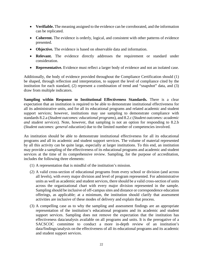- **Verifiable.** The meaning assigned to the evidence can be corroborated, and the information can be replicated.
- **Coherent.** The evidence is orderly, logical, and consistent with other patterns of evidence presented.
- **Objective.** The evidence is based on observable data and information.
- **Relevant.** The evidence directly addresses the requirement or standard under consideration.
- **Representative.** Evidence must reflect a larger body of evidence and not an isolated case.

Additionally, the body of evidence provided throughout the Compliance Certification should (1) be shaped, through reflection and interpretation, to support the level of compliance cited by the institution for each standard, (2) represent a combination of trend and "snapshot" data, and (3) draw from multiple indicators.

**Sampling within Response to Institutional Effectiveness Standards.** There is a clear expectation that an institution is required to be able to demonstrate institutional effectiveness for all its administrative units, and for all its educational programs and related academic and student support services; however, institutions may use sampling to demonstrate compliance with standards 8.2.a (*Student outcomes: educational programs*), and 8.2.c (*Student outcomes: academic and student services*). Note, however, that sampling is not an option for responding to 8.2.b (*Student outcomes: general education*) due to the limited number of competencies involved.

An institution should be able to demonstrate institutional effectiveness for all its educational programs and all its academic and student support services. The volume of material represented by all this activity can be quite large, especially at larger institutions. To this end, an institution may provide a sampling of the effectiveness of its educational programs and academic and student services at the time of its comprehensive review. Sampling, for the purpose of accreditation, includes the following three elements:

- (1) A representation that is mindful of the institution's mission.
- (2) A valid cross-section of educational programs from every school or division (and across all levels), with every major division and level of program represented. For administrative units as well as academic and student services, there should be a valid cross-section of units across the organizational chart with every major division represented in the sample. Sampling should be inclusive of off-campus sites and distance or correspondence education offerings, as applicable; at a minimum, the institution should clarify that assessment activities are inclusive of these modes of delivery and explain that process.
- (3) A compelling case as to why the sampling and assessment findings are an appropriate representation of the institution's educational programs and its academic and student support services. Sampling does not remove the expectation that the institution has effectiveness data/analysis available on all programs and units. It is the prerogative of a SACSCOC committee to conduct a more in-depth review of an institution's data/findings/analysis on the effectiveness of all its educational programs and its academic and student support services.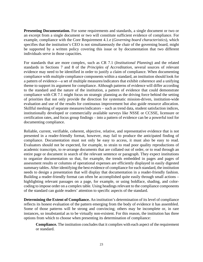**Presenting Documentation.** For some requirements and standards, a single document or two or an excerpt from a single document or two will constitute sufficient evidence of compliance. For example, compliance with the Core Requirement 4.1.e (*Governing board characteristics*), which specifies that the institution's CEO is not simultaneously the chair of the governing board, might be supported by a written policy covering this issue or by documentation that two different individuals serve in those capacities.

For standards that are more complex, such as CR 7.1 (*Institutional Planning*) and the related standards in Sections 7 and 8 of the *Principles of Accreditation*, several sources of relevant evidence may need to be identified in order to justify a claim of compliance. When documenting compliance with multiple compliance components within a standard, an institution should look for a pattern of evidence—a set of multiple measures/indicators that exhibit coherence and a unifying theme to support its argument for compliance. Although patterns of evidence will differ according to the standard and the nature of the institution, a pattern of evidence that could demonstrate compliance with CR 7.1 might focus on strategic planning as the driving force behind the setting of priorities that not only provide the direction for systematic mission-driven, institution-wide evaluation and use of the results for continuous improvement but also guide resource allocation. Skillful meshing of separate measures/indicators – such as trend data, student satisfaction indices, institutionally developed or commercially available surveys like NSSE or CCSSE, licensure or certification rates, and focus group findings – into a pattern of evidence can be a powerful tool for documenting compliance.

Reliable, current, verifiable, coherent, objective, relative, and representative evidence that is not presented in a reader-friendly format, however, may fail to produce the anticipated finding of compliance. Documentation must not only be easy to access, it must also be easy to read. Evaluators should not be expected, for example, to strain to read poor quality reproductions of academic transcripts, to re-arrange documents that are collated out of order, or to read through an entire page or document in search of the relevant sentence or paragraph. They expect institutions to organize documentation so that, for example, the trends embedded in pages and pages of assessment results or columns of operational expenses are efficiently displayed in easily digested summary tables. After identifying the best evidence of compliance for each standard, the institution needs to design a presentation that will display that documentation in a reader-friendly fashion. Building a reader-friendly format can often be accomplished quite easily through small actions – highlighting relevant passages on a page, for example, or using boldface, shading, and colorcoding to impose order on a complex table. Using headings relevant to the compliance components of the standard can guide readers' attention to specific aspects of the standard.

**Determining the Extent of Compliance.** An institution's determination of its level of compliance reflects its honest evaluation of the pattern emerging from the body of evidence it has assembled. Some of those patterns will be strong and convincing; others may be incomplete or, in rare instances, so insubstantial as to be virtually non-existent. For this reason, the institution has three options from which to choose when presenting its determination of compliance:

**Compliance.** The institution concludes that it complies with each aspect of the requirement or standard.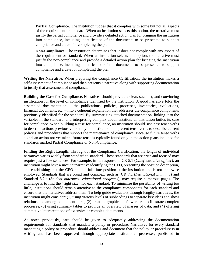**Partial Compliance.** The institution judges that it complies with some but not all aspects of the requirement or standard. When an institution selects this option, the narrative must justify the partial compliance and provide a detailed action plan for bringing the institution into compliance, including identification of the documents to be presented to support compliance and a date for completing the plan.

**Non-Compliance.** The institution determines that it does not comply with any aspect of the requirement or standard. When an institution selects this option, the narrative must justify the non-compliance and provide a detailed action plan for bringing the institution into compliance, including identification of the documents to be presented to support compliance and a date for completing the plan.

**Writing the Narrative.** When preparing the Compliance Certification, the institution makes a self-assessment of compliance and then presents a narrative along with supporting documentation to justify that assessment of compliance.

**Building the Case for Compliance.** Narratives should provide a clear, succinct, and convincing justification for the level of compliance identified by the institution. A good narrative folds the assembled documentation – the publications, policies, processes, inventories, evaluations, financial documents, etc. – into a coherent explanation that addresses the compliance components previously identified for the standard. By summarizing attached documentation, linking it to the variables in the standard, and interpreting complex documentation, an institution builds its case for compliance. When building a case for compliance, an institution should use past tense verbs to describe actions previously taken by the institution and present tense verbs to describe current policies and procedures that support the maintenance of compliance. Because future tense verbs signal an action not yet taken, future tense is typically found only in the action plans included for standards marked Partial Compliance or Non-Compliance.

Finding the Right Length. Throughout the Compliance Certification, the length of individual narratives varies widely from standard to standard. Those standards that are crisp and focused may require just a few sentences. For example, in its response to CR 5.1 (*Chief executive officer*), an institution might have a succinct narrative identifying the CEO, presenting the position description, and establishing that the CEO holds a full-time position at the institution and is not otherwise employed. Standards that are broad and complex, such as, CR 7.1 (*Institutional planning*) and Standard 8.2.a (*Student outcomes: educational programs*), may require numerous pages. The challenge is to find the "right size" for each standard. To minimize the possibility of writing too little, institutions should remain attentive to the compliance components for each standard and ensure that the narratives address them. To help guide evaluators through lengthy narratives, the institution might consider: (1) using various levels of subheadings to separate key ideas and show relationships among component parts, (2) creating graphics or flow charts to illustrate complex processes, (3) using summary tables to provide an overview of masses of data, and (4) offering summative interpretations of extensive or complex documents.

As noted previously, care should be given to adequately addressing the documentation requirements for standards that mandate a policy or procedure. Narratives for every standard mandating a policy or procedure should address and document that the policy or procedure is in writing and has been approved through appropriate institutional processes, published in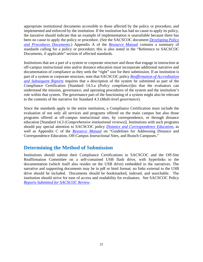appropriate institutional documents accessible to those affected by the policy or procedure, and implemented and enforced by the institution. If the institution has had no cause to apply its policy, the narrative should indicate that an example of implementation is unavailable because there has been no cause to apply the policy or procedure. (See the SACSCOC document *[Developing Policy](http://sacscoc.org/app/uploads/2019/08/best-practices-for-policy-development-final.pdf)  [and Procedures](http://sacscoc.org/app/uploads/2019/08/best-practices-for-policy-development-final.pdf) Documents*.) Appendix A of the *[Resource Manual](http://sacscoc.org/app/uploads/2019/08/2018-POA-Resource-Manual.pdf)* contains a summary of standards calling for a policy or procedure; this is also noted in the "Reference to SACSCOC Documents, if applicable" section of affected standards.

Institutions that are a part of a system or corporate structure and those that engage in instruction at off-campus instructional sites and/or distance education must incorporate additional narrative and documentation of compliance as they seek the "right" size for their submission. If an institution is part of a system or corporate structure, note that SACSCOC policy *[Reaffirmation of Accreditation](http://sacscoc.org/app/uploads/2019/08/ReaffirmationPolicy.pdf)  [and Subsequent Reports](http://sacscoc.org/app/uploads/2019/08/ReaffirmationPolicy.pdf)* requires that a description of the system be submitted as part of the Compliance Certification [Standard 14.5.a (*Policy compliance*)]so that the evaluators can understand the mission, governance, and operating procedures of the system and the institution's role within that system. The governance part of the functioning of a system might also be relevant to the contents of the narrative for Standard 4.3 (*Multi-level governance*).

Since the standards apply to the entire institution, a Compliance Certification must include the evaluation of not only all services and programs offered on the main campus but also those programs offered at off-campus instructional sites, by correspondence, or through distance education [Standard 14.3 (*Comprehensive institutional reviews*)]. Institutions with such programs should pay special attention to SACSCOC policy *[Distance and Correspondence Education](http://sacscoc.org/app/uploads/2019/07/DistanceCorrespondenceEducation.pdf)*, as well as Appendix C of the *[Resource Manual](http://sacscoc.org/app/uploads/2019/08/2018-POA-Resource-Manual.pdf)* on "Guidelines for Addressing Distance and Correspondence Education, Off-Campus Instructional Sites, and Branch Campuses."

### <span id="page-31-0"></span>**Determining the Method of Submission**

Institutions should submit their Compliance Certifications to SACSCOC and the Off-Site Reaffirmation Committee on a self-contained USB flash drive, with hyperlinks to the documentation (which itself also resides on the USB drive) embedded in the narratives. The narrative and supporting documents may be in pdf or html format; no links external to the USB drive should be included. Documents should be bookmarked, indexed, and searchable. The institution should strive for ease of access and readability for evaluators. See SACSCOC Policy *[Reports Submitted for SACSCOC Review](http://sacscoc.org/app/uploads/2020/01/Reports-submitted-for-COC-review-1.pdf)*.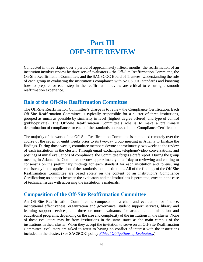# **Part III OFF-SITE REVIEW**

<span id="page-32-1"></span><span id="page-32-0"></span>Conducted in three stages over a period of approximately fifteen months, the reaffirmation of an institution involves review by three sets of evaluators – the Off-Site Reaffirmation Committee, the On-Site Reaffirmation Committee, and the SACSCOC Board of Trustees. Understanding the role of each group in evaluating the institution's compliance with SACSCOC standards and knowing how to prepare for each step in the reaffirmation review are critical to ensuring a smooth reaffirmation experience.

#### <span id="page-32-2"></span>**Role of the Off-Site Reaffirmation Committee**

The Off-Site Reaffirmation Committee's charge is to review the Compliance Certification. Each Off-Site Reaffirmation Committee is typically responsible for a cluster of three institutions, grouped as much as possible by similarity in level (highest degree offered) and type of control (public/private). The Off-Site Reaffirmation Committee's role is to make a preliminary determination of compliance for each of the standards addressed in the Compliance Certification.

The majority of the work of the Off-Site Reaffirmation Committee is completed remotely over the course of the seven or eight weeks prior to its two-day group meeting in Atlanta to finalize the findings. During those weeks, committee members devote approximately two weeks to the review of each institution in the cluster. Through email exchanges, telephone/video conversations, and postings of initial evaluations of compliance, the Committee forges a draft report. During the group meeting in Atlanta, the Committee devotes approximately a half-day to reviewing and coming to consensus on the preliminary findings for each standard for each institution and to ensuring consistency in the application of the standards to all institutions. All of the findings of the Off-Site Reaffirmation Committee are based solely on the content of an institution's Compliance Certification; no contact between the evaluators and the institutions is permitted, except in the case of technical issues with accessing the institution's materials.

#### <span id="page-32-3"></span>**Composition of the Off-Site Reaffirmation Committee**

An Off-Site Reaffirmation Committee is composed of a chair and evaluators for finance, institutional effectiveness, organization and governance, student support services, library and learning support services, and three or more evaluators for academic administration and educational programs, depending on the size and complexity of the institutions in the cluster. None of these evaluators may be from institutions in the same states as the main campus of the institutions in their cluster. When they accept the invitation to serve on an Off-Site Reaffirmation Committee, evaluators are asked to attest to having no conflict of interest with the institutions included in the cluster. (See SACSCOC policy *[Ethical Obligations of Evaluators](http://sacscoc.org/app/uploads/2020/01/Ethical-Obligations-Evaluators-1.pdf)*.)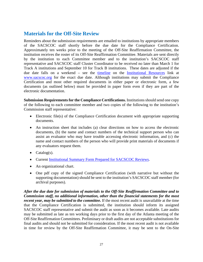#### <span id="page-33-0"></span>**Materials for the Off-Site Review**

Reminders about the submission requirements are emailed to institutions by appropriate members of the SACSCOC staff shortly before the due date for the Compliance Certification. Approximately ten weeks prior to the meeting of the Off-Site Reaffirmation Committee, the institution receives the roster of its Off-Site Reaffirmation Committee. Materials are sent directly by the institution to each Committee member and to the institution's SACSCOC staff representative and SACSCOC staff Cluster Coordinator to be received no later than March 1 for Track A institutions and September 10 for Track B institutions. These dates are adjusted if the due date falls on a weekend – see the [timeline](http://sacscoc.org/app/uploads/2019/08/Time-Lines-for-Reaffirmation-Tracks.pdf) on the [Institutional Resources](http://sacscoc.org/accrediting-standards/institution-resources/) link at [www.sacscoc.org](http://www.sacscoc.org/) for the exact due date. Although institutions may submit the Compliance Certification and most other required documents in either paper or electronic form, a few documents (as outlined below) must be provided in paper form even if they are part of the electronic documentation.

**Submission Requirements for the Compliance Certifications.** Institutions should send one copy of the following to each committee member and two copies of the following to the institution's Commission staff representative:

- Electronic file(s) of the Compliance Certification document with appropriate supporting documents.
- An instruction sheet that includes (a) clear directions on how to access the electronic documents, (b) the name and contact numbers of the technical support person who can assist an evaluator who may have trouble accessing electronic information, and (c) the name and contact numbers of the person who will provide print materials of documents if any evaluators request them.
- $\bullet$  Catalog(s).
- Current [Institutional Summary Form Prepared for SACSCOC](http://sacscoc.org/app/uploads/2020/03/Summary-Form-for-SACSCOC-Review.docx) Reviews.
- An organizational chart.
- One pdf copy of the signed Compliance Certification (with narrative but without the supporting documentation) should be sent to the institution's SACSCOC staff member (for archival purposes).

*After the due date for submission of materials to the Off-Site Reaffirmation Committee and to Commission staff, no additional information, other than the financial statements for the most recent year, may be submitted to the committee.* If the most recent audit is unavailable at the time that the Compliance Certification is submitted, the institution should inform its assigned SACSCOC staff representative and submit the audit as soon as it becomes available. Late audits may be submitted as late as ten working days prior to the first day of the Atlanta meeting of the Off-Site Reaffirmation Committees. Preliminary or draft audits are not acceptable substitutions for final audits and should not be submitted for consideration. If the most recent audit is not available in time for review by the Off-Site Reaffirmation Committee, it may be sent to the On-Site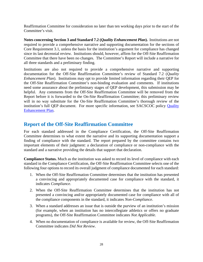Reaffirmation Committee for consideration no later than ten working days prior to the start of the Committee's visit.

**Notes concerning Section 3 and Standard 7.2 (***Quality Enhancement Plan***).** Institutions are not required to provide a comprehensive narrative and supporting documentation for the sections of Core Requirement 3.1, unless the basis for the institution's argument for compliance has changed since its last decennial review. Institutions should, however, affirm for the Off-Site Reaffirmation Committee that there have been no changes. The Committee's Report will include a narrative for all three standards and a preliminary finding.

Institutions are also not required to provide a comprehensive narrative and supporting documentation for the Off-Site Reaffirmation Committee's review of Standard 7.2 (*Quality Enhancement Plan*). Institutions may opt to provide limited information regarding their QEP for the Off-Site Reaffirmation Committee's non-binding evaluation and comments. If institutions need some assurance about the preliminary stages of QEP development, this submission may be helpful. Any comments from the Off-Site Reaffirmation Committee will be removed from the Report before it is forwarded to the On-Site Reaffirmation Committee; this preliminary review will in no way substitute for the On-Site Reaffirmation Committee's thorough review of the institution's full QEP document. For more specific information, see SACSCOC policy [Quality](http://sacscoc.org/app/uploads/2020/01/Quality-Enhancement-Plan-1.pdf)  [Enhancement Plan.](http://sacscoc.org/app/uploads/2020/01/Quality-Enhancement-Plan-1.pdf)

#### <span id="page-34-0"></span>**Report of the Off-Site Reaffirmation Committee**

For each standard addressed in the Compliance Certification, the Off-Site Reaffirmation Committee determines to what extent the narrative and its supporting documentation support a finding of compliance with the standard. The report prepared by the committee contains two important elements of their judgment: a declaration of compliance or non-compliance with the standard and a narrative providing the details that support that declaration.

**Compliance Status.** Much as the institution was asked to record its level of compliance with each standard in the Compliance Certification, the Off-Site Reaffirmation Committee selects one of the following four options to record its overall judgment of compliance documented for each standard:

- 1. When the Off-Site Reaffirmation Committee determines that the institution has presented a convincing and appropriately documented case for compliance with the standard, it indicates *Compliance*.
- 2. When the Off-Site Reaffirmation Committee determines that the institution has not presented a convincing and/or appropriately documented case for compliance with all of the compliance components in the standard, it indicates *Non-Compliance*.
- 3. When a standard addresses an issue that is outside the purview of an institution's mission (for example, when an institution has no intercollegiate athletics or offers no graduate programs), the Off-Site Reaffirmation Committee indicates *Not Applicable*.
- 4. When no documentation of compliance is available for review, the Off-Site Reaffirmation Committee indicates *Did Not Review*.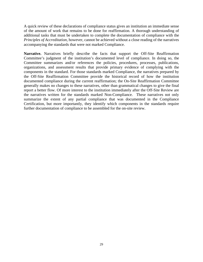A quick review of these declarations of compliance status gives an institution an immediate sense of the amount of work that remains to be done for reaffirmation. A thorough understanding of additional tasks that must be undertaken to complete the documentation of compliance with the *Principles of Accreditation*, however, cannot be achieved without a close reading of the narratives accompanying the standards that were not marked Compliance.

**Narrative.** Narratives briefly describe the facts that support the Off-Site Reaffirmation Committee's judgment of the institution's documented level of compliance. In doing so, the Committee summarizes and/or references the policies, procedures, processes, publications, organizations, and assessment results that provide primary evidence of complying with the components in the standard. For those standards marked Compliance, the narratives prepared by the Off-Site Reaffirmation Committee provide the historical record of how the institution documented compliance during the current reaffirmation; the On-Site Reaffirmation Committee generally makes no changes to these narratives, other than grammatical changes to give the final report a better flow. Of more interest to the institution immediately after the Off-Site Review are the narratives written for the standards marked Non-Compliance. These narratives not only summarize the extent of any partial compliance that was documented in the Compliance Certification, but more importantly, they identify which components in the standards require further documentation of compliance to be assembled for the on-site review.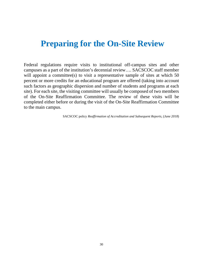## **Preparing for the On-Site Review**

Federal regulations require visits to institutional off-campus sites and other campuses as a part of the institution's decennial review…. SACSCOC staff member will appoint a committee(s) to visit a representative sample of sites at which 50 percent or more credits for an educational program are offered (taking into account such factors as geographic dispersion and number of students and programs at each site). For each site, the visiting committee will usually be composed of two members of the On-Site Reaffirmation Committee. The review of these visits will be completed either before or during the visit of the On-Site Reaffirmation Committee to the main campus.

SACSCOC policy *Reaffirmation of Accreditation and Subsequent Reports*, (*June 2018*)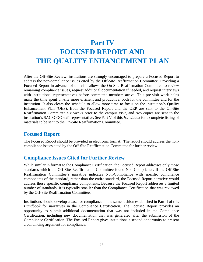# **Part IV FOCUSED REPORT AND THE QUALITY ENHANCEMENT PLAN**

After the Off-Site Review, institutions are strongly encouraged to prepare a Focused Report to address the non-compliance issues cited by the Off-Site Reaffirmation Committee. Providing a Focused Report in advance of the visit allows the On-Site Reaffirmation Committee to review remaining compliance issues, request additional documentation if needed, and request interviews with institutional representatives before committee members arrive. This pre-visit work helps make the time spent on-site more efficient and productive, both for the committee and for the institution. It also clears the schedule to allow more time to focus on the institution's Quality Enhancement Plan (QEP). Both the Focused Report and the QEP are sent to the On-Site Reaffirmation Committee six weeks prior to the campus visit, and two copies are sent to the institution's SACSCOC staff representative. See Part V of this *Handbook* for a complete listing of materials to be sent to the On-Site Reaffirmation Committee.

## **Focused Report**

The Focused Report should be provided in electronic format. The report should address the noncompliance issues cited by the Off-Site Reaffirmation Committee for further review.

### **Compliance Issues Cited for Further Review**

While similar in format to the Compliance Certification, the Focused Report addresses only those standards which the Off-Site Reaffirmation Committee found Non-Compliance. If the Off-Site Reaffirmation Committee's narrative indicates Non-Compliance with specific compliance components of the standard, rather than the entire standard, the Focused Report narrative would address those specific compliance components. Because the Focused Report addresses a limited number of standards, it is typically smaller than the Compliance Certification that was reviewed by the Off-Site Reaffirmation Committee.

Institutions should develop a case for compliance in the same fashion established in Part II of this *Handbook* for narratives in the Compliance Certification. The Focused Report provides an opportunity to submit additional documentation that was not included in the Compliance Certification, including new documentation that was generated after the submission of the Compliance Certification. The Focused Report gives institutions a second opportunity to present a convincing argument for compliance.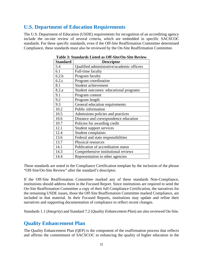## **U.S. Department of Education Requirements**

The U.S. Department of Education (USDE) requirements for recognition of an accrediting agency include the on-site review of several criteria, which are embedded in specific SACSCOC standards. For these specific standards, even if the Off-Site Reaffirmation Committee determined Compliance, these standards must also be reviewed by the On-Site Reaffirmation Committee.

| <b>Standard</b> | <b>Descriptor</b>                          |
|-----------------|--------------------------------------------|
| 5.4             | Qualified administrative/academic officers |
| 6.1             | Full-time faculty                          |
| 6.2.b           | Program faculty                            |
| 6.2.c           | Program coordination                       |
| 8.1             | Student achievement                        |
| 8.2.a           | Student outcomes: educational programs     |
| 9.1             | Program content                            |
| 9.2             | Program length                             |
| 9.3             | General education requirements             |
| 10.2            | Public information                         |
| 10.5            | Admissions policies and practices          |
| 10.6            | Distance and correspondence education      |
| 10.7            | Policies for awarding credit               |
| 12.1            | Student support services                   |
| 12.4            | Student complaints                         |
| 13.6            | Federal and state responsibilities         |
| 13.7            | Physical resources                         |
| 14.1            | Publication of accreditation status        |
| 14.3            | Comprehensive institutional reviews        |
| 14.4            | Representation to other agencies           |

**Table 3: Standards Listed as Off-Site/On-Site Review**

These standards are noted in the Compliance Certification template by the inclusion of the phrase "Off-Site/On-Site Review" after the standard's descriptor.

If the Off-Site Reaffirmation Committee marked any of these standards Non-Compliance, institutions should address them in the Focused Report. Since institutions are required to send the On-Site Reaffirmation Committee a copy of their full Compliance Certification, the narratives for the remaining USDE issues, those the Off-Site Reaffirmation Committee marked Compliance, are included in that material. In their Focused Reports, institutions may update and refine their narratives and supporting documentation of compliance to reflect recent changes.

Standards 1.1 (*Integrity*) and Standard 7.2 (*Quality Enhancement Plan*) are also reviewed On-Site.

### **Quality Enhancement Plan**

The Quality Enhancement Plan (QEP) is the component of the reaffirmation process that reflects and affirms the commitment of SACSCOC to enhancing the quality of higher education in the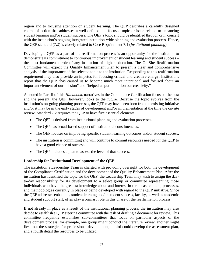region and to focusing attention on student learning. The QEP describes a carefully designed course of action that addresses a well-defined and focused topic or issue related to enhancing student learning and/or student success. The QEP's topic should be identified through or in concert with the institution's ongoing integrated institution-wide planning and evaluation process. Hence, the QEP standard (7.2) is closely related to Core Requirement 7.1 (*Institutional planning*).

Developing a QEP as a part of the reaffirmation process is an opportunity for the institution to demonstrate its commitment to continuous improvement of student learning and student success – the most fundamental role of any institution of higher education. The On-Site Reaffirmation Committee will expect the Quality Enhancement Plan to present a clear and comprehensive analysis of the importance of the selected topic to the institution. Responding to this reaffirmation requirement may also provide an impetus for focusing critical and creative energy. Institutions report that the QEP "has caused us to become much more intentional and focused about an important element of our mission" and "helped us put in motion our creativity."

As noted in Part II of this *Handbook*, narratives in the Compliance Certification focus on the past and the present; the QEP, however, looks to the future. Because the topic evolves from the institution's on-going planning processes, the QEP may have been born from an existing initiative and/or it may be in the early stages of development and/or implementation at the time the on-site review. Standard 7.2 requires the QEP to have five essential elements:

- The QEP is derived from institutional planning and evaluation processes.
- The QEP has broad-based support of institutional constituencies.
- The QEP focuses on improving specific student learning outcomes and/or student success.
- The institution is committing and will continue to commit resources needed for the QEP to have a good chance of success.
- The OEP includes a plan to assess the level of that success.

#### **Leadership for Institutional Development of the QEP**

The institution's Leadership Team is charged with providing oversight for both the development of the Compliance Certification and the development of the Quality Enhancement Plan. After the institution has identified the topic for the QEP, the Leadership Team may wish to assign the dayto-day responsibility for its development to a select group or committee representing those individuals who have the greatest knowledge about and interest in the ideas, content, processes, and methodologies currently in place or being developed with regard to the QEP initiative. Since the QEP addresses enhancing student learning and/or student success, faculty, as well as academic and student support staff, often play a primary role in this phase of the reaffirmation process.

If not already in place as a result of the institutional planning process, the institution may also decide to establish a QEP steering committee with the task of drafting a document for review. This committee frequently establishes sub-committees that focus on particular aspects of the development process; for example, one group might conduct the literature review, another might flesh out the strategies for professional development, a third could develop the assessment plan, and a fourth detail the resources to be utilized.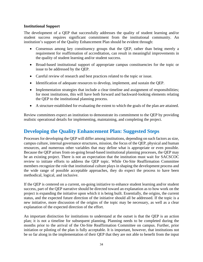#### **Institutional Support**

The development of a QEP that successfully addresses the quality of student learning and/or student success requires significant commitment from the institutional community. An institution's support of the Quality Enhancement Plan should be evident through:

- Consensus among key constituency groups that the QEP, rather than being merely a requirement for reaffirmation of accreditation, can result in meaningful improvements in the quality of student learning and/or student success.
- Broad-based institutional support of appropriate campus constituencies for the topic or issue to be addressed by the QEP.
- Careful review of research and best practices related to the topic or issue.
- Identification of adequate resources to develop, implement, and sustain the QEP.
- Implementation strategies that include a clear timeline and assignment of responsibilities; for most institutions, this will have both forward and backward-looking elements relating the QEP to the institutional planning process.
- A structure established for evaluating the extent to which the goals of the plan are attained.

Review committees expect an institution to demonstrate its commitment to the QEP by providing realistic operational details for implementing, maintaining, and completing the project.

## **Developing the Quality Enhancement Plan: Suggested Steps**

Processes for developing the QEP will differ among institutions, depending on such factors as size, campus culture, internal governance structures, mission, the focus of the QEP, physical and human resources, and numerous other variables that may define what is appropriate or even possible. Because the QEP arises from on-going broad-based institutional planning processes, the QEP may be an existing project. There is not an expectation that the institution must wait for SACSCOC review to initiate efforts to address the QEP topic. While On-Site Reaffirmation Committee members recognize the role that institutional culture plays in shaping the development process and the wide range of possible acceptable approaches, they do expect the process to have been methodical, logical, and inclusive.

If the QEP is centered on a current, on-going initiative to enhance student learning and/or student success, part of the QEP narrative should be directed toward an explanation as to how work on the project is expanding the initiative upon which it is being built. Essentially, the origins, the current status, and the expected future direction of the initiative should all be addressed. If the topic is a new initiative, more discussion of the origins of the topic may be necessary, as well as a clear explanation of the expected direction of the effort.

An important distinction for institutions to understand at the outset is that the QEP is an action plan; it is not a timeline for subsequent planning. Planning needs to be completed during the months prior to the arrival of the On-Site Reaffirmation Committee on campus. Further, prior initiation or piloting of the plan is fully acceptable. It is important, however, that institutions not be so far along in the implementation of their QEP that they are not able to benefit from the input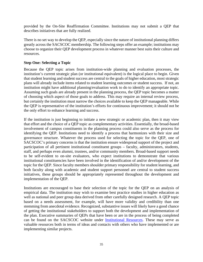provided by the On-Site Reaffirmation Committee. Institutions may not submit a QEP that describes initiatives that are fully realized.

There is no set way to develop the QEP, especially since the nature of institutional planning differs greatly across the SACSCOC membership. The following steps offer an example; institutions may choose to organize their QEP development process in whatever manner best suits their culture and resources.

#### **Step One: Selecting a Topic**

Because the QEP topic arises from institution-wide planning and evaluation processes, the institution's current strategic plan (or institutional equivalent) is the logical place to begin. Given that student learning and student success are central to the goals of higher education, most strategic plans will already include items related to student learning outcomes or student success. If not, an institution might have additional planning/evaluation work to do to identify an appropriate topic. Assuming such goals are already present in the planning process, the QEP topic becomes a matter of choosing which aspect of those goals to address. This may require an internal review process, but certainly the institution must narrow the choices available to keep the QEP manageable. While the QEP is representative of the institution's efforts for continuous improvement; it should not be the only effort to enhance learning and success.

If the institution is just beginning to initiate a new strategic or academic plan, then it may view that effort and the choice of a QEP topic as complementary activities. Essentially, the broad-based involvement of campus constituents in the planning process could also serve as the process for identifying the QEP. Institutions need to identify a process that harmonizes with their size and governance structure. Whatever the process used for selecting the topic for the QEP, one of SACSCOC's primary concerns is that the institution ensure widespread support of the project and participation of all pertinent institutional constituent groups – faculty, administrators, students, staff, and perhaps even alumni, trustees, and/or community members. Broad-based support needs to be self-evident to on-site evaluators, who expect institutions to demonstrate that various institutional constituencies have been involved in the identification of and/or development of the topic for the QEP. Since faculty members shoulder primary responsibility for student learning, and both faculty along with academic and student support personnel are central to student success initiatives, these groups should be appropriately represented throughout the development and implementation of the QEP.

Institutions are encouraged to base their selection of the topic for the QEP on an analysis of empirical data. The institution may wish to examine best practice studies in higher education as well as national and peer group data derived from other carefully designed research. A QEP topic based on a needs assessment, for example, will have more validity and credibility than one stemming from anecdotal evidence. Recognized, substantive issues will likely have a good chance of getting the institutional stakeholders to support both the development and implementation of the plan. Executive summaries of QEPs that have been or are in the process of being completed can be found on the SACSCOC website under [Institutional Resources.](http://sacscoc.org/accrediting-standards/institution-resources/) These may serve as valuable resources both in terms of ideas and contacts with others who have implemented or are implementing similar projects.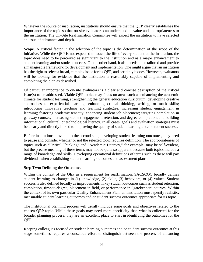Whatever the source of inspiration, institutions should ensure that the QEP clearly establishes the importance of the topic so that on-site evaluators can understand its value and appropriateness to the institution. The On-Site Reaffirmation Committee will expect the institution to have selected an issue of substance and depth.

**Scope.** A critical factor in the selection of the topic is the determination of the scope of the initiative. While the QEP is not expected to touch the life of every student at the institution, the topic does need to be perceived as significant to the institution and as a major enhancement to student learning and/or student success. On the other hand, it also needs to be tailored and provide a manageable framework for development and implementation. One might argue that an institution has the right to select a broad, complex issue for its QEP, and certainly it does. However, evaluators will be looking for evidence that the institution is reasonably capable of implementing and completing the plan as described.

Of particular importance to on-site evaluators is a clear and concise description of the critical issue(s) to be addressed. Viable QEP topics may focus on areas such as enhancing the academic climate for student learning, strengthening the general education curriculum; developing creative approaches to experiential learning; enhancing critical thinking, writing, or math skills; introducing innovative teaching and learning strategies; increasing student engagement in learning; fostering academic tenacity; enhancing student job placement; targeting completion in gateway courses; increasing student engagement, retention, and degree completion; and building informational, cultural, or technological literacy. In all cases, goals and evaluation strategies must be clearly and directly linked to improving the quality of student learning and/or student success.

Before institutions move on to the second step, developing student learning outcomes, they need to pause and consider whether or not the selected topic requires definition. The appropriateness of topics such as "Critical Thinking" and "Academic Literacy," for example, may be self-evident, but the precise meaning of these terms may not be quite so apparent because both topics include a range of knowledge and skills. Developing operational definitions of terms such as these will pay dividends when establishing student learning outcomes and assessment plans.

#### **Step Two: Defining the Outcomes**

Within the context of the QEP as a requirement for reaffirmation, SACSCOC broadly defines student learning as changes in (1) knowledge, (2) skills, (3) behaviors, or (4) values. Student success is also defined broadly as improvements in key student outcomes such as student retention, completion, time-to-degree, placement in field, or performance in "gatekeeper" courses. Within the context of its own particular Quality Enhancement Plan, an institution must specify realistic, measurable student learning outcomes and/or student success outcomes appropriate for its topic.

The institutional planning process will usually include some goals and objectives related to the chosen QEP topic. While these goals may need more specificity than what is collected for the broader planning process, they are an excellent place to start in identifying the outcomes for the QEP.

Keeping colleagues focused on student learning outcomes and/or student success outcomes at this stage sometimes requires a conscious effort to distinguish between the process of enhancing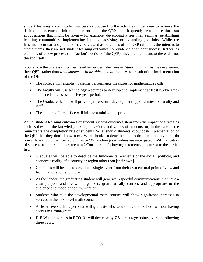student learning and/or student success as opposed to the activities undertaken to achieve the desired enhancements. Initial excitement about the QEP topic frequently results in enthusiasm about actions that might be taken – for example, developing a freshman seminar, establishing learning communities, implementing intrusive advising, or expanding job fairs. While the freshman seminar and job fairs may be viewed as outcomes of the QEP (after all, the intent is to create them), they are not student learning outcomes nor evidence of student success. Rather, as elements of a new process (the "action" portion of the QEP), they are the means to the end – not the end itself.

Notice how the process outcomes listed below describe *what institutions will do* as they implement their QEPs rather than *what students will be able to do or achieve* as a result of the implementation of the QEP.

- The college will establish baseline performance measures for mathematics skills.
- The faculty will use technology resources to develop and implement at least twelve webenhanced classes over a five-year period.
- The Graduate School will provide professional development opportunities for faculty and staff.
- The student affairs office will initiate a mini-grants program.

Actual student learning outcomes or student success outcomes stem from the impact of strategies such as these on the knowledge, skills, behaviors, and values of students, or, in the case of the mini-grants, the completion rate of students. What should students know post-implementation of the QEP that they don't know now? What should students be able to do then that they can't do now? How should their behavior change? What changes in values are anticipated? Will indicators of success be better than they are now? Consider the following statements in contrast to the earlier list:

- Graduates will be able to describe the fundamental elements of the social, political, and economic reality of a country or region other than [their own].
- Graduates will be able to describe a single event from their own cultural point of view and from that of another culture.
- As the sender, the graduating student will generate respectful communications that have a clear purpose and are well organized, grammatically correct, and appropriate to the audience and mode of communication.
- Students who take the developmental math courses will show significant increases in success in the next level math course.
- At least five students per year will graduate who would have left school without having access to a mini-grant.
- D-F-Withdraw rates in ECO101 will decrease by 7.5 percentage points over the following three years.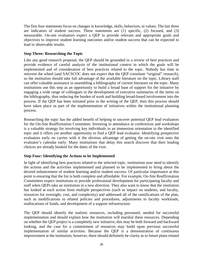The first four statements focus on changes in knowledge, skills, behaviors, or values. The last three are indicators of student success. These statements are (1) specific, (2) focused, and (3) measurable. On-site evaluators expect a QEP to provide relevant and appropriate goals and objectives to improve student learning outcomes and/or student success that can be expected to lead to observable results.

#### **Step Three: Researching the Topic**

Like any good research proposal, the QEP should be grounded in a review of best practices and provide evidence of careful analysis of the institutional context in which the goals will be implemented and of consideration of best practices related to the topic. Nobody has time to reinvent the wheel (and SACSCOC does not expect that the QEP constitute "original" research), so the institution should take full advantage of the available literature on the topic. Library staff can offer valuable assistance in assembling a bibliography of current literature on the topic. Many institutions use this step as an opportunity to build a broad base of support for the initiative by engaging a wide range of colleagues in the development of executive summaries of the items on the bibliography, thus reducing the burden of work and building broad-based involvement into the process. If the QEP has been initiated prior to the writing of the QEP, then this process should have taken place as part of the implementation of initiatives within the institutional planning process.

Researching the topic has the added benefit of helping to uncover potential QEP lead evaluators for the On-Site Reaffirmation Committee. Investing in attendance at conferences and workshops is a valuable strategy for involving key individuals in an immersion orientation to the identified topic and it offers yet another opportunity to find a QEP lead evaluator. Identifying prospective evaluators early on carries with it the obvious advantage of getting the on-site visit onto the evaluator's calendar early. Many institutions that delay this search discover that their leading choices are already booked for the dates of the visit.

#### **Step Four: Identifying the Actions to be Implemented**

In light of identifying best practices related to the selected topic, institutions now need to identify the actions and the activities implemented and planned to be implemented to bring about the desired enhancement of student learning and/or student success. Of particular importance at this point is ensuring that the list is both complete and affordable. For example, On-Site Reaffirmation Committees expect institutions to provide professional development for participating faculty and staff when QEPs take an institution in a new direction. They also want to know that the institution has looked at each action from multiple perspectives (such as impact on students, and faculty, resources for oversight, cost, and complexity) and addressed all of the ramifications of the plan, such as modifications to related policies and procedures, adjustments to faculty workloads, reallocations of funds, and development of a support infrastructure.

The QEP should identify the realistic resources, including personnel, needed for successful implementation and should explain how the institution will marshal these resources. Depending on whether the QEP project is a completely new initiative, this may be both forward and backward looking, and the case for a commitment of resources may build upon previous successful implementation of similar activities. Because the QEP is a demonstration of continuous improvement at the institution, however, there should definitely be clarity as to future plans related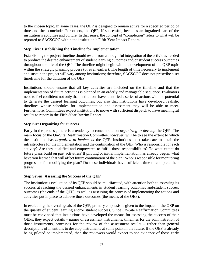to the chosen topic. In some cases, the QEP is designed to remain active for a specified period of time and then conclude. For others, the QEP, if successful, becomes an ingrained part of the institution's activities and culture. In that sense, the concept of "completion" refers to what will be reported to SACSCOC within the institution's Fifth-Year Impact Report.

#### **Step Five: Establishing the Timeline for Implementation**

Establishing the project timeline should result from a thoughtful integration of the activities needed to produce the desired enhancement of student learning outcomes and/or student success outcomes throughout the life of the QEP. The timeline might begin with the development of the QEP topic within the strategic planning process (or even earlier). The length of time necessary to implement and sustain the project will vary among institutions; therefore, SACSCOC does not prescribe a set timeframe for the duration of the QEP.

Institutions should ensure that all key activities are included on the timeline and that the implementation of future activities is planned in an orderly and manageable sequence. Evaluators need to feel confident not only that institutions have identified a series of actions with the potential to generate the desired learning outcomes, but also that institutions have developed realistic timelines whose schedules for implementation and assessment they will be able to meet. Furthermore, Committees expect institutions to move with sufficient dispatch to have meaningful results to report in the Fifth-Year Interim Report.

#### **Step Six: Organizing for Success**

Early in the process, there is a tendency to concentrate on *organizing to develop* the QEP. The main focus of the On-Site Reaffirmation Committee, however, will be to see the extent to which the institution has *organized to implement* the QEP. Institutions must take care to detail the infrastructure for the implementation and the continuation of the QEP. Who is responsible for each activity? Are they qualified and empowered to fulfill those responsibilities? To what extent do future plans build on past activities? If piloting or initial implementation has already begun, what have you learned that will affect future continuation of the plan? Who is responsible for monitoring progress or for modifying the plan? Do these individuals have sufficient time to complete their tasks?

#### **Step Seven: Assessing the Success of the QEP**

The institution's evaluation of its QEP should be multifaceted, with attention both to assessing its success at reaching the desired enhancements in student learning outcomes and/student success outcomes (the ends of the QEP), as well as assessing the process of implementing the actions and activities put in place to achieve those outcomes (the means of the QEP).

In evaluating the overall goals of the QEP, primary emphasis is given to the impact of the QEP on the quality of student learning and/or student success. Since On-Site Reaffirmation Committees must be convinced that institutions have developed the means for assessing the success of their QEPs, they expect details – names of assessment instruments, timelines for the administration of those instruments, processes for the review of the assessment results – rather than general descriptions of intentions to develop instruments at some point in the future. If the QEP is already being piloted or implemented, then the reviewers would expect to see evidence of those early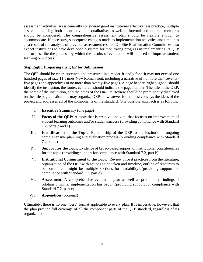assessment activities. As is generally considered good institutional effectiveness practice, multiple assessments using both quantitative and qualitative, as well as internal and external measures should be considered. The comprehensive assessment plan should be flexible enough to accommodate, if necessary, subsequent changes made to implementation activities and timelines as a result of the analysis of previous assessment results. On-Site Reaffirmation Committees also expect institutions to have developed a system for monitoring progress in implementing its QEP and to describe the process by which the results of evaluation will be used to improve student learning or success.

#### **Step Eight: Preparing the QEP for Submission**

The QEP should be clear, succinct, and presented in a reader-friendly font. It may not exceed one hundred pages of size 11 Times New Roman font, including a narrative of no more than seventyfive pages and appendices of no more than twenty-five pages. A page header, right aligned, should identify the institution; the footer, centered, should indicate the page number. The title of the QEP, the name of the institution, and the dates of the On-Site Review should be prominently displayed on the title page. Institutions may organize QEPs in whatever format best conveys the ideas of the project and addresses all of the components of the standard. One possible approach is as follows:

- I. **Executive Summary** (one page)
- II. **Focus of the QEP:** A topic that is creative and vital that focuses on improvement of student learning outcomes and/or student success (providing compliance with Standard 7.2, parts c and e)
- III. **Identification of the Topic**: Relationship of the QEP to the institution's ongoing comprehensive planning and evaluation process (providing compliance with Standard 7.2 part a)
- IV. **Support for the Topic** Evidence of broad-based support of institutional constituencies for the topic (providing support for compliance with Standard 7.2, part b)
- V. **Institutional Commitment to the Topic**: Review of best practices from the literature, organization of the QEP with actions to be taken and timeline, outline of resources to be committed [might be multiple sections for readability] (providing support for compliance with Standard 7.2, part d)
- VI. **Assessment**: A comprehensive evaluation plan as well as preliminary findings if piloting or initial implementation has begun (providing support for compliance with Standard 7.2, part e)
- VII. **Appendices** (optional)

Ultimately, there is no one "best" format applicable to every plan. It is imperative, however, that the plan provide full coverage of all the component parts of the QEP standard, regardless of its organization.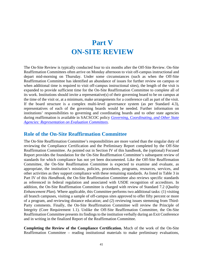## **Part V ON-SITE REVIEW**

The On-Site Review is typically conducted four to six months after the Off-Site Review. On-Site Reaffirmation Committees often arrive on Monday afternoon to visit off-campus instructional and depart mid-morning on Thursday. Under some circumstances (such as when the Off-Site Reaffirmation Committee has identified an abundance of issues for further review on campus or when additional time is required to visit off-campus instructional sites), the length of the visit is expanded to provide sufficient time for the On-Site Reaffirmation Committee to complete all of its work. Institutions should invite a representative(s) of their governing board to be on campus at the time of the visit or, at a minimum, make arrangements for a conference call as part of the visit. If the board structure is a complex multi-level governance system (as per Standard 4.3), representatives of each of the governing boards would be needed. Further information on institutions' responsibilities to governing and coordinating boards and to other state agencies during reaffirmation is available in SACSCOC policy *[Governing, Coordinating, and Other State](http://sacscoc.org/app/uploads/2019/08/GoverningRepresentation.pdf)  [Agencies: Representation on Evaluation Committees](http://sacscoc.org/app/uploads/2019/08/GoverningRepresentation.pdf)*.

### **Role of the On-Site Reaffirmation Committee**

The On-Site Reaffirmation Committee's responsibilities are more varied than the singular duty of reviewing the Compliance Certification and the Preliminary Report completed by the Off-Site Reaffirmation Committee. As pointed out in Section IV of this handbook, the (optional) Focused Report provides the foundation for the On-Site Reaffirmation Committee's subsequent review of standards for which compliance has not yet been documented. Like the Off-Site Reaffirmation Committee, the On-Site Reaffirmation Committee is expected to examine and evaluate, as appropriate, the institution's mission, policies, procedures, programs, resources, services, and other activities as they support compliance with these remaining standards. As listed in Table 3 in Part IV of this *Handbook*, the On-Site Reaffirmation Committee also reviews specific standards as referenced in federal regulation and associated with USDE recognition of accreditors. In addition, the On-Site Reaffirmation Committee is charged with review of Standard 7.2 (*Quality Enhancement Plan*). Where applicable, this Committee performs two additional tasks: (1) visiting all branch campuses, visiting a sample of off-campus sites approved to offer fifty percent or more of a program, and reviewing distance education; and (2) reviewing issues stemming from Third-Party comments. Finally, the On-Site Reaffirmation Committee will review the Principle of Integrity (Core Requirement 1.1). Unlike the Off-Site Reaffirmation Committee, the On-Site Reaffirmation Committee presents its findings to the institution verbally during an Exit Conference and in writing in the finalized Report of the Reaffirmation Committee.

**Completing the Review of the Compliance Certification.** Much of the work of the On-Site Reaffirmation Committee – reading institutional materials to make preliminary evaluations,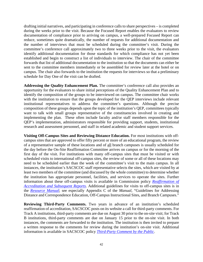drafting initial narratives, and participating in conference calls to share perspectives – is completed during the weeks prior to the visit. Because the Focused Report enables the evaluators to review documentation of compliance prior to arriving on campus, a well-prepared Focused Report can reduce, sometimes quite dramatically, the number of requests for additional documentation and the number of interviews that must be scheduled during the committee's visit. During the committee's conference call approximately two to three weeks prior to the visit, the evaluators identify additional documentation for those standards for which compliance has not yet been established and begin to construct a list of individuals to interview. The chair of the committee forwards that list of additional documentation to the institution so that the documents can either be sent to the committee members immediately or be assembled for review later at the hotel or on campus. The chair also forwards to the institution the requests for interviews so that a preliminary schedule for Day One of the visit can be drafted.

**Addressing the Quality Enhancement Plan.** The committee's conference call also provides an opportunity for the evaluators to share initial perceptions of the Quality Enhancement Plan and to identify the composition of the groups to be interviewed on campus. The committee chair works with the institution to ensure that the groups developed for the QEP interviews include relevant institutional representatives to address the committee's questions. Although the precise composition of these groups depends upon the topic of the institution's QEP, committees typically want to talk with small groups representative of the constituencies involved in creating and implementing the plan. These often include faculty and/or staff members responsible for the QEP's implementation, administrators responsible for providing support, students, institutional research and assessment personnel, and staff in related academic and student support services.

**Visiting Off-Campus Sites and Reviewing Distance Education.** For most institutions with offcampus sites that are approved to offer fifty percent or more of an educational program, the review of a representative sample of these locations and of all branch campuses is usually scheduled for the day before the On-Site Reaffirmation Committee arrives on campus or for the morning of the first day of the visit. For institutions with many off-campus sites that must be visited or with scheduled visits to international off-campus sites, the review of some or all of these locations may need to be scheduled earlier than the week of the committee's visit to the main campus. In all instances, the institution's SACSCOC staff representative selects the sites, which are visited by at least two members of the committee (and discussed by the whole committee) to determine whether the institution has appropriate personnel, facilities, and services to operate the sites. Further information about these off-campus visits is available in Commission policy *[Reaffirmation of](http://sacscoc.org/app/uploads/2019/08/ReaffirmationPolicy.pdf)  [Accreditation and Subsequent Reports](http://sacscoc.org/app/uploads/2019/08/ReaffirmationPolicy.pdf)*. Additional guidelines for visits to off-campus sites is in the *[Resource Manual](http://sacscoc.org/app/uploads/2019/08/2018-POA-Resource-Manual.pdf)*; see especially Appendix C of the *Manual*, "Guidelines for Addressing Distance and Correspondence Education, Off-Campus Instructional Sites, and Branch Campuses."

**Reviewing Third-Party Comments.** Two years in advance of an institution's scheduled reaffirmation of accreditation, SACSCOC posts on its website a call for third-party comments. For Track A institutions, third-party comments are due on August 30 prior to the on-site visit; for Track B institutions, third-party comments are due on January 15 prior to the on-site visit. In both instances, the comments are forwarded to the institution. The institution is then invited to prepare a written response to the comments for review during the institution's on-site visit. Additional information is available in SACSCOC policy *[Third-Party Comment by the Public](http://sacscoc.org/app/uploads/2019/08/Third-Party-Comment-by-the-Public-Final.pdf)*.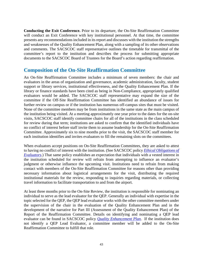**Conducting the Exit Conference.** Prior to its departure, the On-Site Reaffirmation Committee will conduct an Exit Conference with key institutional personnel. At that time, the committee presents any recommendations included in its report and discusses with the institution the strengths and weaknesses of the Quality Enhancement Plan, along with a sampling of its other observations and comments. The SACSCOC staff representative outlines the timetable for transmittal of the committee's report to the institution and describes the process for submitting appropriate documents to the SACSCOC Board of Trustees for the Board's action regarding reaffirmation.

### **Composition of the On-Site Reaffirmation Committee**

An On-Site Reaffirmation Committee includes a minimum of seven members: the chair and evaluators in the areas of organization and governance, academic administration, faculty, student support or library services, institutional effectiveness, and the Quality Enhancement Plan. If the library or finance standards have been cited as being in Non-Compliance, appropriately qualified evaluators would be added. The SACSCOC staff representative may expand the size of the committee if the Off-Site Reaffirmation Committee has identified an abundance of issues for further review on campus or if the institution has numerous off-campus sites that must be visited. None of the committee members may be from institutions in the same state as the main campus of the institution being visited. At a meeting approximately one year prior to the dates for the on-site visits, SACSCOC staff identify committee chairs for all of the institutions in the class scheduled for review during that term; institutions are asked to confirm that the identified individuals have no conflict of interest before staff invite them to assume leadership for the On-Site Reaffirmation Committee. Approximately six to nine months prior to the visit, the SACSCOC staff member for each institution identifies and invites evaluators to fill the remaining slots on the committees.

When evaluators accept positions on On-Site Reaffirmation Committees, they are asked to attest to having no conflict of interest with the institution. (See SACSCOC policy *[Ethical Obligations of](http://sacscoc.org/app/uploads/2020/01/Ethical-Obligations-Evaluators-1.pdf)  [Evaluators](http://sacscoc.org/app/uploads/2020/01/Ethical-Obligations-Evaluators-1.pdf)*.) That same policy establishes an expectation that individuals with a vested interest in the institution scheduled for review will refrain from attempting to influence an evaluator's judgment or otherwise influence the upcoming visit. Institutions need to refrain from making contact with members of the On-Site Reaffirmation Committee for reasons other than providing necessary information about logistical arrangements for the visit, distributing the required institutional materials for the review, responding to inquiries regarding materials, or collecting travel information to facilitate transportation to and from the airport.

At least three months prior to the On-Site Review, the institution is responsible for nominating an individual to serve as the lead evaluator for the QEP. Generally an individual with expertise in the topic selected for the QEP, the QEP lead evaluator works with the other committee members under the supervision of the chair in the evaluation of the Quality Enhancement Plan and in the development of the narrative for Part III (Assessment of the Quality Enhancement Plan) of the Report of the Reaffirmation Committee. Details on identifying and nominating a QEP lead evaluator can be found in SACSCOC policy *[Quality Enhancement Plan](http://sacscoc.org/app/uploads/2020/01/Quality-Enhancement-Plan-1.pdf)*. If the institution does not identify a QEP Lead Evaluator, a committee member will be added to the On-Site Reaffirmation Committee to fulfill that role.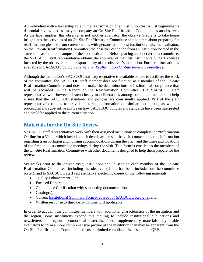An individual with a leadership role in the reaffirmation of an institution that is just beginning its decennial review process may accompany an On-Site Reaffirmation Committee as an observer. As the label implies, this observer is not another evaluator; the observer's role is to take home insight into the activities of an On-Site Reaffirmation Committee and pointers about preparing for reaffirmation gleaned from conversations with persons at the host institution. Like the evaluators on the On-Site Reaffirmation Committee, the observer cannot be from an institution located in the same state as the main campus of the host institution. Before placing an observer on a committee, the SACSCOC staff representative obtains the approval of the host institution's CEO. Expenses incurred by the observer are the responsibility of the observer's institution. Further information is available in SACSCOC policy *[Observers on Reaffirmation On-Site Review](http://sacscoc.org/app/uploads/2019/08/observers.pdf) Committees*.

Although the institution's SACSCOC staff representative is available on site to facilitate the work of the committee, the SACSCOC staff member does not function as a member of the On-Site Reaffirmation Committee and does not make the determinations of institutional compliance that will be recorded in the Report of the Reaffirmation Committee. The SACSCOC staff representative will, however, listen closely to deliberations among committee members to help ensure that the SACSCOC standards and policies are consistently applied. Part of the staff representative's role is to provide historical information on similar institutions, as well as procedural and substantive advice on how SACSCOC policies and standards have been interpreted and could be applied to the current situation.

## **Materials for the On-Site Review**

SACSCOC staff representatives work with their assigned institutions to complete the "Information Outline for a Visit," which includes such details as dates of the visit, contact numbers, information regarding transportation and housing accommodations during the visit, and the times and locations of the first and last committee meetings during the visit. This form is emailed to the members of the On-Site Reaffirmation Committee with other documents designed to help them prepare for the review.

Six weeks prior to the on-site visit, institutions should send to each member of the On-Site Reaffirmation Committee, including the observer (if one has been included on the committee roster), and to SACSCOC staff representative electronic copies of the following materials:

- Quality Enhancement Plan,
- Focused Report,
- Compliance Certification with supporting documentation,
- Catalog(s),
- Current [Institutional Summary Form Prepared for SACSCOC](http://sacscoc.org/app/uploads/2020/03/Summary-Form-for-SACSCOC-Review.docx) Reviews, and
- Written response to third-party comment, if applicable.

In order to acquaint the committee members with additional characteristics of the institution and the region, some institutions expand this mailing to include institutional publications and newsletters and regional promotional materials. These supplementary materials may enable evaluators to form a more comprehensive picture of the institution than may be apparent from the On-Site Reaffirmation Committee's focus on limited compliance issues and the QEP.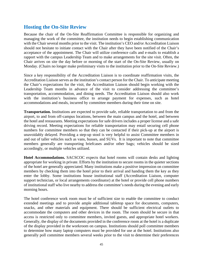## **Hosting the On-Site Review**

Because the chair of the On-Site Reaffirmation Committee is responsible for organizing and managing the work of the committee, the institution needs to begin establishing communication with the Chair several months prior to the visit. The institution's CEO and/or Accreditation Liaison should not hesitate to initiate contact with the Chair after they have been notified of the Chair's acceptance of the appointment. The Chair will utilize conference calls and e-mails to establish a rapport with the campus Leadership Team and to make arrangements for the site visit. Often, the Chair arrives on site the day before or morning of the start of the On-Site Review, usually on Monday. (Chairs no longer make preliminary visits to the institution prior to the On-Site Review.)

Since a key responsibility of the Accreditation Liaison is to coordinate reaffirmation visits, the Accreditation Liaison serves as the institution's contact person for the Chair. To anticipate meeting the Chair's expectations for the visit, the Accreditation Liaison should begin working with the Leadership Team months in advance of the visit to consider addressing the committee's transportation, accommodation, and dining needs. The Accreditation Liaison should also work with the institution's business office to arrange payment for expenses, such as hotel accommodations and meals, incurred by committee members during their time on site.

**Transportation.** Institutions are expected to provide safe, reliable transportation to and from the airport, to and from off-campus locations, between the main campus and the hotel, and between the hotel and restaurants. Meeting expectations for safe drivers includes a proper license and a safe driving record. Meeting expectations for reliable transportation may entail securing cell phone numbers for committee members so that they can be contacted if their pick-up at the airport is unavoidably delayed. Providing a step-up stool is very helpful to assist Committee members in and out of taller vehicles such as vans, busses, and SUVs. It is important to note that committee members generally are transporting briefcases and/or other bags; vehicles should be sized accordingly, or multiple vehicles utilized.

**Hotel Accommodations.** SACSCOC expects that hotel rooms will contain desks and lighting appropriate for working in private. Efforts by the institution to secure rooms in the quieter sections of the hotel are generally appreciated. Many institutions make a positive impression on committee members by checking them into the hotel prior to their arrival and handing them the key as they enter the lobby. Some institutions house institutional staff (Accreditation Liaison, computer support technician, or local arrangements coordinator) at the hotel or provide cell phone numbers of institutional staff who live nearby to address the committee's needs during the evening and early morning hours.

The hotel conference work room must be of sufficient size to enable the committee to conduct extended meetings and to provide ample additional tabletop space for documents, computers, snacks, and other materials and equipment. There should be sufficient electrical outlets to accommodate the computers and other devices in the room. The room should be secure in that access is restricted only to committee members, invited guests, and appropriate hotel workers. Generally, the display of the documents provided in the conference room at the hotel is a duplicate of the display provided in the workroom on campus. Institutions should poll committee members to determine how many laptop computers must be provided for use at the hotel. Institutions also generally poll committee members several weeks prior to the visit to determine their preferences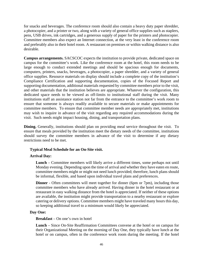for snacks and beverages. The conference room should also contain a heavy duty paper shredder, a photocopier, and a printer or two, along with a variety of general office supplies such as staplers, pens, USB drives, ink cartridges, and a generous supply of paper for the printers and photocopier. Committee members also expect an Internet connection, at the very least in the conference room and preferably also in their hotel room. A restaurant on premises or within walking distance is also desirable.

**Campus arrangements.** SACSCOC expects the institution to provide private, dedicated space on campus for the committee's work. Like the conference room at the hotel, this room needs to be large enough to conduct extended meetings and should be spacious enough for documents, computers, printers, snacks, beverages, a photocopier, a paper shredder, and a variety of general office supplies. Resource materials on display should include a complete copy of the institution's Compliance Certification and supporting documentation, copies of the Focused Report and supporting documentation, additional materials requested by committee members prior to the visit, and other materials that the institution believes are appropriate. Whatever the configuration, this dedicated space needs to be viewed as off-limits to institutional staff during the visit. Many institutions staff an assistance station not far from the entrance to the committee's work room to ensure that someone is always readily available to secure materials or make appointments for committee members. To ensure that committee member needs are appropriately met, institutions may wish to inquire in advance of the visit regarding any required accommodations during the visit. Such needs might impact housing, dining, and transportation plans.

**Dining.** Generally, institutions should plan on providing meal service throughout the visit. To ensure that meals provided by the institution meet the dietary needs of the committee, institutions should survey the committee members in advance of the visit to determine if any dietary restrictions need to be met.

#### **Typical Meal Schedule for an On-Site visit.**

#### **Arrival Day:**

**Lunch** – Committee members will likely arrive a different times, some perhaps not until Monday evening. Depending upon the time of arrival and whether they have eaten en route, committee members might or might not need lunch provided; therefore, lunch plans should be informal, flexible, and based upon individual travel plans and preferences.

**Dinner** - Often committees will meet together for dinner (6pm or 7pm), including those committee members who have already arrived. Having dinner in the hotel restaurant or at restaurant in easy walking distance from the hotel is appreciated. If neither of these options are available, the institution might provide transportation to a nearby restaurant or explore catering or delivery options. Committee members might have traveled many hours this day, so keeping additional travel to a minimum would likely be appreciated.

#### **Day One:**

**Breakfast** – On one's own in hotel

**Lunch** – Since On-Site Reaffirmation Committees convene at the hotel or on campus for their Organizational Meeting on the morning of Day One, they typically have lunch at the hotel or on campus, often in the conference work room during the meeting. If the hotel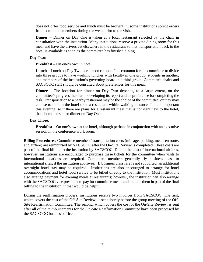does not offer food service and lunch must be brought in, some institutions solicit orders from committee members during the week prior to the visit.

**Dinner** – Dinner on Day One is taken at a local restaurant selected by the chair in consultation with the institution. Many institutions reserve a private dining room for this meal and have the drivers eat elsewhere in the restaurant so that transportation back to the hotel is available as soon as the committee has finished dining.

#### **Day Two:**

**Breakfast** – On one's own in hotel

**Lunch** – Lunch on Day Two is eaten on campus. It is common for the committee to divide into three groups to have working lunches with faculty in one group, students in another, and members of the institution's governing board in a third group. Committee chairs and SACSCOC staff should be consulted about preferences for this meal.

**Dinner** – The location for dinner on Day Two depends, to a large extent, on the committee's progress thus far in developing its report and its preference for completing the task. Transportation to a nearby restaurant may be the choice of the committee, or they may choose to dine in the hotel or at a restaurant within walking distance. Time is important this evening, so if there are plans for a restaurant meal that is not right next to the hotel, that should be set for dinner on Day One.

#### **Day Three:**

**Breakfast** – On one's own at the hotel, although perhaps in conjunction with an executive session in the conference work room.

**Billing Procedures.** Committee members' transportation costs (mileage, parking, meals en route, and airfare) are reimbursed by SACSCOC after the On-Site Review is completed. These costs are part of the final billing to the institution by SACSCOC. Due to the cost of international airfares, however, institutions are encouraged to purchase these tickets for the committee when visits to international locations are required. Committee members generally fly business class to international sites, if the institution approves. If business class fare is not supported, an additional overnight hotel stay may be required. Institutions are also encouraged to arrange for hotel accommodations and hotel food service to be billed directly to the institution. Most institutions also arrange payment for evening meals at restaurants; however, the institution can also arrange with the SACSCOC vice president to pay for committee meals and include them in part of the final billing to the institution, if that would be helpful.

During the reaffirmation process, institutions receive two invoices from SACSCOC. The first, which covers the cost of the Off-Site Review, is sent shortly before the group meeting of the Off-Site Reaffirmation Committee. The second, which covers the cost of the On-Site Review, is sent after all of the reimbursements for the On-Site Reaffirmation Committee have been processed by the SACSCOC business office.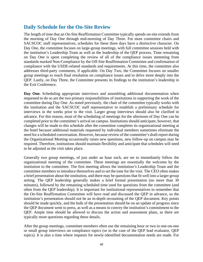## **Daily Schedule for the On-Site Review**

The length of time that an On-Site Reaffirmation Committee typically spends on-site extends from the morning of Day One through mid-morning of Day Three. For most committee chairs and SACSCOC staff representatives, schedules for these three days have a distinctive character. On Day One, the committee focuses on large-group meetings, with full committee sessions held with the institution's Leadership Team as well as the leadership of the QEP process. Time remaining on Day One is spent completing the review of all of the compliance issues stemming from standards marked Non-Compliance by the Off-Site Reaffirmation Committee and confirmation of compliance with the USDE-related standards and requirements. At this time, the committee also addresses third-party comments, if applicable. On Day Two, the Committee focuses on smaller group meetings to reach final resolution on compliance issues and to delve more deeply into the QEP. Lastly, on Day Three, the Committee presents its findings to the institution's leadership in the Exit Conference.

**Day One.** Scheduling appropriate interviews and assembling additional documentation when requested to do so are the two primary responsibilities of institutions in supporting the work of the committee during Day One. As noted previously, the chair of the committee typically works with the institution and the SACSCOC staff representative to establish a preliminary schedule for interviews in the weeks prior to the visit. Larger group interviews should also be clarified in advance. For this reason, most of the scheduling of meetings for the afternoon of Day One can be completed prior to the committee's arrival on campus. Institutions should anticipate, however, that changes will be made to this schedule after the committee completes its organizational meeting at the hotel because additional materials requested by individual members sometimes eliminate the need for a scheduled conversation. However, because review of the committee's draft report during the Organizational Meeting occasionally raises new questions, new follow-up on campus may be required. Therefore, institutions should maintain flexibility and anticipate that schedules will need to be adjusted as the visit takes place.

Generally two group meetings, of just under an hour each, are set to immediately follow the organizational meeting of the committee. These meetings are essentially the welcome by the institution to the committee. The first meeting allows the institution's Leadership Team and the committee members to introduce themselves and to set the tone for the visit. The CEO often makes a brief presentation about the institution, and there may be questions that fit well into a larger group setting. The QEP leadership generally makes a brief formal presentation (no more than 30 minutes), followed by the remaining scheduled time used for questions from the committee (and often from the QEP leadership). It is important for institutional representatives to remember that the On-Site Reaffirmation Committee will have read and discussed the QEP in advance, so the institution's presentation should not be an in-depth recounting of the QEP document. Key points should be made quickly, and the bulk of the presentation should be on an update of progress since the QEP document went to press, as well as a means to convey the institution's commitment to the QEP. Ample time should be allowed to discuss the action and assessment plans, as there are typically more questions regarding these details.

After the group meetings, committee members often use the remaining hour or two in one-on-one or small group interviews on compliance topics (or in the case of the QEP lead evaluator, QEP topics). It is also a time where requests for newly-identified documentation needs are made. For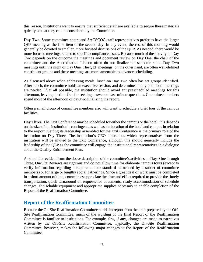this reason, institutions want to ensure that sufficient staff are available to secure these materials quickly so that they can be considered by the Committee.

**Day Two.** Some committee chairs and SACSCOC staff representatives prefer to have the larger QEP meeting as the first item of the second day. In any event, the rest of this morning would generally be devoted to smaller, more focused discussions of the QEP. As needed, there would be more focused meetings related to specific compliance issues. Because much of the activity on Day Two depends on the outcome the meetings and document review on Day One, the chair of the committee and the Accreditation Liaison often do not finalize the schedule some Day Two meetings until the night of Day One. The QEP meetings, on the other hand, are often well-defined constituent groups and these meetings are more amenable to advance scheduling.

As discussed above when addressing meals, lunch on Day Two often has set groups identified. After lunch, the committee holds an executive session, and determines if any additional meetings are needed. If at all possible, the institution should avoid ant prescheduled meetings for this afternoon, leaving the time free for seeking answers to last-minute questions. Committee members spend most of the afternoon of day two finalizing the report.

Often a small group of committee members also will want to schedule a brief tour of the campus facilities.

**Day Three.** The Exit Conference may be scheduled for either the campus or the hotel; this depends on the size of the institution's contingent, as well as the location of the hotel and campus in relation to the airport. Getting its leadership assembled for the Exit Conference is the primary role of the institution on Day Three. The institution's CEO determines which representatives from the institution will be invited to the Exit Conference, although this should generally include the leadership of the QEP as the committee will engage the institutional representatives in a dialogue about the Quality Enhancement Plan.

As should be evident from the above description of the committee's activities on Days One through Three, On-Site Reviews are rigorous and do not allow time for elaborate campus tours (except to verify information regarding a requirement or standard as needed by a subset of committee members) or for large or lengthy social gatherings. Since a great deal of work must be completed in a short amount of time, committees appreciate the time and effort required to provide the timely transportation, quick turnaround on requests for documents, ready accommodation of schedule changes, and reliable equipment and appropriate supplies necessary to enable completion of the Report of the Reaffirmation Committee.

## **Report of the Reaffirmation Committee**

Because the On-Site Reaffirmation Committee builds its report from the draft prepared by the Off-Site Reaffirmation Committee, much of the wording of the final Report of the Reaffirmation Committee is familiar to institutions. For example, few, if any, changes are made to narratives written by the Off-Site Reaffirmation Committee. Typically, the On-Site Reaffirmation Committee, however, makes the following major changes to the Report of the Reaffirmation Committee: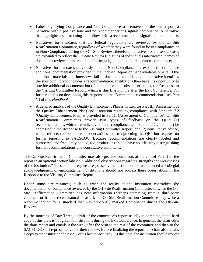- Labels signifying Compliance and Non-Compliance are removed. In the final report, a narrative with a positive tone and no recommendations signals compliance. A narrative that highlights a shortcoming and follows with a recommendation signals non-compliance.
- Narratives for standards that are federal regulations are reviewed by the On-Site Reaffirmation Committee, regardless of whether they were found to be in Compliance or in Non-Compliance during the Off-Site Review; therefore, narratives for those standards are expanded to reflect the On-Site Review (i.e. titles of individuals interviewed, names of documents reviewed, and rationale for the judgement of compliance/non-compliance).
- Narratives for standards previously marked Non-Compliance are expanded to reference additional documentation provided in the Focused Report or made available on-site. If the additional materials and interviews fail to document compliance, the narrative identifies the shortcoming and includes a recommendation. Institutions then have the opportunity to provide additional documentation of compliance in a subsequent report, the Response to the Visiting Committee Report, which is due five months after the Exit Conference. For further details on developing this response to the Committee's recommendations, see Part VI of this *Handbook*.
- A detailed analysis of the Quality Enhancement Plan is written for Part III (Assessment of the Quality Enhancement Plan) and a notation regarding compliance with Standard 7.2 (Quality Enhancement Plan) is provided in Part II (Assessment of Compliance). On-Site Reaffirmation Committees provide two types of feedback on the QEP: (1) recommendations, which are indicative of non-compliance with Standard 7.2 and must be addressed in the Response to the Visiting Committee Report; and (2) consultative advice, which reflects the committee's observations for strengthening the QEP but requires no further reporting to SACSCOC. Because recommendations are clearly labeled and numbered, and frequently bolded, too, institutions should have no difficulty distinguishing formal recommendations and consultative comments.

The On-Site Reaffirmation Committee may also provide comments at the end of Part II of the report in an optional section labeled "Additional observations regarding strengths and weaknesses of the institution." These do not require a response by the institution and are intended as collegial acknowledgement or encouragement. Institutions should not address these observations in the Response to the Visiting Committee Report.

Under some circumstances, such as when the reality at the institution contradicts the documentation of compliance reviewed by the Off-Site Reaffirmation Committee or when the On-Site Reaffirmation Committee has new information (perhaps stemming from a third-party comment or from a recent natural disaster), the On-Site Reaffirmation Committee may write a recommendation for a standard that was previously marked Compliance during the Off-Site Review.

By the morning of Day Three, a draft of the committee's report usually is complete, but a hard copy of this draft is not given to institutions during the Exit Conference. In general, the chair edits the draft report and emails it the week after the visit to the rest of the committee and then to the SACSCOC staff representative for their review. Before finalizing the report, the chair also emails a copy to the institution for review of its factual accuracy. At this time, the institution should review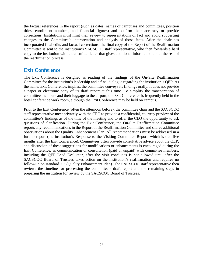the factual references in the report (such as dates, names of campuses and committees, position titles, enrollment numbers, and financial figures) and confirm their accuracy or provide corrections. Institutions must limit their review to representations of fact and avoid suggesting changes to the Committee's interpretation and analysis of those facts. After the chair has incorporated final edits and factual corrections, the final copy of the Report of the Reaffirmation Committee is sent to the institution's SACSCOC staff representative, who then forwards a hard copy to the institution with a transmittal letter that gives additional information about the rest of the reaffirmation process.

### **Exit Conference**

The Exit Conference is designed as reading of the findings of the On-Site Reaffirmation Committee for the institution's leadership and a final dialogue regarding the institution's QEP. As the name, Exit Conference, implies, the committee conveys its findings orally; it does not provide a paper or electronic copy of its draft report at this time. To simplify the transportation of committee members and their luggage to the airport, the Exit Conference is frequently held in the hotel conference work room, although the Exit Conference may be held on campus.

Prior to the Exit Conference (often the afternoon before), the committee chair and the SACSCOC staff representative meet privately with the CEO to provide a confidential, courtesy preview of the committee's findings as of the time of the meeting and to offer the CEO the opportunity to ask questions of clarification. During the Exit Conference, the On-Site Reaffirmation Committee reports any recommendations in the Report of the Reaffirmation Committee and shares additional observations about the Quality Enhancement Plan. All recommendations must be addressed in a further report (the institution's Response to the Visiting Committee Report, which is due five months after the Exit Conference). Committees often provide consultative advice about the QEP, and discussion of these suggestions for modifications or enhancements is encouraged during the Exit Conference, as communication or consultation (paid or unpaid) with committee members, including the QEP Lead Evaluator, after the visit concludes is not allowed until after the SACSCOC Board of Trustees takes action on the institution's reaffirmation and requires no follow-up on standard 7.2 (Quality Enhancement Plan). The SACSCOC staff representative then reviews the timeline for processing the committee's draft report and the remaining steps in preparing the institution for review by the SACSCOC Board of Trustees.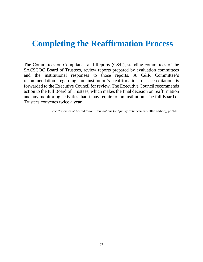# **Completing the Reaffirmation Process**

The Committees on Compliance and Reports (C&R), standing committees of the SACSCOC Board of Trustees, review reports prepared by evaluation committees and the institutional responses to those reports. A C&R Committee's recommendation regarding an institution's reaffirmation of accreditation is forwarded to the Executive Council for review. The Executive Council recommends action to the full Board of Trustees, which makes the final decision on reaffirmation and any monitoring activities that it may require of an institution. The full Board of Trustees convenes twice a year.

*The Principles of Accreditation: Foundations for Quality Enhancement* (2018 edition), pp 9-10.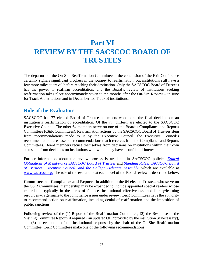## **Part VI REVIEW BY THE SACSCOC BOARD OF TRUSTEES**

The departure of the On-Site Reaffirmation Committee at the conclusion of the Exit Conference certainly signals significant progress in the journey to reaffirmation, but institutions still have a few more miles to travel before reaching their destination. Only the SACSCOC Board of Trustees has the power to reaffirm accreditation, and the Board's review of institutions seeking reaffirmation takes place approximately seven to ten months after the On-Site Review – in June for Track A institutions and in December for Track B institutions.

#### **Role of the Evaluators**

SACSCOC has 77 elected Board of Trustees members who make the final decision on an institution's reaffirmation of accreditation. Of the 77, thirteen are elected to the SACSCOC Executive Council. The other 64 members serve on one of the Board's Compliance and Reports Committees (C&R Committees). Reaffirmation actions by the SACSCOC Board of Trustees stem from recommendations made to it by the Executive Council; the Executive Council's recommendations are based on recommendations that it receives from the Compliance and Reports Committees. Board members recuse themselves from decisions on institutions within their own states and from decisions on institutions with which they have a conflict of interest.

Further information about the review process is available in SACSCOC policies *[Ethical](http://sacscoc.org/app/uploads/2020/01/Ethical-Obligations.BoT_-1.pdf)  [Obligations of Members of SACSCOC Board of Trustees](http://sacscoc.org/app/uploads/2020/01/Ethical-Obligations.BoT_-1.pdf)* and *[Standing Rules: SACSCOC Board](http://sacscoc.org/app/uploads/2019/07/standingrules.pdf)  [of Trustees, Executive Council, and the College Delegate Assembly](http://sacscoc.org/app/uploads/2019/07/standingrules.pdf)*, which are available at [www.sacscoc.org.](http://www.sacscoc.org/) The role of the evaluators at each level of the Board review is described below.

**Committees on Compliance and Reports.** In addition to the 64 elected Trustees who serve on the C&R Committees, membership may be expanded to include appointed special readers whose expertise – typically in the areas of finance, institutional effectiveness, and library/learning resources – is germane to the compliance issues under review. C&R Committees have the authority to recommend action on reaffirmation, including denial of reaffirmation and the imposition of public sanctions.

Following review of the (1) Report of the Reaffirmation Committee, (2) the Response to the Visiting Committee Report (if required), an updated QEP provided by the institution (if necessary), and (3) an evaluation of the institutional response by the chair of the On-Site Reaffirmation Committee, C&R Committees make one of the following recommendations: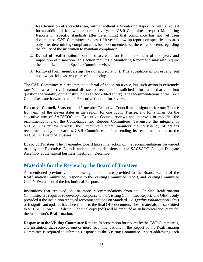- 1. **Reaffirmation of accreditation**, with or without a Monitoring Report, or with a request for an additional follow-up report in five years. C&R Committees request Monitoring Reports on specific standards after determining that compliance has not yet been documented. C&R Committees request fifth-year follow-up reports on specific standards only after determining compliance has been documented, but there are concerns regarding the ability of the institution to maintain compliance.
- 2. **Denial of reaffirmation**, continued accreditation for a maximum of one year, and imposition of a sanction. This action requires a Monitoring Report and may also require the authorization of a Special Committee visit.
- 3. **Removal from membership** (loss of accreditation). This appealable action usually, but not always, follows two years of monitoring.

The C&R Committee can recommend deferral of action on a case, but such action is extremely rare (such as a post-visit natural disaster or receipt of unsolicited information that calls into question the viability of the institution as an accredited entity). The recommendations of the C&R Committees are forwarded to the Executive Council for review.

**Executive Council.** Seats on the 13-member Executive Council are designated for one Trustee from each of the eleven states in the region, for one public Trustee, and for a Chair. As the executive arm of SACSCOC, the Executive Council reviews and approves or modifies the recommendations of the Compliance and Reports Committees. To ensure the integrity of SACSCOC's review process, the Executive Council monitors the consistency of actions recommended by the various C&R Committees before sending its recommendations to the SACSCOC Board of Trustees.

**Board of Trustees.** The 77-member Board takes final action on the recommendations forwarded to it by the Executive Council and reports its decisions to the SACSCOC College Delegate Assembly at the annual business meeting in December.

### **Materials for the Review by the Board of Trustees**

As mentioned previously, the following materials are provided to the Board: Report of the Reaffirmation Committee, Response to the Visiting Committee Report, and Visiting Committee Chair's Evaluation of the Institutional Response.

Institutions that received one or more recommendations from the On-Site Reaffirmation Committee are required to develop a Response to the Visiting Committee Report. The QEP is only provided if the institution received recommendations on Standard 7.2 (*Quality Enhancement Plan*) or if significant updates have been made to the final QEP document. These materials are submitted to SACSCOC on a USB drive. The final copy (pdf) will be archived as an historical document for the institution's Reaffirmation.

**Response to the Visiting Committee Report.** In preparation for review by the C&R Committees, any institution that received one or more recommendations in the Report of the Reaffirmation Committee is required to submit a Response to the Visiting Committee Report addressing each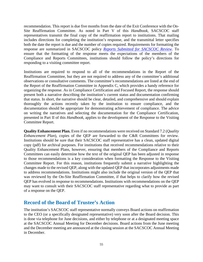recommendation. This report is due five months from the date of the Exit Conference with the On-Site Reaffirmation Committee. As noted in Part V of this *Handbook*, SACSCOC staff representatives transmit the final copy of the reaffirmation report to institutions. That mailing includes directions for completing the institution's response, and the transmittal letter specifies both the date the report is due and the number of copies required. Requirements for formatting the response are summarized in SACSCOC policy *[Reports Submitted for SACSCOC Review](http://sacscoc.org/app/uploads/2020/01/Reports-submitted-for-COC-review-1.pdf)*. To ensure that the formatting of the response meets the expectations of the members of the Compliance and Reports Committees, institutions should follow the policy's directions for responding to a visiting committee report.

Institutions are required to respond to all of the recommendations in the Report of the Reaffirmation Committee, but they are not required to address any of the committee's additional observations or consultative comments. The committee's recommendations are listed at the end of the Report of the Reaffirmation Committee in Appendix C, which provides a handy reference for organizing the response. As in Compliance Certification and Focused Report, the response should present both a narrative describing the institution's current status and documentation confirming that status. In short, the narrative should be clear, detailed, and comprehensive and should explain thoroughly the actions recently taken by the institution to ensure compliance, and the documentation should be appropriate for demonstrating achievement of compliance. The advice on writing the narratives and selecting the documentation for the Compliance Certification, presented in Part II of this *Handbook*, applies to the development of the Response to the Visiting Committee Report.

**Quality Enhancement Plan.** Even if no recommendations were received on Standard 7.2 (*Quality Enhancement Plan*), copies of the QEP are forwarded to the C&R Committees for review. Institutions should be sure that their SACSCOC staff representative has a clean, updated digital copy (pdf) for archival purposes. For institutions that received recommendations relative to their Quality Enhancement Plans, however, ensuring that members of the Compliance and Reports Committees can easily determine how the text of the original QEP has been adjusted in response to those recommendations is a key consideration when formatting the Response to the Visiting Committee Report. For this reason, institutions frequently submit a narrative highlighting the changes made to the revised QEP, along with the updated QEP that incorporates adjustments made to address recommendations. Institutions might also include the original version of the QEP that was reviewed by the On-Site Reaffirmation Committee, if that helps to clarify how the revised QEP has evolved in response to recommendations. Institutions with recommendations on the QEP may want to consult with their SACSCOC staff representative regarding what to provide as part of a response on the QEP.

## **Record of the Board of Trustee's Action**

The institution's SACSCOC staff representative normally conveys Board actions on reaffirmation to the CEO (or a specifically designated representative) very soon after the Board decision. This is done via telephone for June decisions, and either by telephone or at a designated meeting space at the SACSCOC Annual Meeting for December decisions. Board actions from the June meeting and the December meeting are announced at the closing session at the SACSCOC Annual Meeting in December.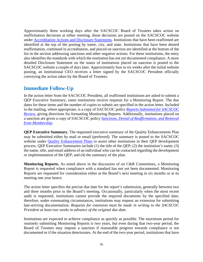Approximately three working days after the SACSCOC Board of Trustees takes action on reaffirmation decisions at either meeting, those decisions are posted on the SACSCOC website under [Accreditation Actions and](http://sacscoc.org/institutions/accreditation-actions-and-disclosures/) Disclosure Statements. Institutions that have been reaffirmed are identified at the top of the posting by name, city, and state. Institutions that have been denied reaffirmation, continued in accreditation, and placed on sanction are identified at the bottom of the list in the section addressing sanctions and other negative actions. For these institutions, the entry also identifies the standards with which the institution has not yet documented compliance. A more detailed Disclosure Statement on the status of institutions placed on sanction is posted to the SACSCOC website a couple of days later. Approximately four to six weeks after the initial website posting, an institutional CEO receives a letter signed by the SACSCOC President officially conveying the action taken by the Board of Trustees.

## **Immediate Follow-Up**

In the action letter from the SACSCOC President, all reaffirmed institutions are asked to submit a QEP Executive Summary; some institutions receive requests for a Monitoring Report. The due dates for these items and the number of copies to submit are specified in the action letter. Included in the mailing, where appropriate, is a copy of SACSCOC policy *[Reports Submitted for SACSCOC](http://sacscoc.org/app/uploads/2020/01/Reports-submitted-for-COC-review-1.pdf)  [Review](http://sacscoc.org/app/uploads/2020/01/Reports-submitted-for-COC-review-1.pdf)*, giving directions for formatting Monitoring Reports. Additionally, institutions placed on a sanction are given a copy of SACSCOC policy *[Sanctions, Denial of Reaffirmation, and Removal](http://sacscoc.org/app/uploads/2019/07/sanctionpolicy.pdf)  [from Membership](http://sacscoc.org/app/uploads/2019/07/sanctionpolicy.pdf)*.

**QEP Executive Summary.** The requested executive summary of the Quality Enhancements Plan may be submitted either by mail or email (preferred). The summary is posted to the SACSCOC website under [Quality Enhancement Plans](http://sacscoc.org/quality-enhancement-plans/) to assist other institutions in their QEP development process. QEP Executive Summaries include (1) the title of the QEP; (2) the institution's name; (3) the name, title, and email address of an individual who can be contacted regarding the development or implementation of the QEP; and (4) the summary of the plan.

**Monitoring Reports.** As noted above in the discussion of on C&R Committees, a Monitoring Report is requested when compliance with a standard has not yet been documented. Monitoring Reports are requested for consideration either at the Board's next meeting in six months or at its meeting one year hence.

The action letter specifies the precise due date for the report's submission, generally between two and three months prior to the Board's meeting. Occasionally, particularly when the most recent audit is requested, institutions cannot provide the required documents by the specified date; therefore, under extenuating circumstances, institutions may request an extension for submitting late-arriving documentation. *Requests for extension must be made in writing to the SACSCOC President at least two weeks in advance of the original due date.*

Institutions are expected to achieve compliance as quickly as possible. The maximum period for routinely submitting Monitoring Reports is two years, but even during that two-year period, the Board of Trustees may impose a sanction if reasonable progress towards compliance is not documented or if the situation deteriorates. At the end of the two-year period, institutions that have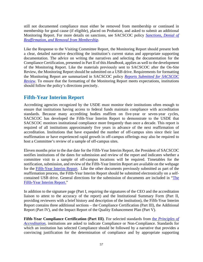still not documented compliance must either be removed from membership or continued in membership for good cause (if eligible), placed on Probation, and asked to submit an additional Monitoring Report. For more details on sanctions, see SACSCOC policy *[Sanctions, Denial of](http://sacscoc.org/app/uploads/2019/07/sanctionpolicy.pdf)  [Reaffirmation, and Removal from Membership](http://sacscoc.org/app/uploads/2019/07/sanctionpolicy.pdf)*.

Like the Response to the Visiting Committee Report, the Monitoring Report should present both a clear, detailed narrative describing the institution's current status and appropriate supporting documentation. The advice on writing the narratives and selecting the documentation for the Compliance Certification, presented in Part II of this *Handbook*, applies as well to the development of the Monitoring Report. Like the materials previously sent to SACSCOC after the On-Site Review, the Monitoring Report should be submitted on a USB drive. Requirements for formatting the Monitoring Report are summarized in SACSCOC policy *[Reports Submitted for SACSCOC](http://sacscoc.org/app/uploads/2020/01/Reports-submitted-for-COC-review-1.pdf)  [Review](http://sacscoc.org/app/uploads/2020/01/Reports-submitted-for-COC-review-1.pdf)*. To ensure that the formatting of the Monitoring Report meets expectations, institutions should follow the policy's directions precisely.

## **Fifth-Year Interim Report**

Accrediting agencies recognized by the USDE must monitor their institutions often enough to ensure that institutions having access to federal funds maintain compliance with accreditation standards. Because many accrediting bodies reaffirm on five-year or seven-year cycles, SACSCOC has developed the Fifth-Year Interim Report to demonstrate to the USDE that SACSCOC monitors institutional compliance more frequently than once a decade. This report is required of all institutions approximately five years in advance of the next reaffirmation of accreditation. Institutions that have expanded the number of off-campus sites since their last reaffirmation or have experienced rapid growth in off-campus offerings may also be required to host a Committee's review of a sample of off-campus sites.

Eleven months prior to the due date for the Fifth-Year Interim Report, the President of SACSCOC notifies institutions of the dates for submission and review of the report and indicates whether a committee visit to a sample of off-campus locations will be required. Timetables for the notification, submission, and review of the Fifth-Year Interim Report are available on the webpage for the [Fifth-Year Interim Report.](http://sacscoc.org/accrediting-standards/institution-resources/the-fifth-year-interim-report/) Like the other documents previously submitted as part of the reaffirmation process, the Fifth-Year Interim Report should be submitted electronically on a selfcontained USB drive. General directions for the submission of documents are included in ["The](http://sacscoc.org/app/uploads/2019/09/TemplateFifth-Year-Interim-Report.2018.docx)  [Fifth-Year Interim Report.](http://sacscoc.org/app/uploads/2019/09/TemplateFifth-Year-Interim-Report.2018.docx)"

In addition to the signature page (Part I, requiring the signatures of the CEO and the accreditation liaison to attest to the accuracy of the report) and the Institutional Summary Form (Part II, providing reviewers with a brief history and description of the institution), the Fifth-Year Interim Report contains three additional sections – the Compliance Certification (Part III), the Additional Report (Part IV), and the Impact Report of the Quality Enhancement Plan (Part V).

**Fifth-Year Compliance Certification (Part III)**. For selected standards from the *[Principles of](http://www.sacscoc.org/pdf/2018PrinciplesOfAcreditation.pdf)  [Accreditation](http://www.sacscoc.org/pdf/2018PrinciplesOfAcreditation.pdf)*, institutions are asked to indicate Compliance or Non-Compliance. Standards for which an institution has selected Compliance should be followed by a narrative that provides a convincing justification for the determination of compliance and by appropriate supporting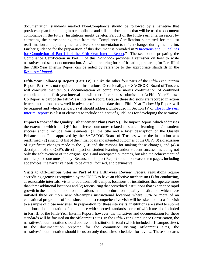documentation; standards marked Non-Compliance should be followed by a narrative that provides a plan for coming into compliance and a list of documents that will be used to document compliance in the future. Institutions might develop Part III of the Fifth-Year Interim report by extracting the corresponding text from the Compliance Certification submitted for the last reaffirmation and updating the narrative and documentation to reflect changes during the interim. Further guidance for the preparation of this document is provided in "Directions and Guidelines" for Completion of [Part III of the Fifth-Year Interim Report.](http://sacscoc.org/app/uploads/2019/09/DirectionsGuidelines-for-Completion-of-Part-III.2018.pdf)" The section on preparing the Compliance Certification in Part II of this *Handbook* provides a refresher on how to write narratives and select documentation. As with preparing for reaffirmation, preparing for Part III of the Fifth-Year Interim Report can be aided by reference to the appropriate standards in the *[Resource Manual](http://sacscoc.org/app/uploads/2019/08/2018-POA-Resource-Manual.pdf)*.

**Fifth-Year Follow-Up Report (Part IV)**. Unlike the other four parts of the Fifth-Year Interim Report, Part IV is not required of all institutions. Occasionally, the SACSCOC Board of Trustees will conclude that tenuous documentation of compliance merits confirmation of continued compliance at the fifth-year interval and will, therefore, request submission of a Fifth-Year Follow-Up Report as part of the Fifth-Year Interim Report. Because these decisions are recorded in action letters, institutions know well in advance of the due date that a Fifth-Year Follow-Up Report will be required and which standard(s) it should address. Embedded in Section IV of [The Fifth-Year](http://sacscoc.org/app/uploads/2019/09/TemplateFifth-Year-Interim-Report.2018.docx)  [Interim Report"](http://sacscoc.org/app/uploads/2019/09/TemplateFifth-Year-Interim-Report.2018.docx) is a list of elements to include and a set of guidelines for developing the narrative.

**Impact Report of the Quality Enhancement Plan (Part V).** The Impact Report, which addresses the extent to which the QEP has affected outcomes related to student learning and/or student success should include four elements: (1) the title and a brief description of the Quality Enhancement Plan approved by the SACSCOC Board of Trustees when the institution was reaffirmed, (2) a succinct list of the initial goals and intended outcomes of the QEP, (3) a discussion of significant changes made to the QEP and the reasons for making those changes, and (4) a description of the QEP's direct impact on student learning and/or student success, including not only the achievement of the original goals and anticipated outcomes, but also the achievement of unanticipated outcomes, if any. Because the Impact Report should not exceed ten pages, including appendices, the narrative needs to be direct, focused, and persuasive.

**Visits to Off-Campus Sites as Part of the Fifth-year Review.** Federal regulations require accrediting agencies recognized by the USDE to have an effective mechanism (1) for conducting, at reasonable intervals, visits to additional off-campus locations of institutions that operate more than three additional locations and (2) for ensuring that accredited institutions that experience rapid growth in the number of additional locations maintain educational quality. Institutions which have initiated three or more new off-campus instructional locations where 50% or more of an educational program is offered since their last comprehensive visit will be asked to host a site visit to a sample of those new sites. In preparation for these site visits, institutions are asked to submit additional documentation of compliance with selected standards, some of which are also included in Part III of the Fifth-Year Interim Report; however, the narratives and documentation for these standards will be focused on the off-campus sites. In the Fifth-Year Compliance Certification, the narratives/documentation should address the institution in total (which included off-campus sites). In the documentation prepared for the committee visiting off-campus sites, the narratives/documentation should focus on only those sites scheduled for review. These standards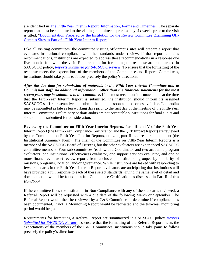are identified in [The Fifth-Year Interim Report: Information, Forms and Timelines.](http://sacscoc.org/accrediting-standards/institution-resources/the-fifth-year-interim-report/) The separate report that must be submitted to the visiting committee approximately six weeks prior to the visit is titled, ["Documentation Prepared by the Institution for the Review Committee Examining Off-](http://sacscoc.org/app/uploads/2019/09/Template-Fifthyear_Offcampus-Site.2018.docx)[Campus Sites as Part of a Fifth-Year Interim Report.](http://sacscoc.org/app/uploads/2019/09/Template-Fifthyear_Offcampus-Site.2018.docx)"

Like all visiting committees, the committee visiting off-campus sites will prepare a report that evaluates institutional compliance with the standards under review. If that report contains recommendations, institutions are expected to address those recommendations in a response due five months following the visit. Requirements for formatting the response are summarized in SACSCOC policy, *[Reports Submitted for SACSCOC Review](http://sacscoc.org/app/uploads/2020/01/Reports-submitted-for-COC-review-1.pdf)*. To ensure that the formatting of the response meets the expectations of the members of the Compliance and Reports Committees, institutions should take pains to follow precisely the policy's directions.

*After the due date for submission of materials to the Fifth-Year Interim Committee and to Commission staff, no additional information, other than the financial statements for the most recent year, may be submitted to the committee.* If the most recent audit is unavailable at the time that the Fifth-Year Interim Report is submitted, the institution should inform its assigned SACSCOC staff representative and submit the audit as soon as it becomes available. Late audits may be submitted as late as ten working days prior to the first day of the meeting of the Fifth-Year Interim Committee. Preliminary or draft audits are not acceptable substitutions for final audits and should not be submitted for consideration.

**Review by the Committee on Fifth-Year Interim Reports.** Parts III and V of the Fifth-Year Interim Report (the Fifth-Year Compliance Certification and the QEP Impact Report) are reviewed by the Committee on Fifth-Year Interim Reports, utilizing part II as a resource document (the Institutional Summary Form). The chair of the Committee on Fifth-Year Interim Reports is a member of the SACSCOC Board of Trustees, but the other evaluators are experienced SACSCOC committee members. Four sub-committees (each with a Coordinator and two academic program evaluators, one institutional effectiveness evaluator, one support services evaluator, and one or more finance evaluator) review reports from a cluster of institutions grouped by similarity of missions, programs, location, and/or governance. While institutions are tasked with responding to fewer standards in the Fifth-Year Interim Report, evaluators are anticipating that institutions will have provided a full response to each of these select standards, giving the same level of detail and documentation would be found in a full Compliance Certification as discussed in Part II of this *Handbook*.

If the committee finds the institution in Non-Compliance with any of the standards reviewed, a Referral Report will be requested with a due date of the following March or September. The Referral Report would then be reviewed by a C&R Committee to determine if compliance has been documented. If not, a Monitoring Report would be requested and the two-year monitoring period would begin.

Requirements for formatting a Referral Report are summarized in SACSCOC policy *[Reports](http://sacscoc.org/app/uploads/2020/01/Reports-submitted-for-COC-review-1.pdf)  [Submitted for SACSCOC Review.](http://sacscoc.org/app/uploads/2020/01/Reports-submitted-for-COC-review-1.pdf)* To ensure that the formatting of the Referral Report meets the expectations of the members of the C&R Committees, institutions should take pains to follow precisely the policy's directions.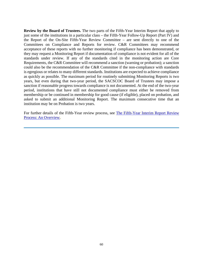**Review by the Board of Trustees.** The two parts of the Fifth-Year Interim Report that apply to just some of the institutions in a particular class – the Fifth-Year Follow-Up Report (Part IV) and the Report of the On-Site Fifth-Year Review Committee – are sent directly to one of the Committees on Compliance and Reports for review. C&R Committees may recommend acceptance of these reports with no further monitoring if compliance has been demonstrated, or they may request a Monitoring Report if documentation of compliance is not evident for all of the standards under review. If any of the standards cited in the monitoring action are Core Requirements, the C&R Committee will recommend a sanction (warning or probation); a sanction could also be the recommendation of the C&R Committee if the non-compliance with standards is egregious or relates to many different standards. Institutions are expected to achieve compliance as quickly as possible. The maximum period for routinely submitting Monitoring Reports is two years, but even during that two-year period, the SACSCOC Board of Trustees may impose a sanction if reasonable progress towards compliance is not documented. At the end of the two-year period, institutions that have still not documented compliance must either be removed from membership or be continued in membership for good cause (if eligible), placed on probation, and asked to submit an additional Monitoring Report. The maximum consecutive time that an institution may be on Probation is two years.

For further details of the Fifth-Year review process, see [The Fifth-Year Interim Report Review](http://sacscoc.org/app/uploads/2019/09/Summary.The-Fifth-Year-Interim-Report.2018.pdf)  [Process: An Overview.](http://sacscoc.org/app/uploads/2019/09/Summary.The-Fifth-Year-Interim-Report.2018.pdf)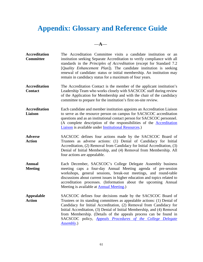## **Appendix: Glossary and Reference Guide**

—**A**—

**Accreditation Committee** The Accreditation Committee visits a candidate institution or an institution seeking Separate Accreditation to verify compliance with all standards in the *Principles of Accreditation* (except for Standard 7.2 [*Quality Enhancement Plan*]). The candidate institution is seeking renewal of candidate: status or initial membership. An institution may remain in candidacy status for a maximum of four years. **Accreditation Contact** The Accreditation Contact is the member of the applicant institution's Leadership Team who works closely with SACSCOC staff during review of the Application for Membership and with the chair of the candidacy committee to prepare for the institution's first on-site review. **Accreditation Liaison** Each candidate and member institution appoints an Accreditation Liaison to serve as the resource person on campus for SACSCOC accreditation questions and as an institutional contact person for SACSCOC personnel. (A complete description of the responsibilities of the [Accreditation](http://sacscoc.org/app/uploads/2019/08/accreditation-liaison.pdf)  [Liaison](http://sacscoc.org/app/uploads/2019/08/accreditation-liaison.pdf) is available under [Institutional Resources.](http://sacscoc.org/accrediting-standards/institution-resources/the-fifth-year-interim-report/)) **Adverse Action** SACSCOC defines four actions made by the SACSCOC Board of Trustees as adverse actions: (1) Denial of Candidacy for Initial Accreditation, (2) Removal from Candidacy for Initial Accreditation, (3) Denial of Initial Membership, and (4) Removal from Membership. All four actions are appealable. **Annual Meeting** Each December, SACSCOC's College Delegate Assembly business meeting caps a four-day Annual Meeting agenda of pre-session workshops, general sessions, break-out meetings, and round-table discussions about current issues in higher education and topics related to accreditation processes. (Information about the upcoming Annual Meeting is available at **[Annual Meeting.](http://sacscoc.org/news-events-wrong/annual-meeting/annual-meeting/)**) **Appealable Action** SACSCOC defines four decisions made by the SACSCOC Board of Trustees or its standing committees as appealable actions: (1) Denial of Candidacy for Initial Accreditation, (2) Removal from Candidacy for Initial Accreditation, (3) Denial of Initial Membership, and (4) Removal from Membership. (Details of the appeals process can be found in SACSCOC policy, *[Appeals Procedures of the College Delegate](http://sacscoc.org/app/uploads/2019/08/AppealsProcedures.pdf)  [Assembly](http://sacscoc.org/app/uploads/2019/08/AppealsProcedures.pdf)*.)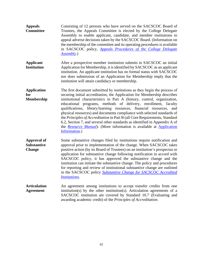| <b>Appeals</b><br><b>Committee</b>                        | Consisting of 12 persons who have served on the SACSCOC Board of<br>Trustees, the Appeals Committee is elected by the College Delegate<br>Assembly to enable applicant, candidate, and member institutions to<br>appeal adverse decisions taken by the SACSCOC Board. (Information on<br>the membership of the committee and its operating procedures is available<br>in SACSCOC policy, Appeals Procedures of the College Delegate<br>Assembly.)                                                                                                                                                                                                                                                                  |
|-----------------------------------------------------------|--------------------------------------------------------------------------------------------------------------------------------------------------------------------------------------------------------------------------------------------------------------------------------------------------------------------------------------------------------------------------------------------------------------------------------------------------------------------------------------------------------------------------------------------------------------------------------------------------------------------------------------------------------------------------------------------------------------------|
| <b>Applicant</b><br><b>Institution</b>                    | After a prospective member institution submits to SACSCOC an initial<br>Application for Membership, it is identified by SACSCOC as an applicant<br>institution. An applicant institution has no formal status with SACSCOC<br>nor does submission of an Application for Membership imply that the<br>institution will attain candidacy or membership.                                                                                                                                                                                                                                                                                                                                                              |
| <b>Application</b><br>for<br><b>Membership</b>            | The first document submitted by institutions as they begin the process of<br>securing initial accreditation, the Application for Membership describes<br>institutional characteristics in Part A (history, control, organization,<br>educational programs, methods of delivery, enrollment, faculty<br>qualifications, library/learning resources, financial resources, and<br>physical resources) and documents compliance with selected standards of<br>the Principles of Accreditation in Part B (all Core Requirements, Standard<br>6.2, Section 7, and several other standards as identified in Appendix A of<br>the <i>Resource Manual</i> ). (More information is available at Application<br>Information.) |
| <b>Approval of</b><br><b>Substantive</b><br><b>Change</b> | Some substantive changes filed by institutions require notification and<br>approval prior to implementation of the change. When SACSCOC takes<br>positive action (by its Board of Trustees) on an institution's prospectus or<br>application for substantive change following notification in accord with<br>SACSCOC policy, it has approved the substantive change and the<br>institution can initiate the substantive change. The policy and procedures<br>for reporting and review of institutional substantive change are outlined<br>in the SACSCOC policy Substantive Change for SACSCOC Accredited<br><i>Institutions.</i>                                                                                  |
| <b>Articulation</b><br><b>Agreement</b>                   | An agreement among institutions to accept transfer credits from one<br>institution(s) by the other institution(s). Articulation agreements of a<br>SACSCOC institution are covered by Standard 10.7 (Evaluating and<br>awarding academic credit) of the Principles of Accreditation.                                                                                                                                                                                                                                                                                                                                                                                                                               |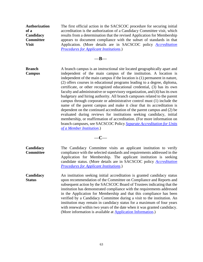**Authorization of a Candidacy Committee Visit** The first official action in the SACSCOC procedure for securing initial accreditation is the authorization of a Candidacy Committee visit, which results from a determination that the revised Application for Membership appears to document compliance with the subset of standards in that Application. (More details are in SACSCOC policy *[Accreditation](http://sacscoc.org/accrediting-standards/application-process/)  [Procedures for Applicant Institutions](http://sacscoc.org/accrediting-standards/application-process/)*.)

—**B**—

**Branch Campus** A branch campus is an instructional site located geographically apart and independent of the main campus of the institution. A location is independent of the main campus if the location is (1) permanent in nature, (2) offers courses in educational programs leading to a degree, diploma, certificate, or other recognized educational credential, (3) has its own faculty and administrative or supervisory organization, and (4) has its own budgetary and hiring authority. All branch campuses related to the parent campus through corporate or administrative control must (1) include the name of the parent campus and make it clear that its accreditation is dependent on the continued accreditation of the parent campus and (2) be evaluated during reviews for institutions seeking candidacy, initial membership, or reaffirmation of accreditation. (For more information on branch campuses, see SACSCOC Policy *[Separate Accreditation for Units](http://sacscoc.org/app/uploads/2019/08/SeparateAccreditation.pdf)  [of a Member Institution](http://sacscoc.org/app/uploads/2019/08/SeparateAccreditation.pdf)*.)

—**C**—

**Candidacy Committee** The Candidacy Committee visits an applicant institution to verify compliance with the selected standards and requirements addressed in the Application for Membership. The applicant institution is seeking candidate status. (More details are in SACSCOC policy *[Accreditation](http://sacscoc.org/app/uploads/2019/07/AccredProceduresApplicant.pdf)  [Procedures for Applicant Institutions](http://sacscoc.org/app/uploads/2019/07/AccredProceduresApplicant.pdf)*.)

**Candidacy Status** An institution seeking initial accreditation is granted candidacy status upon recommendation of the Committee on Compliance and Reports and subsequent action by the SACSCOC Board of Trustees indicating that the institution has demonstrated compliance with the requirements addressed in the Application for Membership and that this compliance has been verified by a Candidacy Committee during a visit to the institution. An institution may remain in candidacy status for a maximum of four years with renewal within two years of the date when it was granted candidacy. (More information is available at [Application Information.](http://sacscoc.org/accrediting-standards/application-process/))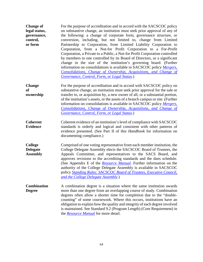**Change of legal status, governance, control, or form** For the purpose of accreditation and in accord with the SACSCOC policy on substantive change, an institution must seek prior approval of any of the following: a change of corporate form, governance structure, or conversion, including, but not limited to, change from Limited Partnership to Corporation, from Limited Liability Corporation to Corporation, from a Not-for Profit Corporation to a For-Profit Corporation, a Private to a Public, a Not-for Profit Corporation controlled by members to one controlled by its Board of Directors, or a significant change in the size of the institution's governing board. (Further information on consolidations is available in SACSCOC policy *[Mergers,](http://sacscoc.org/app/uploads/2019/08/Mergers.pdf)  [Consolidations, Change of Ownership, Acquisitions, and Change of](http://sacscoc.org/app/uploads/2019/08/Mergers.pdf)  [Governance, Control, Form, or Legal Status](http://sacscoc.org/app/uploads/2019/08/Mergers.pdf)*.)

- **Change of ownership** For the purpose of accreditation and in accord with SACSCOC policy on substantive change, an institution must seek prior approval for the sale or transfer to, or acquisition by, a new owner of all, or a substantial portion, of the institution's assets, or the assets of a branch campus or site. (Further information on consolidations is available in SACSCOC policy *[Mergers,](http://sacscoc.org/app/uploads/2019/08/Mergers.pdf)  [Consolidations, Change of Ownership, Acquisitions, and Change of](http://sacscoc.org/app/uploads/2019/08/Mergers.pdf)  [Governance, Control, Form, or Legal Status](http://sacscoc.org/app/uploads/2019/08/Mergers.pdf)*.)
- **Coherent Evidence** Coherent evidence of an institution's level of compliance with SACSCOC standards is orderly and logical and consistent with other patterns of evidence presented. (See Part II of this *Handbook* for information on documenting compliance.)

**College Delegate Assembly** Comprised of one voting representative from each member institution, the College Delegate Assembly elects the SACSCOC Board of Trustees, the Appeals Committee, and representatives to the SACS Board, and approves revisions to the accrediting standards and the dues schedule. (See Appendix E of the *[Resource Manual](http://sacscoc.org/app/uploads/2019/08/2018-POA-Resource-Manual.pdf)*. Further information on the authority of the College Delegate Assembly is available in SACSCOC policy *[Standing Rules: SACSCOC Board of Trustees, Executive Council,](http://sacscoc.org/app/uploads/2019/07/standingrules.pdf)  [and the College Delegate Assembly](http://sacscoc.org/app/uploads/2019/07/standingrules.pdf)*.)

**Combination Degree** A combination degree is a situation where the same institution awards more than one degree from an overlapping course of study. Combination degrees often allow a shorter time for completion due to the "doublecounting" of some coursework. Where this occurs, institutions have an obligation to explain how the quality and integrity of each degree involved is maintained. See Standard 9.2 (Program Length) (Core Requirement) in the *[Resource Manual](http://sacscoc.org/app/uploads/2019/08/2018-POA-Resource-Manual.pdf)* for more detail.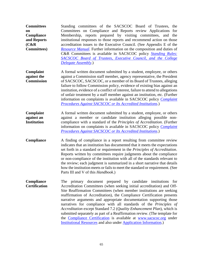**Committees on Compliance and Reports (C&R Committees)** Standing committees of the SACSCOC Board of Trustees, the Committees on Compliance and Reports review Applications for Membership, reports prepared by visiting committees, and the institutional responses to those reports and recommend action on those accreditation issues to the Executive Council. (See Appendix E of the *[Resource Manual](http://sacscoc.org/app/uploads/2019/08/2018-POA-Resource-Manual.pdf)*. Further information on the composition and duties of C&R Committees is available in SACSCOC policy *[Standing Rules:](http://sacscoc.org/app/uploads/2019/07/standingrules.pdf)  [SACSCOC Board of Trustees, Executive Council, and the College](http://sacscoc.org/app/uploads/2019/07/standingrules.pdf)  [Delegate Assembly](http://sacscoc.org/app/uploads/2019/07/standingrules.pdf)*.)

**Complaint against the Commission** A formal written document submitted by a student, employee, or others against a Commission staff member, agency representative, the President of SACSCOC, SACSCOC, or a member of its Board of Trustees, alleging failure to follow Commission policy, evidence of existing bias against an institution, evidence of a conflict of interest, failure to attend to allegations of unfair treatment by a staff member against an institution, etc. (Further information on complaints is available in SACSCOC policy *[Complaint](http://sacscoc.org/app/uploads/2020/01/ComplaintPolicy-1.pdf)  [Procedures Against SACSCOC or Its Accredited Institutions](http://sacscoc.org/app/uploads/2020/01/ComplaintPolicy-1.pdf)*.)

- **Complaint against an Institution** A formal written document submitted by a student, employee, or others against a member or candidate institution alleging possible noncompliance with a standard of the *Principles of Accreditation*. (Further information on complaints is available in SACSCOC policy *[Complaint](http://sacscoc.org/app/uploads/2020/01/ComplaintPolicy-1.pdf)  [Procedures Against SACSCOC or Its Accredited Institutions](http://sacscoc.org/app/uploads/2020/01/ComplaintPolicy-1.pdf)*.)
- **Compliance** A finding of compliance in a report resulting from committee review indicates that an institution has documented that it meets the expectations set forth in a standard or requirement in the *Principles of Accreditation*. Reports written by committees require judgments about the compliance or non-compliance of the institution with all of the standards relevant to the review; each judgment is summarized in a short narrative that details how the institution meets or fails to meet the standard or requirement. (See Parts III and V of this *Handbook*.)

**Compliance Certification** The primary document prepared by candidate institutions for Accreditation Committees (when seeking initial accreditation) and Off-Site Reaffirmation Committees (when member institutions are seeking reaffirmation of Accreditation), the Compliance Certification presents narrative arguments and appropriate documentation supporting those narratives for compliance with all standards of the *Principles of Accreditation* except Standard 7.2 (*Quality Enhancement Plan*), which is submitted separately as part of a Reaffirmation review. (The template for the [Compliance Certification](http://sacscoc.org/app/uploads/2019/07/Compliance-Certifcation-2018.docx) is available at [www.sacscoc.org](http://www.sacscoc.org/) under [Institutional Resources](http://sacscoc.org/accrediting-standards/institution-resources/the-fifth-year-interim-report/) and also under [Application Information.](http://sacscoc.org/accrediting-standards/application-process/))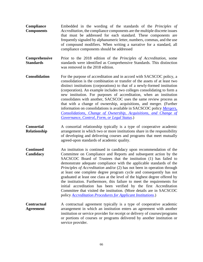- **Compliance Components** Embedded in the wording of the standards of the *Principles of Accreditation*, the compliance components are the multiple discrete issues that must be addressed for each standard. These components are frequently signaled by alphanumeric letter, numbers, commas, and the use of compound modifiers. When writing a narrative for a standard, all compliance components should be addressed
- **Comprehensive Standards** Prior to the 2018 edition of the *Principles of Accreditation*, some standards were identified as Comprehensive Standards. This distinction was removed in the 2018 edition.
- **Consolidation** For the purpose of accreditation and in accord with SACSCOC policy, a consolidation is the combination or transfer of the assets of at least two distinct institutions (corporations) to that of a newly-formed institution (corporation). An example includes two colleges consolidating to form a new institution. For purposes of accreditation, when an institution consolidates with another, SACSCOC uses the same review process as that with a change of ownership, acquisitions, and merger. (Further information on consolidations is available in SACSCOC policy *[Mergers,](http://sacscoc.org/app/uploads/2019/08/Mergers.pdf)  [Consolidations, Change of Ownership, Acquisitions, and Change of](http://sacscoc.org/app/uploads/2019/08/Mergers.pdf)  [Governance, Control, Form, or Legal Status](http://sacscoc.org/app/uploads/2019/08/Mergers.pdf)*.)
- **Consortial Relationship** A consortial relationship typically is a type of cooperative academic arrangement in which two or more institutions share in the responsibility of developing and delivering courses and programs that meet mutually agreed-upon standards of academic quality.
- **Continued Candidacy** An institution is continued in candidacy upon recommendation of the Committee on Compliance and Reports and subsequent action by the SACSCOC Board of Trustees that the institution (1) has failed to demonstrate adequate compliance with the applicable standards of the *Principles of Accreditation* and/or (2) has not been in operation through at least one complete degree program cycle and consequently has not graduated at least one class at the level of the highest degree offered by the institution. Furthermore, this failure to meet the requirements for initial accreditation has been verified by the first Accreditation Committee that visited the institution. (More details are in SACSCOC policy *[Accreditation Procedures for Applicant Institutions](http://sacscoc.org/app/uploads/2019/07/AccredProceduresApplicant.pdf)*.)
- **Contractual Agreement** A contractual agreement typically is a type of cooperative academic arrangement in which an institution enters an agreement with another institution or service provider for receipt or delivery of courses/programs or portions of courses or programs delivered by another institution or service provider.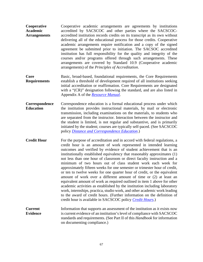- **Cooperative Academic Arrangements** Cooperative academic arrangements are agreements by institutions accredited by SACSCOC and other parties where the SACSCOCaccredited institution records credits on its transcript as its own without delivering all of the educational process for those credits. Cooperative academic arrangements require notification and a copy of the signed agreement be submitted prior to initiation. The SACSOC accredited institution has full responsibility for the quality and integrity of the courses and/or programs offered through such arrangements. These arrangements are covered by Standard 10.9 (Cooperative academic arrangements) of the *Principles of Accreditation*.
- **Core Requirements** Basic, broad-based, foundational requirements, the Core Requirements establish a threshold of development required of all institutions seeking initial accreditation or reaffirmation. Core Requirements are designated with a "(CR)" designation following the standard, and are also listed in Appendix A of the *[Resource Manual](http://sacscoc.org/app/uploads/2019/08/2018-POA-Resource-Manual.pdf)*.
- **Correspondence Education** Correspondence education is a formal educational process under which the institution provides instructional materials, by mail or electronic transmission, including examinations on the materials, to students who are separated from the instructor. Interaction between the instructor and the student is limited, is not regular and substantive, and is primarily initiated by the student; courses are typically self-paced. (See SACSCOC policy *[Distance and Correspondence Education](http://sacscoc.org/app/uploads/2019/07/DistanceCorrespondenceEducation.pdf)*.)
- **Credit Hour** For the purpose of accreditation and in accord with federal regulations, a credit hour is an amount of work represented in intended learning outcomes and verified by evidence of student achievement that is an institutionally established equivalency that reasonably approximates (1) not less than one hour of classroom or direct faculty instruction and a minimum of two hours out of class student work each week for approximately fifteen weeks for one semester or trimester hour of credit, or ten to twelve weeks for one quarter hour of credit, or the equivalent amount of work over a different amount of time or (2) at least an equivalent amount of work as required outlined in item 1 above for other academic activities as established by the institution including laboratory work, internships, practica, studio work, and other academic work leading to the award of credit hours. (Further information on the definition of credit hour is available in SACSCOC policy *[Credit Hours](http://sacscoc.org/app/uploads/2019/08/Credit-Hours.pdf)*.)
- **Current Evidence** Information that supports an assessment of the institution as it exists now is current evidence of an institution's level of compliance with SACSCOC standards and requirements. (See Part II of this *Handbook* for information on documenting compliance.)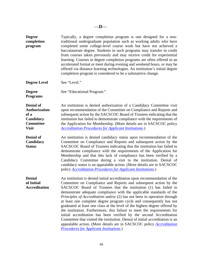| <b>Degree</b><br>completion<br>program                                                            | Typically, a degree completion program is one designed for a non-<br>traditional undergraduate population such as working adults who have<br>completed some college-level course work but have not achieved a<br>baccalaureate degree. Students in such programs may transfer in credit<br>from courses taken previously and may receive credit for experiential<br>learning. Courses in degree completion programs are often offered in an<br>accelerated format or meet during evening and weekend hours, or may be<br>offered via distance learning technologies. An institution's initial degree<br>completion program is considered to be a substantive change.                                                                                                                                                                                                                                  |
|---------------------------------------------------------------------------------------------------|-------------------------------------------------------------------------------------------------------------------------------------------------------------------------------------------------------------------------------------------------------------------------------------------------------------------------------------------------------------------------------------------------------------------------------------------------------------------------------------------------------------------------------------------------------------------------------------------------------------------------------------------------------------------------------------------------------------------------------------------------------------------------------------------------------------------------------------------------------------------------------------------------------|
| <b>Degree Level</b>                                                                               | See "Level."                                                                                                                                                                                                                                                                                                                                                                                                                                                                                                                                                                                                                                                                                                                                                                                                                                                                                          |
| <b>Degree</b><br><b>Programs</b>                                                                  | See "Educational Program."                                                                                                                                                                                                                                                                                                                                                                                                                                                                                                                                                                                                                                                                                                                                                                                                                                                                            |
| <b>Denial of</b><br><b>Authorization</b><br>of a<br>Candidacy<br><b>Committee</b><br><b>Visit</b> | An institution is denied authorization of a Candidacy Committee visit<br>upon recommendation of the Committee on Compliance and Reports and<br>subsequent action by the SACSCOC Board of Trustees indicating that the<br>institution has failed to demonstrate compliance with the requirements of<br>the Application for Membership. (More details are in SACSCOC policy<br><b>Accreditation Procedures for Applicant Institutions.)</b>                                                                                                                                                                                                                                                                                                                                                                                                                                                             |
| <b>Denial of</b><br>Candidacy<br><b>Status</b>                                                    | An institution is denied candidacy status upon recommendation of the<br>Committee on Compliance and Reports and subsequent action by the<br>SACSCOC Board of Trustees indicating that the institution has failed to<br>demonstrate compliance with the requirements of the Application for<br>Membership and that this lack of compliance has been verified by a<br>Candidacy Committee during a visit to the institution. Denial of<br>candidacy status is an appealable action. (More details are in SACSCOC<br>policy <b>Accreditation Procedures for Applicant Institutions</b> .)                                                                                                                                                                                                                                                                                                                |
| <b>Denial</b><br>of Initial<br><b>Accreditation</b>                                               | An institution is denied initial accreditation upon recommendation of the<br>Committee on Compliance and Reports and subsequent action by the<br>SACSCOC Board of Trustees that the institution (1) has failed to<br>demonstrate adequate compliance with the applicable standards of the<br><i>Principles of Accreditation</i> and/or (2) has not been in operation through<br>at least one complete degree program cycle and consequently has not<br>graduated at least one class at the level of the highest degree offered by<br>the institution. Furthermore, this failure to meet the requirements for<br>initial accreditation has been verified by the second Accreditation<br>Committee that visited the institution. Denial of initial accreditation is an<br>appealable action. (More details are in SACSCOC policy <b>Accreditation</b><br><b>Procedures for Applicant Institutions.)</b> |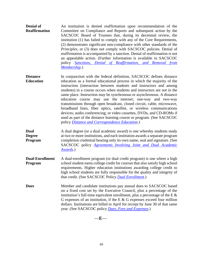**Denial of Reaffirmation** An institution is denied reaffirmation upon recommendation of the Committee on Compliance and Reports and subsequent action by the SACSCOC Board of Trustees that, during its decennial review, the institution (1) has failed to comply with any of the Core Requirements, (2) demonstrates significant non-compliance with other standards of the *Principles*, or (3) does not comply with SACSCOC policies. Denial of reaffirmation is accompanied by a sanction. Denial of reaffirmation is not an appealable action. (Further information is available in SACSCOC policy *[Sanctions, Denial of Reaffirmation, and Removal from](http://sacscoc.org/app/uploads/2019/07/sanctionpolicy.pdf)  [Membership](http://sacscoc.org/app/uploads/2019/07/sanctionpolicy.pdf)*.)

**Distance Education** In conjunction with the federal definition, SACSCOC defines distance education as a formal educational process in which the majority of the instruction (interaction between students and instructors and among students) in a course occurs when students and instructors are not in the same place. Instruction may be synchronous or asynchronous. A distance education course may use the internet; one-way and two-way transmissions through open broadcast, closed circuit, cable, microwave, broadband lines, fiber optics, satellite, or wireless communications devices; audio conferencing; or video cassettes, DVDs, and CD-ROMs if used as part of the distance learning course or program. (See SACSCOC policy *[Distance and Correspondence Education](http://sacscoc.org/app/uploads/2019/07/DistanceCorrespondenceEducation.pdf)*.)

**Dual Degree Program** A dual degree (or a dual academic award) is one whereby students study at two or more institutions, and each institution awards a separate program completion credential bearing only its own name, seal and signature. (See SACSCOC policy *[Agreements Involving Joint and Dual Academic](http://sacscoc.org/app/uploads/2019/08/JointDualAwards.pdf)  [Awards](http://sacscoc.org/app/uploads/2019/08/JointDualAwards.pdf)*.)

**Dual-Enrollment Program** A dual-enrollment program (or dual credit program) is one where a high school student earns college credit for courses that also satisfy high school requirements. Higher education institutions awarding college credit to high school students are fully responsible for the quality and integrity of that credit. (See SACSCOC Policy *[Dual Enrollment](http://sacscoc.org/app/uploads/2019/08/Dual-Enrollment.pdf)*.)

**Dues** Member and candidate institutions pay annual dues to SACSCOC based on a fixed cost set by the Executive Council, plus a percentage of the institution's full-time equivalent enrollment, plus a percentage of the E  $\&$ G expenses of an institution, if the E  $\&$  G expenses exceed four million dollars. Institutions are billed in April for receipt by June 30 of that same year. (See SACSCOC policy *[Dues, Fees and Expenses](http://sacscoc.org/app/uploads/2019/08/Dues.pdf)*.)

—**E**—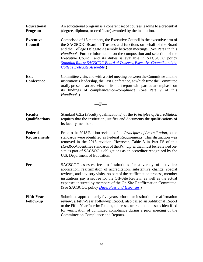- **Educational Program** An educational program is a coherent set of courses leading to a credential (degree, diploma, or certificate) awarded by the institution. **Executive Council** Comprised of 13 members, the Executive Council is the executive arm of the SACSCOC Board of Trustees and functions on behalf of the Board
- and the College Delegate Assembly between meetings. (See Part I in this *Handbook*. Further information on the composition and selection of the Executive Council and its duties is available in SACSCOC policy *[Standing Rules: SACSCOC Board of Trustees, Executive Council, and the](http://sacscoc.org/app/uploads/2019/07/standingrules.pdf)  [College Delegate Assembly](http://sacscoc.org/app/uploads/2019/07/standingrules.pdf)*.)
- **Exit Conference** Committee visits end with a brief meeting between the Committee and the institution's leadership, the Exit Conference, at which time the Committee orally presents an overview of its draft report with particular emphasis on its findings of compliance/non-compliance. (See Part V of this *Handbook*.)

—**F**—

- **Faculty Qualifications** Standard 6.2.a (Faculty qualifications) of the *Principles of Accreditation* requires that the institution justifies and documents the qualifications of its faculty members.
- **Federal Requirements** Prior to the 2018 Edition revision of the *Principles of Accreditation*, some standards were identified as Federal Requirements. This distinction was removed in the 2018 revision. However, Table 3 in Part IV of this *Handbook* identifies standards of the *Principles* that must be reviewed onsite as part of SACSOC's obligations as an accreditor recognized by the U.S. Department of Education.
- **Fees** SACSCOC assesses fees to institutions for a variety of activities: application, reaffirmation of accreditation, substantive change, special reviews, and advisory visits. As part of the reaffirmation process, member institutions pay a set fee for the Off-Site Review, as well as the actual expenses incurred by members of the On-Site Reaffirmation Committee. (See SACSCOC policy *[Dues, Fees and Expenses](http://sacscoc.org/app/uploads/2019/08/Dues.pdf)*.)
- **Fifth-Year Follow-up** Submitted approximately five years prior to an institution's reaffirmation review, a Fifth-Year Follow-up Report, also called an Additional Report to the Fifth-Year Interim Report, addresses accreditation issues identified for verification of continued compliance during a prior meeting of the Committee on Compliance and Reports.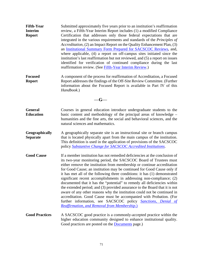| <b>Fifth-Year</b> | Submitted approximately five years prior to an institution's reaffirmation       |
|-------------------|----------------------------------------------------------------------------------|
| <b>Interim</b>    | review, a Fifth-Year Interim Report includes (1) a modified Compliance           |
| <b>Report</b>     | Certification that addresses only those federal expectations that are            |
|                   | integrated in the various requirements and standards of the <i>Principles of</i> |
|                   | <i>Accreditation</i> , (2) an Impact Report on the Quality Enhancement Plan, (3) |
|                   | an Institutional Summary Form Prepared for SACSCOC Reviews, and,                 |
|                   | where applicable, (4) a report on off-campus sites initiated since the           |
|                   | institution's last reaffirmation but not reviewed, and (5) a report on issues    |
|                   | identified for verification of continued compliance during the last              |
|                   | reaffirmation review. (See Fifth-Year Interim Review.)                           |

**Focused Report** A component of the process for reaffirmation of Accreditation, a Focused Report addresses the findings of the Off-Site Review Committee. (Further information about the Focused Report is available in Part IV of this *Handbook*.)

—**G**—

- **General Education** Courses in general education introduce undergraduate students to the basic content and methodology of the principal areas of knowledge – humanities and the fine arts, the social and behavioral sciences, and the natural sciences and mathematics.
- **Geographically Separate** A geographically separate site is an instructional site or branch campus that is located physically apart from the main campus of the institution. This definition is used in the application of provisions of the SACSCOC policy *[Substantive Change for SACSCOC Accredited Institutions](http://sacscoc.org/app/uploads/2019/08/SubstantiveChange.pdf)*.
- **Good Cause** If a member institution has not remedied deficiencies at the conclusion of its two-year monitoring period, the SACSCOC Board of Trustees must either remove the institution from membership or continue accreditation for Good Cause; an institution may be continued for Good Cause only if it has met all of the following three conditions: it has (1) demonstrated significant recent accomplishments in addressing non-compliance; (2) documented that it has the "potential" to remedy all deficiencies within the extended period; and (3) provided assurance to the Board that it is not aware of any other reasons why the institution could not be continued in accreditation. Good Cause must be accompanied with Probation. (For further information, see SACSCOC policy *[Sanctions, Denial of](http://sacscoc.org/app/uploads/2019/07/sanctionpolicy.pdf)  [Reaffirmation, and Removal from Membership](http://sacscoc.org/app/uploads/2019/07/sanctionpolicy.pdf)*.)
- **Good Practices** A SACSCOC good practice is a commonly-accepted practice within the higher education community designed to enhance institutional quality. Good practices are posted on the [Documents](http://sacscoc.org/documents/) page.)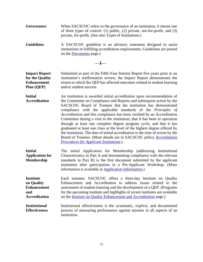**Governance** When SACSCOC refers to the governance of an institution, it means one of three types of control: (1) public, (2) private, not-for-profit, and (3) private, for-profit. (See also Types of Institutions.)

Guidelines A SACSCOC guideline is an advisory statement designed to assist institutions in fulfilling accreditation requirements. Guidelines are posted on the [Documents](http://sacscoc.org/documents/) page.)

—**I**—

**Impact Report for the Quality Enhancement Plan (QEP)**  Submitted as part of the Fifth-Year Interim Report five years prior to an institution's reaffirmation review, the Impact Report demonstrates the extent to which the QEP has affected outcomes related to student learning and/or student success

- **Initial Accreditation** An institution is awarded initial accreditation upon recommendation of the Committee on Compliance and Reports and subsequent action by the SACSCOC Board of Trustees that the institution has demonstrated compliance with the applicable standards of the *Principles of Accreditation* and this compliance has been verified by an Accreditation Committee during a visit to the institution, that it has been in operation through at least one complete degree program cycle, and that it has graduated at least one class at the level of the highest degree offered by the institution. The date of initial accreditation is the time of action by the Board of Trustees. (More details are in SACSCOC policy *[Accreditation](http://sacscoc.org/app/uploads/2019/07/AccredProceduresApplicant.pdf)  [Procedures for Applicant Institutions](http://sacscoc.org/app/uploads/2019/07/AccredProceduresApplicant.pdf)*.)
- **Initial Application for Membership** The initial Application for Membership (addressing Institutional Characteristics in Part A and documenting compliance with the relevant standards in Part B) is the first document submitted by the applicant institution after participation in a Pre-Applicant Workshop. (More information is available at [Application Information.](http://sacscoc.org/accrediting-standards/application-process/))
- **Institute on Quality Enhancement and Accreditation** Each summer, SACSCOC offers a three-day Institute on Quality Enhancement and Accreditation to address issues related to the assessment of student learning and the development of a QEP. (Programs for the upcoming institute and highlights of recent institutes are available on the [Institute on Quality Enhancement and Accreditation](http://sacscoc.org/institute-on-quality-enhancement-and-accreditation/) page.)

**Institutional Effectiveness** Institutional effectiveness is the systematic, explicit, and documented process of measuring performance against mission in all aspects of an institution.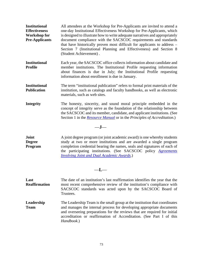| <b>Institutional</b><br><b>Effectiveness</b><br><b>Workshop for</b><br><b>Pre-Applicants</b> | All attendees at the Workshop for Pre-Applicants are invited to attend a<br>one-day Institutional Effectiveness Workshop for Pre-Applicants, which<br>is designed to illustrate how to write adequate narratives and appropriately<br>document compliance with the SACSCOC requirements and standards<br>that have historically proven most difficult for applicants to address –<br>Section 7 (Institutional Planning and Effectiveness) and Section 8<br>(Student Achievement). |
|----------------------------------------------------------------------------------------------|-----------------------------------------------------------------------------------------------------------------------------------------------------------------------------------------------------------------------------------------------------------------------------------------------------------------------------------------------------------------------------------------------------------------------------------------------------------------------------------|
| <b>Institutional</b><br><b>Profile</b>                                                       | Each year, the SACSCOC office collects information about candidate and<br>member institutions. The Institutional Profile requesting information<br>about finances is due in July; the Institutional Profile requesting<br>information about enrollment is due in January.                                                                                                                                                                                                         |
| <b>Institutional</b><br><b>Publication</b>                                                   | The term "institutional publication" refers to formal print materials of the<br>institution, such as catalogs and faculty handbooks, as well as electronic<br>materials, such as web sites.                                                                                                                                                                                                                                                                                       |
| Integrity                                                                                    | The honesty, sincerity, and sound moral principle embedded in the<br>concept of integrity serve as the foundation of the relationship between<br>the SACSCOC and its member, candidate, and applicant institutions. (See<br>Section 1 in the <b>Resource Manual</b> or in the Principles of Accreditation.)                                                                                                                                                                       |
|                                                                                              |                                                                                                                                                                                                                                                                                                                                                                                                                                                                                   |

**Joint Degree Program** A joint degree program (or joint academic award) is one whereby students study at two or more institutions and are awarded a single program completion credential bearing the names, seals and signatures of each of the participating institutions. (See SACSCOC policy *[Agreements](http://sacscoc.org/app/uploads/2019/08/JointDualAwards.pdf)  [Involving Joint and Dual Academic Awards](http://sacscoc.org/app/uploads/2019/08/JointDualAwards.pdf)*.)

—**L**—

| Last<br><b>Reaffirmation</b> | The date of an institution's last reaffirmation identifies the year that the<br>most recent comprehensive review of the institution's compliance with<br>SACSCOC standards was acted upon by the SACSCOC Board of<br>Trustees.                                                                                         |
|------------------------------|------------------------------------------------------------------------------------------------------------------------------------------------------------------------------------------------------------------------------------------------------------------------------------------------------------------------|
| Leadership<br><b>Team</b>    | The Leadership Team is the small group at the institution that coordinates<br>and manages the internal process for developing appropriate documents<br>and overseeing preparations for the reviews that are required for initial<br>accreditation or reaffirmation of Accreditation. (See Part I of this<br>Handbook.) |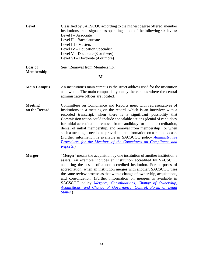| <b>Level</b>                    | Classified by SACSCOC according to the highest degree offered, member<br>institutions are designated as operating at one of the following six levels:<br>Level $I -$ Associate<br>Level II - Baccalaureate<br>Level III - Masters<br>Level IV - Education Specialist<br>Level $V - Doctorate$ (3 or fewer)<br>Level $VI$ – Doctorate (4 or more)                                                                                                                                                                                                                                                                                                                                                 |
|---------------------------------|--------------------------------------------------------------------------------------------------------------------------------------------------------------------------------------------------------------------------------------------------------------------------------------------------------------------------------------------------------------------------------------------------------------------------------------------------------------------------------------------------------------------------------------------------------------------------------------------------------------------------------------------------------------------------------------------------|
| Loss of<br><b>Membership</b>    | See "Removal from Membership."<br>$-M-$                                                                                                                                                                                                                                                                                                                                                                                                                                                                                                                                                                                                                                                          |
| <b>Main Campus</b>              | An institution's main campus is the street address used for the institution<br>as a whole. The main campus is typically the campus where the central<br>administrative offices are located.                                                                                                                                                                                                                                                                                                                                                                                                                                                                                                      |
| <b>Meeting</b><br>on the Record | Committees on Compliance and Reports meet with representatives of<br>institutions in a meeting on the record, which is an interview with a<br>recorded transcript, when there is a significant possibility that<br>Commission action could include appealable actions (denial of candidacy<br>for initial accreditation, removal from candidacy for initial accreditation,<br>denial of initial membership, and removal from membership), or when<br>such a meeting is needed to provide more information on a complex case.<br>(Further information is available in SACSCOC policy <i>Administrative</i><br><b>Procedures for the Meetings of the Committees on Compliance and</b><br>Reports.) |
| <b>Merger</b>                   | "Merger" means the acquisition by one institution of another institution's<br>assets. An example includes an institution accredited by SACSCOC<br>acquiring the assets of a non-accredited institution. For purposes of<br>accreditation, when an institution merges with another, SACSCOC uses<br>the same review process as that with a change of ownership, acquisitions,<br>and consolidation. (Further information on mergers is available in<br>SACSCOC policy Mergers, Consolidations, Change of Ownership,<br>Acquisitions, and Change of Governance, Control, Form, or Legal<br>Status.)                                                                                                |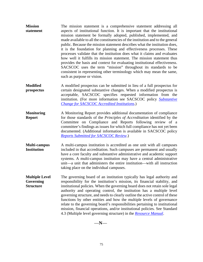- **Mission statement** The mission statement is a comprehensive statement addressing all aspects of institutional function. It is important that the institutional mission statement be formally adopted, published, implemented, and made available to all the constituencies of the institution and to the general public. Because the mission statement describes what the institution does, it is the foundation for planning and effectiveness processes. These processes validate that the institution does what it claims and evaluates how well it fulfills its mission statement. The mission statement thus provides the basis and context for evaluating institutional effectiveness. SACSCOC uses the term "mission" throughout its standards to be consistent in representing other terminology which may mean the same, such as purpose or vision.
- **Modified prospectus** A modified prospectus can be submitted in lieu of a full prospectus for certain designated substantive changes. When a modified prospectus is acceptable, SACSCOC specifies requested information from the institution. (For more information see SACSCOC policy *[Substantive](http://sacscoc.org/app/uploads/2019/08/SubstantiveChange.pdf)  [Change for SACSCOC Accredited Institutions](http://sacscoc.org/app/uploads/2019/08/SubstantiveChange.pdf)*.)
- **Monitoring Report** A Monitoring Report provides additional documentation of compliance for those standards of the *Principles of Accreditation* identified by the Committee on Compliance and Reports following review of a committee's findings as issues for which full compliance has not yet been documented. (Additional information is available in SACSCOC policy *[Reports Submitted for SACSCOC](http://sacscoc.org/app/uploads/2020/01/Reports-submitted-for-COC-review-1.pdf) Review*.)
- **Multi-campus Institution** A multi-campus institution is accredited as one unit with all campuses included in that accreditation. Such campuses are permanent and usually have a core faculty and substantive administrative and academic support systems. A multi-campus institution may have a central administrative unit—a unit that administers the entire institution—with all instruction taking place on the individual campuses.

**Multiple Level Governing Structure** The governing board of an institution typically has legal authority and responsibility for the institution's mission, its financial stability, and institutional policies. When the governing board does not retain sole legal authority and operating control, the institution has a multiple level governing structure, and needs to clearly outline the active control of these functions by other entities and how the multiple levels of governance relate to the governing board's responsibilities pertaining to institutional mission, financial operations, and/or institutional policies. See Standard 4.3 (Multiple level governing structure) in the *[Resource Manual](http://sacscoc.org/app/uploads/2019/08/2018-POA-Resource-Manual.pdf)*.

—**N**—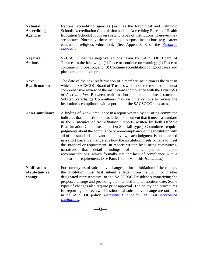- **National Accrediting Agencies** National accrediting agencies (such as the Rabbinical and Talmudic Schools Accreditation Commission and the Accrediting Bureau of Health Education Schools) focus on specific types of institutions wherever they are located. Normally, these are single purpose institutions (e.g. career education, religious education). (See Appendix E of the *[Resource](http://sacscoc.org/app/uploads/2019/08/2018-POA-Resource-Manual.pdf)  [Manual](http://sacscoc.org/app/uploads/2019/08/2018-POA-Resource-Manual.pdf)*.)
- **Negative Actions** SACSCOC defines negative actions taken by SACSCOC Board of Trustees as the following: (1) Place or continue on warning; (2) Place or continue on probation; and (3) Continue accreditation for good cause and place or continue on probation.

**Next Reaffirmation** The date of the next reaffirmation of a member institution is the year in which the SACSCOC Board of Trustees will act on the results of the next comprehensive review of the institution's compliance with the *Principles of Accreditation*. Between reaffirmations, other committees (such as Substantive Change Committees) may visit the campus to review the institution's compliance with a portion of the SACSCOC standards.

- **Non-Compliance** A finding of Non-Compliance in a report written by a visiting committee indicates that an institution has failed to document that it meets a standard in the *Principles of Accreditation*. Reports written by both Off-Site Reaffirmation Committees and On-Site (all types) Committees require judgments about the compliance or non-compliance of the institution with all of the standards relevant to the review; each judgment is summarized in a short narrative that details how the institution meets or fails to meet the standard or requirement. In reports written by visiting committees, narratives that detail findings of non-compliance include recommendations, which formally cite the lack of compliance with a standard or requirement. (See Parts III and V of this *Handbook*.)
- **Notification of substantive change** For some types of substantive changes, prior to initiation of the change, the institution must first submit a letter from its CEO, or his/her designated representative, to the SACSCOC President summarizing the proposed change and providing the intended implementation date. Some types of changes also require prior approval. The policy and procedures for reporting and review of institutional substantive change are outlined in the SACSCOC policy *[Substantive Change for SACSCOC Accredited](http://sacscoc.org/app/uploads/2019/08/SubstantiveChange.pdf)  [Institutions](http://sacscoc.org/app/uploads/2019/08/SubstantiveChange.pdf)*.

—**O**—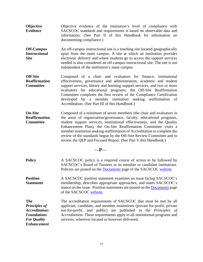- **Objective Evidence** Objective evidence of the institution's level of compliance with SACSCOC standards and requirements is based on observable data and information. (See Part II of this *Handbook* for information on documenting compliance.)
- **Off-Campus Instructional Site** An off-campus instructional site is a teaching site located geographically apart from the main campus. A site at which an institution provides electronic delivery and where students go to access the support services needed is also considered an off-campus instructional site. The site is not independent of the institution's main campus.
- **Off-Site Reaffirmation Committee** Composed of a chair and evaluators for finance, institutional effectiveness, governance and administration, academic and student support services, library and learning support services, and two or more evaluators for educational programs, the Off-Site Reaffirmation Committee completes the first review of the Compliance Certification developed by a member institution seeking reaffirmation of Accreditation. (See Part III of this *Handbook*.)
- **On-Site Reaffirmation Committee** Composed of a minimum of seven members (the chair and evaluators in the areas of organization/governance, faculty, educational programs, student support services, institutional effectiveness, and the Quality Enhancement Plan), the On-Site Reaffirmation Committee visits a member institution seeking reaffirmation of Accreditation to complete the review of the standards begun by the Off-Site Review Committee and to review the QEP and Focused Report. (See Part V this *Handbook*.)

# —**P**—

- **Policy** A SACSCOC policy is a required course of action to be followed by SACSCOC's Board of Trustees or its member or candidate institutions. Policies are posted on the [Documents](http://sacscoc.org/documents/) page of the SACSCOC [website.](http://www.sacscoc.org/)
- **Position Statement** A SACSCOC position statement examines an issue facing SACSCOC's membership, describes appropriate approaches, and states SACSCOC's stance on the issue. Position statements are posted on the [Documents](http://sacscoc.org/documents/) page of the SACSCOC [website.](http://www.sacscoc.org/)

**The** *Principles of Accreditation: Foundations For Quality Enhancement* The accreditation requirements of SACSCOC that must be met by all applicant, candidate, and member institutions (private for-profit, private not-for-profit, and public) are published in the *Principles of Accreditation*. These requirements apply to all institutional programs and services, wherever located or however delivered.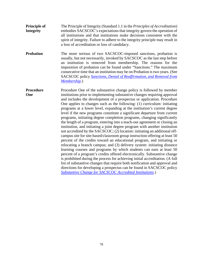- **Principle of Integrity** The Principle of Integrity (Standard 1.1 in the *Principles of Accreditation*) embodies SACSCOC's expectations that integrity govern the operation of all institutions and that institutions make decisions consistent with the spirit of integrity. Failure to adhere to the integrity principle may result in a loss of accreditation or loss of candidacy.
- **Probation** The more serious of two SACSCOC-imposed sanctions, probation is usually, but not necessarily, invoked by SACSCOC as the last step before an institution is removed from membership. The reasons for the imposition of probation can be found under "Sanctions." The maximum consecutive time that an institution may be on Probation is two years. (See SACSCOC policy *[Sanctions, Denial of Reaffirmation, and Removal from](http://sacscoc.org/app/uploads/2019/07/sanctionpolicy.pdf)  [Membership](http://sacscoc.org/app/uploads/2019/07/sanctionpolicy.pdf)*.)
- **Procedure One** Procedure One of the substantive change policy is followed by member institutions prior to implementing substantive changes requiring approval and includes the development of a prospectus or application. Procedure One applies to changes such as the following: (1) curriculum: initiating programs at a lower level, expanding at the institution's current degree level if the new programs constitute a significant departure from current programs, initiating degree completion programs, changing significantly the length of a program, entering into a teach-out agreement or closing an institution, and initiating a joint degree program with another institution not accredited by the SACSCOC; (2) location: initiating an additional offcampus site for site-based/classroom group instruction offering at least 50 percent of the credits toward an educational program, and initiating or relocating a branch campus; and (3) delivery system: initiating distance learning courses and programs by which students can earn at least 50 percent of a program's credits offered electronically. Substantive change is prohibited during the process for achieving initial accreditation. (A full list of substantive changes that require both notification and approval and directions for developing a prospectus can be found in SACSCOC policy *[Substantive Change for SACSCOC Accredited Institutions](http://sacscoc.org/app/uploads/2019/08/SubstantiveChange.pdf)*.)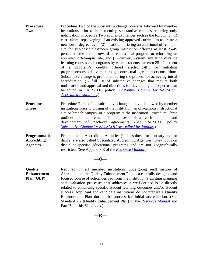- **Procedure Two** Procedure Two of the substantive change policy is followed by member institutions prior to implementing substantive changes requiring only notification. Procedure Two applies to changes such as the following: (1) curriculum: repackaging of an existing approved curriculum to create a new lower degree level; (2) location: initiating an additional off-campus site for site-based/classroom group instruction offering at least 25-49 percent of the credits toward an educational program or relocating an approved off-campus site, and (3) delivery system: initiating distance learning courses and programs by which students can earn 25-49 percent of a program's credits offered electronically, or initiating programs/courses delivered through contractual agreement or consortium. Substantive change is prohibited during the process for achieving initial accreditation. (A full list of substantive changes that require both notification and approval and directions for developing a prospectus can be found in SACSCOC policy *[Substantive Change for SACSCOC](http://sacscoc.org/app/uploads/2019/08/SubstantiveChange.pdf)  [Accredited Institutions](http://sacscoc.org/app/uploads/2019/08/SubstantiveChange.pdf)*.)
- **Procedure Three** Procedure Three of the substantive change policy is followed by member institutions prior to closing of the institution, an off-campus instructional site or branch campus, or a program at the institution. Procedure Three outlines the requirements for approval of a teach-out plan and development of teach-out agreements. (See SACSCOC policy *[Substantive Change for SACSCOC Accredited Institutions](http://sacscoc.org/app/uploads/2019/08/SubstantiveChange.pdf)*.)
- **Programmatic Accrediting Agencies** Programmatic Accrediting Agencies (such as those for dentistry and for dance) are also called Specialized Accrediting Agencies. They focus on discipline-specific educational programs and are not geographically restricted. (See Appendix E of the *[Resource Manual](http://sacscoc.org/app/uploads/2019/08/2018-POA-Resource-Manual.pdf)*.)

$$
-\mathbf{Q} -
$$

**Quality Enhancement Plan (QEP)** Required of all member institutions undergoing reaffirmation of Accreditation, the Quality Enhancement Plan is a carefully designed and focused course of action derived from the institution's existing planning and evaluation processes that addresses a well-defined issue directly related to enhancing specific student learning outcomes and/or student success. Applicant and candidate institutions do not prepare a Quality Enhancement Plan during the process for initial accreditation. (See Standard 7.2 [Quality Enhancement Plan] of the *[Resource Manual](http://sacscoc.org/app/uploads/2019/08/2018-POA-Resource-Manual.pdf)* and Part IV of this *Handbook.*)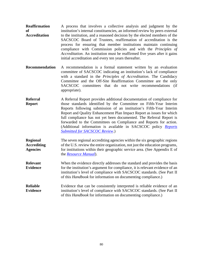- **Reaffirmation of Accreditation** A process that involves a collective analysis and judgment by the institution's internal constituencies, an informed review by peers external to the institution, and a reasoned decision by the elected members of the SACSCOC Board of Trustees, reaffirmation of accreditation is the process for ensuring that member institutions maintain continuing compliance with Commission policies and with the *Principles of Accreditation*. An institution must be reaffirmed five years after it gains initial accreditation and every ten years thereafter.
- **Recommendation** A recommendation is a formal statement written by an evaluation committee of SACSCOC indicating an institution's lack of compliance with a standard in the *Principles of Accreditation*. The Candidacy Committee and the Off-Site Reaffirmation Committee are the only SACSCOC committees that do not write recommendations (if appropriate).
- **Referral Report** A Referral Report provides additional documentation of compliance for those standards identified by the Committee on Fifth-Year Interim Reports following submission of an institution's Fifth-Year Interim Report and Quality Enhancement Plan Impact Report as issues for which full compliance has not yet been documented. The Referral Report is forwarded to the Committees on Compliance and Reports for action. (Additional information is available in SACSCOC policy *[Reports](http://sacscoc.org/app/uploads/2020/01/Reports-submitted-for-COC-review-1.pdf)  [Submitted for SACSCOC](http://sacscoc.org/app/uploads/2020/01/Reports-submitted-for-COC-review-1.pdf) Review*.)

**Regional Accrediting Agencies** The seven regional accrediting agencies within the six geographic regions of the U.S. review the entire organization, not just the education programs, for institutions within their geographic service area. (See Appendix E of the *[Resource Manual](http://sacscoc.org/app/uploads/2019/08/2018-POA-Resource-Manual.pdf)*).

**Relevant Evidence** When the evidence directly addresses the standard and provides the basis for the institution's argument for compliance, it is relevant evidence of an institution's level of compliance with SACSCOC standards. (See Part II of this *Handbook* for information on documenting compliance.)

**Reliable Evidence** Evidence that can be consistently interpreted is reliable evidence of an institution's level of compliance with SACSCOC standards. (See Part II of this *Handbook* for information on documenting compliance.)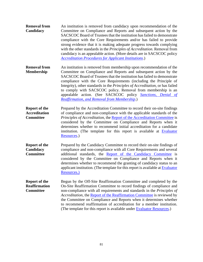- **Removal from Candidacy** An institution is removed from candidacy upon recommendation of the Committee on Compliance and Reports and subsequent action by the SACSCOC Board of Trustees that the institution has failed to demonstrate compliance with the Core Requirements and/or has failed to provide strong evidence that it is making adequate progress towards complying with the other standards in the *Principles of Accreditation*. Removal from candidacy is an appealable action. (More details are in SACSCOC policy *[Accreditation Procedures for Applicant Institutions](http://sacscoc.org/app/uploads/2019/07/AccredProceduresApplicant.pdf)*.)
- **Removal from Membership** An institution is removed from membership upon recommendation of the Committee on Compliance and Reports and subsequent action by the SACSCOC Board of Trustees that the institution has failed to demonstrate compliance with the Core Requirements (including the Principle of Integrity), other standards in the *Principles of Accreditation*, or has failed to comply with SACSCOC policy. Removal from membership is an appealable action. (See SACSCOC policy *[Sanctions, Denial of](http://sacscoc.org/app/uploads/2019/07/sanctionpolicy.pdf)  [Reaffirmation, and Removal from Membership](http://sacscoc.org/app/uploads/2019/07/sanctionpolicy.pdf)*.)
- **Report of the Accreditation Committee** Prepared by the Accreditation Committee to record their on-site findings of compliance and non-compliance with the applicable standards of the *Principles of Accreditation*, th[e Report of the Accreditation Committee](http://sacscoc.org/app/uploads/2019/07/Accreditation_Committee_Report_Form.2018.docx) is considered by the Committee on Compliance and Reports when it determines whether to recommend initial accreditation for a candidate institution. (The template for this report is available at [Evaluator](http://sacscoc.org/accrediting-standards/evaluator-resources/)  [Resources.](http://sacscoc.org/accrediting-standards/evaluator-resources/))
- **Report of the Candidacy Committee** Prepared by the Candidacy Committee to record their on-site findings of compliance and non-compliance with all Core Requirements and several additional standards, the [Report of the Candidacy Committee](http://sacscoc.org/app/uploads/2019/07/Candidacy_Committee_Report_Form.2018.docx) is considered by the Committee on Compliance and Reports when it determines whether to recommend the granting of candidacy status to an applicant institution. (The template for this report is available at [Evaluator](http://sacscoc.org/accrediting-standards/evaluator-resources/)  [Resources.\)](http://sacscoc.org/accrediting-standards/evaluator-resources/)
- **Report of the Reaffirmation Committee** Begun by the Off-Site Reaffirmation Committee and completed by the On-Site Reaffirmation Committee to record findings of compliance and non-compliance with all requirements and standards in the *Principles of Accreditation*, the [Report of the Reaffirmation Committee](http://sacscoc.org/app/uploads/2019/10/Reaffirmation_Committee_Report_Form.2018.docx) is reviewed by the Committee on Compliance and Reports when it determines whether to recommend reaffirmation of accreditation for a member institution. (The template for this report is available under [Evaluator Resources.](http://sacscoc.org/accrediting-standards/evaluator-resources/))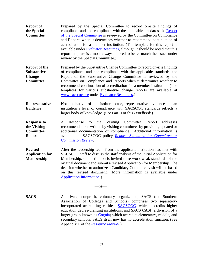- **Report of the Special Committee** Prepared by the Special Committee to record on-site findings of compliance and non-compliance with the applicable standards, the [Report](http://sacscoc.org/app/uploads/2019/10/Special-Committee-Report-Form.2018.docx)  [of the Special Committee](http://sacscoc.org/app/uploads/2019/10/Special-Committee-Report-Form.2018.docx) is reviewed by the Committee on Compliance and Reports when it determines whether to recommend continuation of accreditation for a member institution. (The template for this report is available under **Evaluator Resources**, although it should be noted that this report template is almost always tailored to better match the issues under review by the Special Committee.)
- **Report of the Substantive Change Committee** Prepared by the Substantive Change Committee to record on-site findings of compliance and non-compliance with the applicable standards, the Report of the Substantive Change Committee is reviewed by the Committee on Compliance and Reports when it determines whether to recommend continuation of accreditation for a member institution. (The templates for various substantive change reports are available at [www.sacscoc.org](http://www.sacscoc.org/) under [Evaluator Resources.](http://sacscoc.org/accrediting-standards/evaluator-resources/))
- **Representative Evidence** Not indicative of an isolated case, representative evidence of an institution's level of compliance with SACSCOC standards reflects a larger body of knowledge. (See Part II of this *Handbook*.)

**Response to the Visiting Committee Report** A Response to the Visiting Committee Report addresses recommendations written by visiting committees by providing updated or additional documentation of compliance. (Additional information is available in SACSCOC policy *[Reports Submitted for Committee or](http://sacscoc.org/app/uploads/2020/01/Reports-submitted-for-COC-review-1.pdf)  [Commission Review](http://sacscoc.org/app/uploads/2020/01/Reports-submitted-for-COC-review-1.pdf)*.)

**Revised Application for Membership** After the leadership team from the applicant institution has met with SACSCOC staff to discuss the staff analysis of the initial Application for Membership, the institution is invited to re-work weak standards of the original document and submit a revised Application for Membership. The decision whether to authorize a Candidacy Committee visit will be based on this revised document. (More information is available under [Application Information.](http://sacscoc.org/accrediting-standards/application-process/))

# —**S**—

**SACS** A private, nonprofit, voluntary organization, SACS (the Southern Association of Colleges and Schools) comprises two separatelyincorporated accrediting entities: [SACSCOC,](http://www.sacscoc.org/) which accredits higher education degree-granting institutions, and SACS CASI (a division of a larger group known as [Cognia\)](https://www.cognia.org/) which accredits elementary, middle, and secondary schools. SACS itself now has no accreditation function. (See Appendix E of the *[Resource Manual](http://sacscoc.org/app/uploads/2019/08/2018-POA-Resource-Manual.pdf)*.)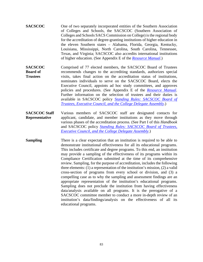- **SACSCOC** One of two separately incorporated entities of the Southern Association of Colleges and Schools, the SACSCOC (Southern Association of Colleges and Schools SACS Commission on College) is the regional body for the accreditation of degree-granting institutions of higher education in the eleven Southern states – Alabama, Florida, Georgia, Kentucky, Louisiana, Mississippi, North Carolina, South Carolina, Tennessee, Texas, and Virginia; SACSCOC also accredits international institutions of higher education. (See Appendix E of the *[Resource Manual](http://sacscoc.org/app/uploads/2019/08/2018-POA-Resource-Manual.pdf)*.)
- **SACSCOC Board of Trustees** Comprised of 77 elected members, the SACSCOC Board of Trustees recommends changes to the accrediting standards, authorizes special visits, takes final action on the accreditation status of institutions, nominates individuals to serve on the SACSCOC Board, elects the Executive Council, appoints ad hoc study committees, and approves policies and procedures. (See Appendix E of the *[Resource Manual](http://sacscoc.org/app/uploads/2019/08/2018-POA-Resource-Manual.pdf)*. Further information on the selection of trustees and their duties is available in SACSCOC policy *[Standing Rules: SACSCOC Board of](http://sacscoc.org/app/uploads/2019/07/standingrules.pdf)  [Trustees, Executive Council, and the College Delegate Assembly](http://sacscoc.org/app/uploads/2019/07/standingrules.pdf)*.)
- **SACSCOC Staff Representative** Various members of SACSCOC staff are designated contacts for applicant, candidate, and member institutions as they move through various phases of the accreditation process. (See Part I of this *Handbook* and SACSCOC policy *[Standing Rules: SACSCOC Board of Trustees,](http://sacscoc.org/app/uploads/2019/07/standingrules.pdf)  [Executive Council, and the College Delegate Assembly](http://sacscoc.org/app/uploads/2019/07/standingrules.pdf)*.)
- **Sampling** There is a clear expectation that an institution is required to be able to demonstrate institutional effectiveness for all its educational programs. This includes certificate and degree programs. To this end, an institution may provide a sampling of the effectiveness of its programs within its Compliance Certification submitted at the time of its comprehensive review. Sampling, for the purpose of accreditation, includes the following three elements: (1) a representation of the institution's mission, (2) a valid cross-section of programs from every school or division, and (3) a compelling case as to why the sampling and assessment findings are an appropriate representation of the institution's educational programs. Sampling does not preclude the institution from having effectiveness data/analysis available on all programs. It is the prerogative of a SACSCOC committee member to conduct a more in-depth review of an institution's data/findings/analysis on the effectiveness of all its educational programs.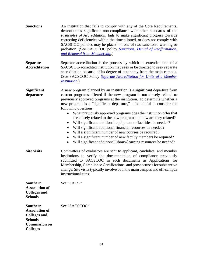| <b>Sanctions</b>                                                                                                             | An institution that fails to comply with any of the Core Requirements,<br>demonstrates significant non-compliance with other standards of the<br>Principles of Accreditation, fails to make significant progress towards<br>correcting deficiencies within the time allotted, or does not comply with<br>SACSCOC policies may be placed on one of two sanctions: warning or<br>probation. (See SACSCOC policy <b>Sanctions</b> , <i>Denial of Reaffirmation</i> ,<br>and Removal from Membership.)                                                                                                                                                                                                                                                                                                                                            |
|------------------------------------------------------------------------------------------------------------------------------|-----------------------------------------------------------------------------------------------------------------------------------------------------------------------------------------------------------------------------------------------------------------------------------------------------------------------------------------------------------------------------------------------------------------------------------------------------------------------------------------------------------------------------------------------------------------------------------------------------------------------------------------------------------------------------------------------------------------------------------------------------------------------------------------------------------------------------------------------|
| <b>Separate</b><br><b>Accreditation</b>                                                                                      | Separate accreditation is the process by which an extended unit of a<br>SACSCOC-accredited institution may seek or be directed to seek separate<br>accreditation because of its degree of autonomy from the main campus.<br>(See SACSCOC Policy Separate Accreditation for Units of a Member<br><i>Institution.</i> )                                                                                                                                                                                                                                                                                                                                                                                                                                                                                                                         |
| <b>Significant</b><br>departure                                                                                              | A new program planned by an institution is a significant departure from<br>current programs offered if the new program is not closely related to<br>previously approved programs at the institution. To determine whether a<br>new program is a "significant departure," it is helpful to consider the<br>following questions:<br>What previously approved programs does the institution offer that<br>are closely related to the new program and how are they related?<br>Will significant additional equipment or facilities be needed?<br>$\bullet$<br>Will significant additional financial resources be needed?<br>$\bullet$<br>Will a significant number of new courses be required?<br>$\bullet$<br>Will a significant number of new faculty members be required?<br>Will significant additional library/learning resources be needed? |
| <b>Site visits</b>                                                                                                           | Committees of evaluators are sent to applicant, candidate, and member<br>institutions to verify the documentation of compliance previously<br>submitted to SACSCOC in such documents as Applications for<br>Membership, Compliance Certifications, and prospectuses for substantive<br>change. Site visits typically involve both the main campus and off-campus<br>instructional sites.                                                                                                                                                                                                                                                                                                                                                                                                                                                      |
| <b>Southern</b><br><b>Association of</b><br><b>Colleges and</b><br><b>Schools</b>                                            | See "SACS."                                                                                                                                                                                                                                                                                                                                                                                                                                                                                                                                                                                                                                                                                                                                                                                                                                   |
| <b>Southern</b><br><b>Association of</b><br><b>Colleges and</b><br><b>Schools</b><br><b>Commission on</b><br><b>Colleges</b> | See "SACSCOC"                                                                                                                                                                                                                                                                                                                                                                                                                                                                                                                                                                                                                                                                                                                                                                                                                                 |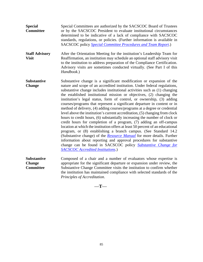- **Special Committee** Special Committees are authorized by the SACSCOC Board of Trustees or by the SACSCOC President to evaluate institutional circumstances determined to be indicative of a lack of compliance with SACSCOC standards, regulations, or policies. (Further information is available in SACSCOC policy *[Special Committee Procedures and Team Report](http://sacscoc.org/app/uploads/2019/08/specialcommitteesrevised.pdf)*.)
- **Staff Advisory Visit** After the Orientation Meeting for the institution's Leadership Team for Reaffirmation, an institution may schedule an optional staff advisory visit to the institution to address preparation of the Compliance Certification. Advisory visits are sometimes conducted virtually. (See Part I of this *Handbook*.)
- **Substantive Change** Substantive change is a significant modification or expansion of the nature and scope of an accredited institution. Under federal regulations, substantive change includes institutional activities such as (1) changing the established institutional mission or objectives, (2) changing the institution's legal status, form of control, or ownership, (3) adding courses/programs that represent a significant departure in content or in method of delivery, (4) adding courses/programs at a degree or credential level above the institution's current accreditation, (5) changing from clock hours to credit hours, (6) substantially increasing the number of clock or credit hours for completion of a program, (7) adding an off-campus location at which the institution offers at least 50 percent of an educational program, or (8) establishing a branch campus. (See Standard 14.2 (Substantive change) of the *[Resource Manual](http://sacscoc.org/app/uploads/2019/08/2018-POA-Resource-Manual.pdf)* for more details. Further information about reporting and approval procedures for substantive change can be found in SACSCOC policy *[Substantive Change for](http://sacscoc.org/app/uploads/2019/08/SubstantiveChange.pdf)  [SACSCOC Accredited Institutions](http://sacscoc.org/app/uploads/2019/08/SubstantiveChange.pdf)*.)
- **Substantive Change Committee** Composed of a chair and a number of evaluators whose expertise is appropriate for the significant departure or expansion under review, the Substantive Change Committee visits the institution to confirm whether the institution has maintained compliance with selected standards of the *Principles of Accreditation*.

—**T**—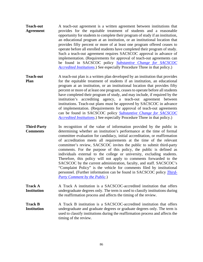- **Teach-out Agreement** A teach-out agreement is a written agreement between institutions that provides for the equitable treatment of students and a reasonable opportunity for students to complete their program of study if an institution, an educational program at an institution, or an institutional location that provides fifty percent or more of at least one program offered ceases to operate before all enrolled students have completed their program of study. Such a teach-out agreement requires SACSCOC approval in advance of implementation. (Requirements for approval of teach-out agreements can be found in SACSCOC policy *[Substantive Change for SACSCOC](http://sacscoc.org/app/uploads/2019/08/SubstantiveChange.pdf)  [Accredited Institutions](http://sacscoc.org/app/uploads/2019/08/SubstantiveChange.pdf)*.) See especially Procedure Three in that policy.)
- **Teach-out Plan** A teach-out plan is a written plan developed by an institution that provides for the equitable treatment of students if an institution, an educational program at an institution, or an institutional location that provides fifty percent or more of at least one program, ceases to operate before all students have completed their program of study, and may include, if required by the institution's accrediting agency, a teach-out agreement between institutions. Teach-out plans must be approved by SACSCOC in advance of implementation. (Requirements for approval of teach-out agreements can be found in SACSCOC policy *[Substantive Change for SACSCOC](http://sacscoc.org/app/uploads/2019/08/SubstantiveChange.pdf)  [Accredited Institutions](http://sacscoc.org/app/uploads/2019/08/SubstantiveChange.pdf)*.) See especially Procedure Three in that policy.)
- **Third-Party Comments** In recognition of the value of information provided by the public in determining whether an institution's performance at the time of formal committee evaluation for candidacy, initial accreditation, or reaffirmation of accreditation meets all requirements at the time of the relevant committee's review, SACSCOC invites the public to submit third-party comments. For the purpose of this policy, the public is defined as individuals external to the college or university, excluding students. Therefore, this policy will not apply to comments forwarded to the SACSCOC by the current administration, faculty, and staff. SACSCOC's "Complaint Policy" is the vehicle for comments filed by institutional personnel. (Further information can be found in SACSCOC policy *[Third-](http://sacscoc.org/app/uploads/2019/08/Third-Party-Comment-by-the-Public-Final.pdf)[Party Comment by the Public](http://sacscoc.org/app/uploads/2019/08/Third-Party-Comment-by-the-Public-Final.pdf)*.)
- **Track A Institution** A Track A institution is a SACSCOC-accredited institution that offers undergraduate degrees only. The term is used to classify institutions during the reaffirmation process and affects the timing of the review.

**Track B Institution** A Track B institution is a SACSCOC-accredited institution that offers undergraduate and graduate degrees or graduate degrees only. The term is used to classify institutions during the reaffirmation process and affects the timing of the review.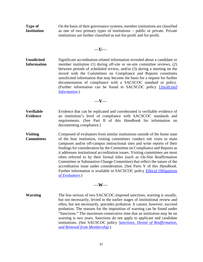**Type of Institution** On the basis of their governance systems, member institutions are classified as one of two primary types of institutions – public or private. Private institutions are further classified as not-for-profit and for-profit.

### —**U**—

**Unsolicited Information** Significant accreditation-related information revealed about a candidate or member institution (1) during off-site or on-site committee reviews, (2) between periods of scheduled review, and/or (3) during a meeting on the record with the Committees on Compliance and Reports constitutes unsolicited information that may become the basis for a request for further documentation of compliance with a SACSCOC standard or policy. (Further information can be found in SACSCOC policy *[Unsolicited](http://sacscoc.org/app/uploads/2019/08/UnsolicitedInformation.pdf)  [Information](http://sacscoc.org/app/uploads/2019/08/UnsolicitedInformation.pdf)*.)

#### —**V**—

- **Verifiable Evidence** Evidence that can be replicated and corroborated is verifiable evidence of an institution's level of compliance with SACSCOC standards and requirements. (See Part II of this *Handbook* for information on documenting compliance.)
- **Visiting Committees** Composed of evaluators from similar institutions outside of the home state of the host institution, visiting committees conduct site visits to main campuses and/or off-campus instructional sites and write reports of their findings for consideration by the Committee on Compliance and Reports as it addresses institutional accreditation issues. Visiting committees are most often referred to by their formal titles (such as On-Site Reaffirmation Committee or Substantive Change Committee) that reflect the nature of the accreditation issue under consideration. (See Parts V of this *Handbook*. Further information is available in SACSCOC policy *[Ethical Obligations](http://sacscoc.org/app/uploads/2020/01/Ethical-Obligations-Evaluators-1.pdf)  [of Evaluators](http://sacscoc.org/app/uploads/2020/01/Ethical-Obligations-Evaluators-1.pdf)*.)

# —**W**—

**Warning** The less serious of two SACSCOC-imposed sanctions, warning is usually, but not necessarily, levied in the earlier stages of institutional review and often, but not necessarily, precedes probation. It cannot, however, succeed probation. The reasons for the imposition of warning can be found under "Sanctions." The maximum consecutive time that an institution may be on warning is two years. Sanctions do not apply to applicant and candidate institutions. (See SACSCOC policy *[Sanctions, Denial of Reaffirmation,](http://sacscoc.org/app/uploads/2019/08/SubstantiveChange.pdf)  [and Removal from Membership](http://sacscoc.org/app/uploads/2019/08/SubstantiveChange.pdf)*.)